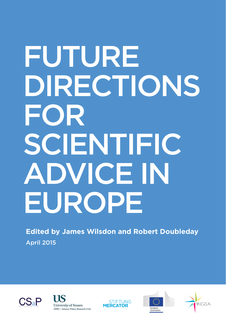# FUTURE DIRECTIONS FOR SCIENTIFIC ADVICE IN EUROPE

**Edited by James Wilsdon and Robert Doubleday** April 2015









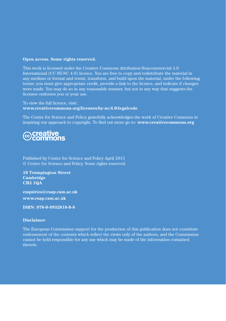#### **Open access. Some rights reserved.**

This work is licensed under the Creative Commons Attribution-Noncommercial 4.0 International (CC BY-NC 4.0) licence. You are free to copy and redistribute the material in any medium or format and remix, transform, and build upon the material, under the following terms: you must give appropriate credit, provide a link to the licence, and indicate if changes were made. You may do so in any reasonable manner, but not in any way that suggests the licensor endorses you or your use.

To view the full licence, visit: **www.creativecommons.org/licenses/by-nc/4.0/legalcode** 

The Centre for Science and Policy gratefully acknowledges the work of Creative Commons in inspiring our approach to copyright. To find out more go to: **www.creativecommons.org**



Published by Centre for Science and Policy April 2015 © Centre for Science and Policy. Some rights reserved.

**10 Trumpington Street Cambridge CB2 1QA**

**enquiries@csap.cam.ac.uk www.csap.cam.ac.uk**

**ISBN: 978-0-9932818-0-8**

#### **Disclaimer**

The European Commission support for the production of this publication does not constitute endorsement of the contents which reflect the views only of the authors, and the Commission cannot be held responsible for any use which may be made of the information contained therein.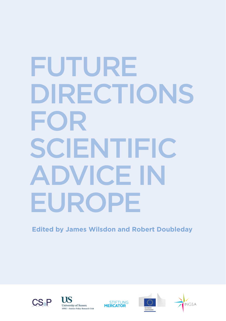## FUTURE DIRECTIONS FOR SCIENTIFIC ADVICE IN EUROPE

**Edited by James Wilsdon and Robert Doubleday**









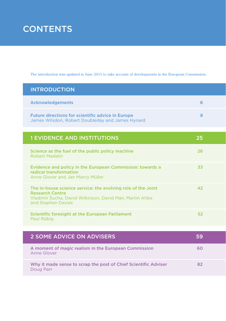## **CONTENTS**

The introduction was updated in June 2015 to take account of developments in the European Commission.

| <b>INTRODUCTION</b>                                                                                          |   |
|--------------------------------------------------------------------------------------------------------------|---|
| <b>Acknowledgements</b>                                                                                      | ь |
| <b>Future directions for scientific advice in Europe</b><br>James Wilsdon, Robert Doubleday and James Hynard | 8 |

| <b>1 EVIDENCE AND INSTITUTIONS</b>                                                                                                                                       | 25 |
|--------------------------------------------------------------------------------------------------------------------------------------------------------------------------|----|
| Science as the fuel of the public policy machine<br>Robert Madelin                                                                                                       | 26 |
| Evidence and policy in the European Commission: towards a<br>radical transformation<br>Anne Glover and Jan Marco Müller                                                  | 33 |
| The in-house science service: the evolving role of the Joint<br><b>Research Centre</b><br>Vladimír Šucha, David Wilkinson, David Mair, Martin Ahbe<br>and Stephen Davies | 42 |
| Scientific foresight at the European Parliament<br>Paul Rübig                                                                                                            | 52 |

| <b>2 SOME ADVICE ON ADVISERS</b>                                             | 59 |
|------------------------------------------------------------------------------|----|
| A moment of magic realism in the European Commission<br>Anne Glover          | 60 |
| Why it made sense to scrap the post of Chief Scientific Adviser<br>Doug Parr | 82 |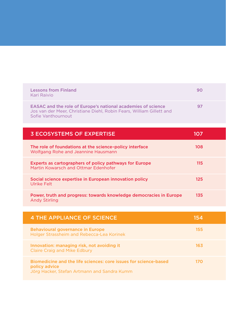| <b>Lessons from Finland</b><br>Kari Raivio                                                                                                                        | 90 |
|-------------------------------------------------------------------------------------------------------------------------------------------------------------------|----|
| <b>EASAC</b> and the role of Europe's national academies of science<br>Jos van der Meer, Christiane Diehl, Robin Fears, William Gillett and<br>Sofie Vanthournout | 97 |

| <b>3 ECOSYSTEMS OF EXPERTISE</b>                                                               | 107 |  |
|------------------------------------------------------------------------------------------------|-----|--|
| The role of foundations at the science-policy interface<br>Wolfgang Rohe and Jeannine Hausmann | 108 |  |
| Experts as cartographers of policy pathways for Europe<br>Martin Kowarsch and Ottmar Edenhofer | 115 |  |
| Social science expertise in European innovation policy<br>Ulrike Felt                          | 125 |  |
| Power, truth and progress: towards knowledge democracies in Europe<br><b>Andy Stirling</b>     | 135 |  |

| 4 THE APPLIANCE OF SCIENCE                                                                                                       | 154 |
|----------------------------------------------------------------------------------------------------------------------------------|-----|
| Behavioural governance in Europe<br>Holger Strassheim and Rebecca-Lea Korinek                                                    | 155 |
| Innovation: managing risk, not avoiding it<br>Claire Craig and Mike Edbury                                                       | 163 |
| Biomedicine and the life sciences: core issues for science-based<br>policy advice<br>Jörg Hacker, Stefan Artmann and Sandra Kumm | 170 |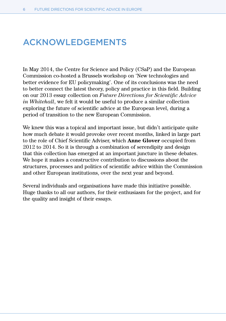### ACKNOWLEDGEMENTS

In May 2014, the Centre for Science and Policy (CSaP) and the European Commission co-hosted a Brussels workshop on 'New technologies and better evidence for EU policymaking'. One of its conclusions was the need to better connect the latest theory, policy and practice in this field. Building on our 2013 essay collection on *Future Directions for Scientific Advice in Whitehall*, we felt it would be useful to produce a similar collection exploring the future of scientific advice at the European level, during a period of transition to the new European Commission.

We knew this was a topical and important issue, but didn't anticipate quite how much debate it would provoke over recent months, linked in large part to the role of Chief Scientific Adviser, which **Anne Glover** occupied from 2012 to 2014. So it is through a combination of serendipity and design that this collection has emerged at an important juncture in these debates. We hope it makes a constructive contribution to discussions about the structures, processes and politics of scientific advice within the Commission and other European institutions, over the next year and beyond.

Several individuals and organisations have made this initiative possible. Huge thanks to all our authors, for their enthusiasm for the project, and for the quality and insight of their essays.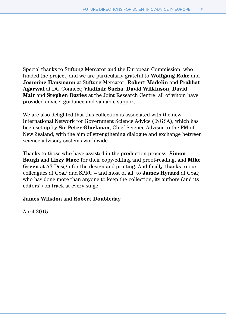Special thanks to Stiftung Mercator and the European Commission, who funded the project, and we are particularly grateful to **Wolfgang Rohe** and **Jeannine Hausmann** at Stiftung Mercator; **Robert Madelin** and **Prabhat Agarwal** at DG Connect; **Vladimír Šucha**, **David Wilkinson**, **David Mair** and **Stephen Davies** at the Joint Research Centre; all of whom have provided advice, guidance and valuable support.

We are also delighted that this collection is associated with the new International Network for Government Science Advice (INGSA), which has been set up by **Sir Peter Gluckman**, Chief Science Advisor to the PM of New Zealand, with the aim of strengthening dialogue and exchange between science advisory systems worldwide.

Thanks to those who have assisted in the production process: **Simon Baugh** and **Lizzy Mace** for their copy-editing and proof-reading, and **Mike Green** at A3 Design for the design and printing. And finally, thanks to our colleagues at CSaP and SPRU – and most of all, to **James Hynard** at CSaP, who has done more than anyone to keep the collection, its authors (and its editors!) on track at every stage.

#### **James Wilsdon** and **Robert Doubleday**

April 2015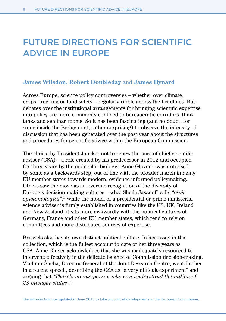### FUTURE DIRECTIONS FOR SCIENTIFIC ADVICE IN EUROPE

#### **James Wilsdon**, **Robert Doubleday** and **James Hynard**

Across Europe, science policy controversies – whether over climate, crops, fracking or food safety – regularly ripple across the headlines. But debates over the institutional arrangements for bringing scientific expertise into policy are more commonly confined to bureaucratic corridors, think tanks and seminar rooms. So it has been fascinating (and no doubt, for some inside the Berlaymont, rather surprising) to observe the intensity of discussion that has been generated over the past year about the structures and procedures for scientific advice within the European Commission.

The choice by President Juncker not to renew the post of chief scientific adviser (CSA) – a role created by his predecessor in 2012 and occupied for three years by the molecular biologist Anne Glover – was criticised by some as a backwards step, out of line with the broader march in many EU member states towards modern, evidence-informed policymaking. Others saw the move as an overdue recognition of the diversity of Europe's decision-making cultures – what Sheila Jasanoff calls *"civic epistemologies"*. 1 While the model of a presidential or prime ministerial science adviser is firmly established in countries like the US, UK, Ireland and New Zealand, it sits more awkwardly with the political cultures of Germany, France and other EU member states, which tend to rely on committees and more distributed sources of expertise.

Brussels also has its own distinct political culture. In her essay in this collection, which is the fullest account to date of her three years as CSA, Anne Glover acknowledges that she was inadequately resourced to intervene effectively in the delicate balance of Commission decision-making. Vladimir Šucha, Director General of the Joint Research Centre, went further in a recent speech, describing the CSA as "a very difficult experiment" and arguing that *"There's no one person who can understand the milieu of 28 member states"*. 2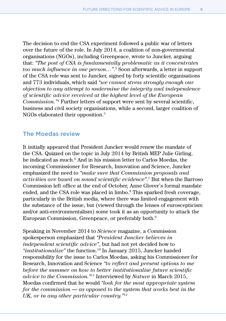The decision to end the CSA experiment followed a public war of letters over the future of the role. In July 2014, a coalition of non-governmental organisations (NGOs), including Greenpeace, wrote to Juncker, arguing that: *"The post of CSA is fundamentally problematic as it concentrates too much influence in one person…"*. 3 Soon afterwards, a letter in support of the CSA role was sent to Juncker, signed by forty scientific organisations and 773 individuals, which said *"we cannot stress strongly enough our objection to any attempt to undermine the integrity and independence of scientific advice received at the highest level of the European Commission."*<sup>4</sup> Further letters of support were sent by several scientific, business and civil society organisations, while a second, larger coalition of NGOs elaborated their opposition.5

#### The Moedas review

It initially appeared that President Juncker would renew the mandate of the CSA. Quizzed on the topic in July 2014 by British MEP Julie Girling, he indicated as much.6 And in his mission letter to Carlos Moedas, the incoming Commissioner for Research, Innovation and Science, Juncker emphasized the need to *"make sure that Commission proposals and activities are based on sound scientific evidence"*. 7 But when the Barroso Commission left office at the end of October, Anne Glover's formal mandate ended, and the CSA role was placed in limbo.<sup>8</sup> This sparked fresh coverage, particularly in the British media, where there was limited engagement with the substance of the issue, but (viewed through the lenses of euroscepticism and/or anti-environmentalism) some took it as an opportunity to attack the European Commission, Greenpeace, or preferably both.9

Speaking in November 2014 to *Science* magazine, a Commission spokesperson emphasized that *"President Juncker believes in independent scientific advice"*, but had not yet decided how to *"institutionalize"* the function.10 In January 2015, Juncker handed responsibility for the issue to Carlos Moedas, asking his Commissioner for Research, Innovation and Science *"to reflect and present options to me before the summer on how to better institutionalise future scientific advice to the Commission."*11 Interviewed by *Nature* in March 2015, Moedas confirmed that he would *"look for the most appropriate system for the commission — as opposed to the system that works best in the UK, or in any other particular country."*12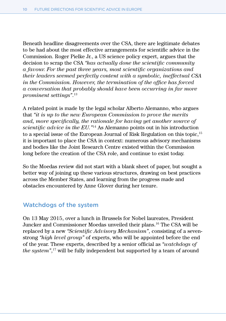Beneath headline disagreements over the CSA, there are legitimate debates to be had about the most effective arrangements for scientific advice in the Commission. Roger Pielke Jr., a US science policy expert, argues that the decision to scrap the CSA *"has actually done the scientific community a favour. For the past three years, most scientific organizations and their leaders seemed perfectly content with a symbolic, ineffectual CSA in the Commission. However, the termination of the office has forced a conversation that probably should have been occurring in far more prominent settings"*. 13

A related point is made by the legal scholar Alberto Alemanno, who argues that *"it is up to the new European Commission to prove the merits and, more specifically, the rationale for having yet another source of scientific advice in the EU."*14 As Alemanno points out in his introduction to a special issue of the European Journal of Risk Regulation on this topic,<sup>15</sup> it is important to place the CSA in context: numerous advisory mechanisms and bodies like the Joint Research Centre existed within the Commission long before the creation of the CSA role, and continue to exist today.

So the Moedas review did not start with a blank sheet of paper, but sought a better way of joining up these various structures, drawing on best practices across the Member States, and learning from the progress made and obstacles encountered by Anne Glover during her tenure.

#### Watchdogs of the system

On 13 May 2015, over a lunch in Brussels for Nobel laureates, President Juncker and Commissioner Moedas unveiled their plans.16 The CSA will be replaced by a new *"Scientific Advisory Mechanism"*, consisting of a sevenstrong *"high level group"* of experts, who will be appointed before the end of the year. These experts, described by a senior official as *"watchdogs of the system"*, 17 will be fully independent but supported by a team of around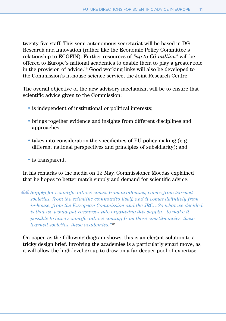twenty-five staff. This semi-autonomous secretariat will be based in DG Research and Innovation (rather like the Economic Policy Committee's relationship to ECOFIN). Further resources of *"up to*  $\epsilon$ *6 million"* will be offered to Europe's national academies to enable them to play a greater role in the provision of advice.18 Good working links will also be developed to the Commission's in-house science service, the Joint Research Centre.

The overall objective of the new advisory mechanism will be to ensure that scientific advice given to the Commission:

- is independent of institutional or political interests;
- brings together evidence and insights from different disciplines and approaches;
- takes into consideration the specificities of EU policy making (e.g. different national perspectives and principles of subsidiarity); and
- is transparent.

In his remarks to the media on 13 May, Commissioner Moedas explained that he hopes to better match supply and demand for scientific advice.

*Supply for scientific advice comes from academies, comes from learned societies, from the scientific community itself, and it comes definitely from in-house, from the European Commission and the JRC…So what we decided is that we would put resources into organising this supply…to make it possible to have scientific advice coming from these constituencies, these learned societies, these academies."*<sup>19</sup>

On paper, as the following diagram shows, this is an elegant solution to a tricky design brief. Involving the academies is a particularly smart move, as it will allow the high-level group to draw on a far deeper pool of expertise.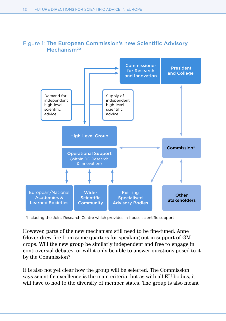



\*Including the Joint Research Centre which provides in-house scientific support

However, parts of the new mechanism still need to be fine-tuned. Anne Glover drew fire from some quarters for speaking out in support of GM crops. Will the new group be similarly independent and free to engage in controversial debates, or will it only be able to answer questions posed to it by the Commission?

It is also not yet clear how the group will be selected. The Commission says scientific excellence is the main criteria, but as with all EU bodies, it will have to nod to the diversity of member states. The group is also meant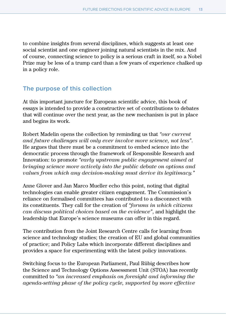to combine insights from several disciplines, which suggests at least one social scientist and one engineer joining natural scientists in the mix. And of course, connecting science to policy is a serious craft in itself, so a Nobel Prize may be less of a trump card than a few years of experience chalked up in a policy role.

#### The purpose of this collection

At this important juncture for European scientific advice, this book of essays is intended to provide a constructive set of contributions to debates that will continue over the next year, as the new mechanism is put in place and begins its work.

Robert Madelin opens the collection by reminding us that *"our current and future challenges will only ever involve more science, not less"*. He argues that there must be a commitment to embed science into the democratic process through the framework of Responsible Research and Innovation: to promote *"early upstream public engagement aimed at bringing science more actively into the public debate on options and values from which any decision-making must derive its legitimacy."*

Anne Glover and Jan Marco Mueller echo this point, noting that digital technologies can enable greater citizen engagement. The Commission's reliance on formalised committees has contributed to a disconnect with its constituents. They call for the creation of *"forums in which citizens can discuss political choices based on the evidence"*, and highlight the leadership that Europe's science museums can offer in this regard.

The contribution from the Joint Research Centre calls for learning from science and technology studies; the creation of EU and global communities of practice; and Policy Labs which incorporate different disciplines and provides a space for experimenting with the latest policy innovations.

Switching focus to the European Parliament, Paul Rübig describes how the Science and Technology Options Assessment Unit (STOA) has recently committed to *"an increased emphasis on foresight and informing the agenda-setting phase of the policy cycle, supported by more effective*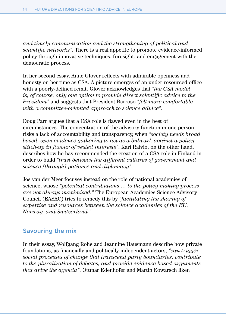*and timely communication and the strengthening of political and scientific networks"*. There is a real appetite to promote evidence-informed policy through innovative techniques, foresight, and engagement with the democratic process.

In her second essay, Anne Glover reflects with admirable openness and honesty on her time as CSA. A picture emerges of an under-resourced office with a poorly-defined remit. Glover acknowledges that *"the CSA model is, of course, only one option to provide direct scientific advice to the President"* and suggests that President Barroso *"felt more comfortable with a committee-oriented approach to science advice"*.

Doug Parr argues that a CSA role is flawed even in the best of circumstances. The concentration of the advisory function in one person risks a lack of accountability and transparency, when *"society needs broad based, open evidence gathering to act as a bulwark against a policy stitch-up in favour of vested interests"*. Kari Raivio, on the other hand, describes how he has recommended the creation of a CSA role in Finland in order to build *"trust between the different cultures of government and science [through] patience and diplomacy"*.

Jos van der Meer focuses instead on the role of national academies of science, whose *"potential contributions … to the policy making process are not always maximised."* The European Academies Science Advisory Council (EASAC) tries to remedy this by *"facilitating the sharing of expertise and resources between the science academies of the EU, Norway, and Switzerland."*

#### Savouring the mix

In their essay, Wolfgang Rohe and Jeannine Hausmann describe how private foundations, as financially and politically independent actors, *"can trigger social processes of change that transcend party boundaries, contribute to the pluralization of debates, and provide evidence-based arguments that drive the agenda"*. Ottmar Edenhofer and Martin Kowarsch liken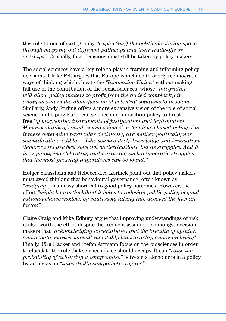this role to one of cartography, *"explor(ing) the political solution space through mapping out different pathways and their trade-offs or overlaps"*. Crucially, final decisions must still be taken by policy makers.

The social sciences have a key role to play in framing and informing policy decisions. Ulrike Felt argues that Europe is inclined to overly technocratic ways of thinking which elevate the *"Innovation Union"* without making full use of the contribution of the social sciences, whose *"integration will allow policy makers to profit from the added complexity in analysis and in the identification of potential solutions to problems."* Similarly, Andy Stirling offers a more expansive vision of the role of social science in helping European science and innovation policy to break free *"of burgeoning instruments of justification and legitimation. Monovocal talk of sound 'sound science' or 'evidence based policy' (as if these determine particular decisions), are neither politically nor scientifically credible.… Like science itself, knowledge and innovation democracies are best seen not as destinations, but as struggles. And it is arguably in celebrating and nurturing such democratic struggles that the most pressing imperatives can be found."*

Holger Strassheim and Rebecca-Lea Korinek point out that policy makers must avoid thinking that behavioural governance, often known as *"nudging"*, is an easy short cut to good policy outcomes. However, the effort *"might be worthwhile if it helps to redesign public policy beyond rational choice models, by cautiously taking into account the human factor."*

Claire Craig and Mike Edbury argue that improving understandings of risk is also worth the effort despite the frequent assumption amongst decision makers that *"acknowledging uncertainties and the breadth of opinion and debate on an issue will inevitably lead to delay and complexity"*. Finally, Jörg Hacker and Stefan Artmann focus on the biosciences in order to elucidate the role that science advice should occupy. It can *"raise the probability of achieving a compromise"* between stakeholders in a policy by acting as an *"impartially sympathetic referee"*.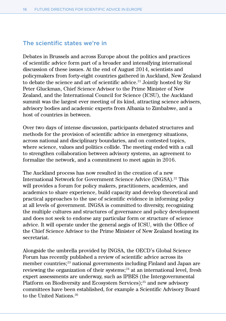#### The scientific states we're in

Debates in Brussels and across Europe about the politics and practices of scientific advice form part of a broader and intensifying international discussion of these issues. At the end of August 2014, scientists and policymakers from forty-eight countries gathered in Auckland, New Zealand to debate the science and art of scientific advice.<sup>21</sup> Jointly hosted by Sir Peter Gluckman, Chief Science Advisor to the Prime Minister of New Zealand, and the International Council for Science (ICSU), the Auckland summit was the largest ever meeting of its kind, attracting science advisers, advisory bodies and academic experts from Albania to Zimbabwe, and a host of countries in between.

Over two days of intense discussion, participants debated structures and methods for the provision of scientific advice in emergency situations, across national and disciplinary boundaries, and on contested topics, where science, values and politics collide. The meeting ended with a call to strengthen collaboration between advisory systems, an agreement to formalize the network, and a commitment to meet again in 2016.

The Auckland process has now resulted in the creation of a new International Network for Government Science Advice (INGSA).22 This will provides a forum for policy makers, practitioners, academies, and academics to share experience, build capacity and develop theoretical and practical approaches to the use of scientific evidence in informing policy at all levels of government. INGSA is committed to diversity, recognizing the multiple cultures and structures of governance and policy development and does not seek to endorse any particular form or structure of science advice. It will operate under the general aegis of ICSU, with the Office of the Chief Science Advisor to the Prime Minister of New Zealand hosting its secretariat.

Alongside the umbrella provided by INGSA, the OECD's Global Science Forum has recently published a review of scientific advice across its member countries;23 national governments including Finland and Japan are reviewing the organization of their systems; $^{24}$  at an international level, fresh expert assessments are underway, such as IPBES (the Intergovernmental Platform on Biodiversity and Ecosystem Services);<sup>25</sup> and new advisory committees have been established, for example a Scientific Advisory Board to the United Nations.<sup>26</sup>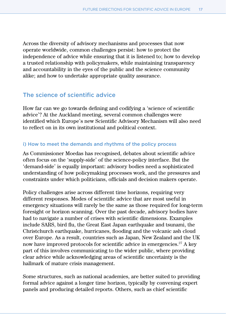Across the diversity of advisory mechanisms and processes that now operate worldwide, common challenges persist: how to protect the independence of advice while ensuring that it is listened to; how to develop a trusted relationship with policymakers, while maintaining transparency and accountability in the eyes of the public and the science community alike; and how to undertake appropriate quality assurance.

#### The science of scientific advice

How far can we go towards defining and codifying a 'science of scientific advice'? At the Auckland meeting, several common challenges were identified which Europe's new Scientific Advisory Mechanism will also need to reflect on in its own institutional and political context.

#### i) How to meet the demands and rhythms of the policy process

As Commissioner Moedas has recognised, debates about scientific advice often focus on the 'supply-side' of the science-policy interface. But the 'demand-side' is equally important: advisory bodies need a sophisticated understanding of how policymaking processes work, and the pressures and constraints under which politicians, officials and decision makers operate.

Policy challenges arise across different time horizons, requiring very different responses. Modes of scientific advice that are most useful in emergency situations will rarely be the same as those required for long-term foresight or horizon scanning. Over the past decade, advisory bodies have had to navigate a number of crises with scientific dimensions. Examples include SARS, bird flu, the Great East Japan earthquake and tsunami, the Christchurch earthquake, hurricanes, flooding and the volcanic ash cloud over Europe. As a result, countries such as Japan, New Zealand and the UK now have improved protocols for scientific advice in emergencies.27 A key part of this involves communicating to the wider public, where providing clear advice while acknowledging areas of scientific uncertainty is the hallmark of mature crisis management.

Some structures, such as national academies, are better suited to providing formal advice against a longer time horizon, typically by convening expert panels and producing detailed reports. Others, such as chief scientific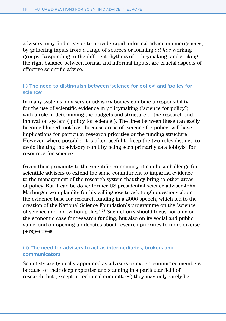advisers, may find it easier to provide rapid, informal advice in emergencies, by gathering inputs from a range of sources or forming *ad hoc* working groups. Responding to the different rhythms of policymaking, and striking the right balance between formal and informal inputs, are crucial aspects of effective scientific advice.

#### ii) The need to distinguish between 'science for policy' and 'policy for science'

In many systems, advisers or advisory bodies combine a responsibility for the use of scientific evidence in policymaking ('science for policy') with a role in determining the budgets and structure of the research and innovation system ('policy for science'). The lines between these can easily become blurred, not least because areas of 'science for policy' will have implications for particular research priorities or the funding structure. However, where possible, it is often useful to keep the two roles distinct, to avoid limiting the advisory remit by being seen primarily as a lobbyist for resources for science.

Given their proximity to the scientific community, it can be a challenge for scientific advisers to extend the same commitment to impartial evidence to the management of the research system that they bring to other areas of policy. But it can be done: former US presidential science adviser John Marburger won plaudits for his willingness to ask tough questions about the evidence base for research funding in a 2006 speech, which led to the creation of the National Science Foundation's programme on the 'science of science and innovation policy'.28 Such efforts should focus not only on the economic case for research funding, but also on its social and public value, and on opening up debates about research priorities to more diverse perspectives.29

#### iii) The need for advisers to act as intermediaries, brokers and communicators

Scientists are typically appointed as advisers or expert committee members because of their deep expertise and standing in a particular field of research, but (except in technical committees) they may only rarely be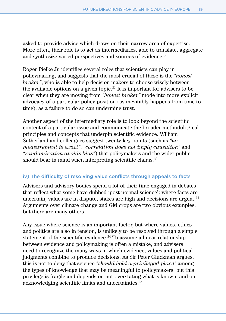asked to provide advice which draws on their narrow area of expertise. More often, their role is to act as intermediaries, able to translate, aggregate and synthesize varied perspectives and sources of evidence.<sup>30</sup>

Roger Pielke Jr. identifies several roles that scientists can play in policymaking, and suggests that the most crucial of these is the *"honest broker"*, who is able to help decision makers to choose wisely between the available options on a given topic.31 It is important for advisers to be clear when they are moving from *"honest broker"* mode into more explicit advocacy of a particular policy position (as inevitably happens from time to time), as a failure to do so can undermine trust.

Another aspect of the intermediary role is to look beyond the scientific content of a particular issue and communicate the broader methodological principles and concepts that underpin scientific evidence. William Sutherland and colleagues suggest twenty key points (such as *"no measurement is exact"*, *"correlation does not imply causation"* and *"randomization avoids bias"*) that policymakers and the wider public should bear in mind when interpreting scientific claims.<sup>32</sup>

#### iv) The difficulty of resolving value conflicts through appeals to facts

Advisers and advisory bodies spend a lot of their time engaged in debates that reflect what some have dubbed 'post-normal science': where facts are uncertain, values are in dispute, stakes are high and decisions are urgent.33 Arguments over climate change and GM crops are two obvious examples, but there are many others.

Any issue where science is an important factor, but where values, ethics and politics are also in tension, is unlikely to be resolved through a simple statement of the scientific evidence.<sup>34</sup> To assume a linear relationship between evidence and policymaking is often a mistake, and advisers need to recognize the many ways in which evidence, values and political judgments combine to produce decisions. As Sir Peter Gluckman argues, this is not to deny that science *"should hold a privileged place"* among the types of knowledge that may be meaningful to policymakers, but this privilege is fragile and depends on not overstating what is known, and on acknowledging scientific limits and uncertainties.<sup>35</sup>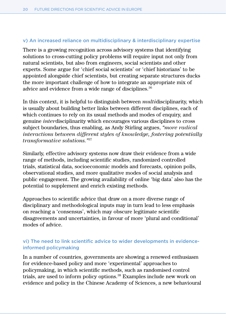#### v) An increased reliance on multidisciplinary & interdisciplinary expertise

There is a growing recognition across advisory systems that identifying solutions to cross-cutting policy problems will require input not only from natural scientists, but also from engineers, social scientists and other experts. Some argue for 'chief social scientists' or 'chief historians' to be appointed alongside chief scientists, but creating separate structures ducks the more important challenge of how to integrate an appropriate mix of advice and evidence from a wide range of disciplines.<sup>36</sup>

In this context, it is helpful to distinguish between *multi*disciplinarity, which is usually about building better links between different disciplines, each of which continues to rely on its usual methods and modes of enquiry, and genuine *inter*disciplinarity which encourages various disciplines to cross subject boundaries, thus enabling, as Andy Stirling argues, *"more radical interactions between different styles of knowledge, fostering potentially transformative solutions."*<sup>37</sup>

Similarly, effective advisory systems now draw their evidence from a wide range of methods, including scientific studies, randomized controlled trials, statistical data, socioeconomic models and forecasts, opinion polls, observational studies, and more qualitative modes of social analysis and public engagement. The growing availability of online 'big data' also has the potential to supplement and enrich existing methods.

Approaches to scientific advice that draw on a more diverse range of disciplinary and methodological inputs may in turn lead to less emphasis on reaching a 'consensus', which may obscure legitimate scientific disagreements and uncertainties, in favour of more 'plural and conditional' modes of advice.

#### vi) The need to link scientific advice to wider developments in evidenceinformed policymaking

In a number of countries, governments are showing a renewed enthusiasm for evidence-based policy and more 'experimental' approaches to policymaking, in which scientific methods, such as randomised control trials, are used to inform policy options.38 Examples include new work on evidence and policy in the Chinese Academy of Sciences, a new behavioural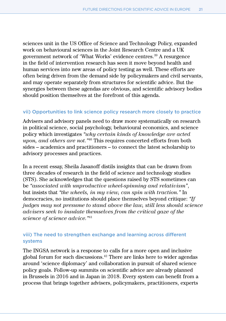sciences unit in the US Office of Science and Technology Policy, expanded work on behavioural sciences in the Joint Research Centre and a UK government network of 'What Works' evidence centres.39 A resurgence in the field of intervention research has seen it move beyond health and human services into new areas of policy testing as well. These efforts are often being driven from the demand side by policymakers and civil servants, and may operate separately from structures for scientific advice. But the synergies between these agendas are obvious, and scientific advisory bodies should position themselves at the forefront of this agenda.

#### vii) Opportunities to link science policy research more closely to practice

Advisers and advisory panels need to draw more systematically on research in political science, social psychology, behavioural economics, and science policy which investigates *"why certain kinds of knowledge are acted upon, and others are not."*40 This requires concerted efforts from both sides – academics and practitioners – to connect the latest scholarship to advisory processes and practices.

In a recent essay, Sheila Jasanoff distils insights that can be drawn from three decades of research in the field of science and technology studies (STS). She acknowledges that the questions raised by STS sometimes can be *"associated with unproductive wheel-spinning and relativism"*, but insists that *"the wheels, in my view, can spin with traction."* In democracies, no institutions should place themselves beyond critique: *"If judges may not presume to stand above the law, still less should science advisers seek to insulate themselves from the critical gaze of the science of science advice."*<sup>41</sup>

#### viii) The need to strengthen exchange and learning across different systems

The INGSA network is a response to calls for a more open and inclusive global forum for such discussions.42 There are links here to wider agendas around 'science diplomacy' and collaboration in pursuit of shared science policy goals. Follow-up summits on scientific advice are already planned in Brussels in 2016 and in Japan in 2018. Every system can benefit from a process that brings together advisers, policymakers, practitioners, experts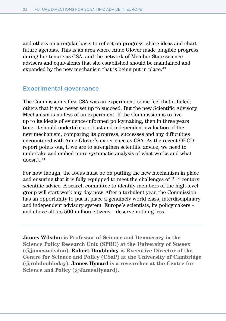and others on a regular basis to reflect on progress, share ideas and chart future agendas. This is an area where Anne Glover made tangible progress during her tenure as CSA, and the network of Member State science advisers and equivalents that she established should be maintained and expanded by the new mechanism that is being put in place.<sup>43</sup>

#### Experimental governance

The Commission's first CSA was an experiment: some feel that it failed; others that it was never set up to succeed. But the new Scientific Advisory Mechanism is no less of an experiment. If the Commission is to live up to its ideals of evidence-informed policymaking, then in three years time, it should undertake a robust and independent evaluation of the new mechanism, comparing its progress, successes and any difficulties encountered with Anne Glover's experience as CSA. As the recent OECD report points out, if we are to strengthen scientific advice, we need to undertake and embed more systematic analysis of what works and what doesn't.44

For now though, the focus must be on putting the new mechanism in place and ensuring that it is fully equipped to meet the challenges of  $21<sup>st</sup>$  century scientific advice. A search committee to identify members of the high-level group will start work any day now. After a turbulent year, the Commission has an opportunity to put in place a genuinely world class, interdisciplinary and independent advisory system. Europe's scientists, its policymakers – and above all, its 500 million citizens – deserve nothing less.

**James Wilsdon is Professor of Science and Democracy in the Science Policy Research Unit (SPRU) at the University of Sussex (@jameswilsdon). Robert Doubleday is Executive Director of the Centre for Science and Policy (CSaP) at the University of Cambridge (@robdoubleday). James Hynard is a researcher at the Centre for Science and Policy (@JamesHynard).**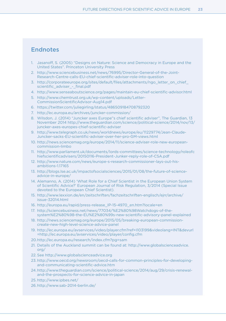#### Endnotes

- 1. Jasanoff, S. (2005) "Designs on Nature: Science and Democracy in Europe and the United States". Princeton University Press
- 2. [http://www.sciencebusiness.net/news/76995/Director-General-of-the-Joint-](http://www.sciencebusiness.net/news/76995/Director-General-of-the-Joint-Research-Centre-calls-EU-chief-scientific-adviser-role-into-question)[Research-Centre-calls-EU-chief-scientific-adviser-role-into-question](http://www.sciencebusiness.net/news/76995/Director-General-of-the-Joint-Research-Centre-calls-EU-chief-scientific-adviser-role-into-question)
- 3. [http://corporateeurope.org/sites/default/files/attachments/ngo\\_letter\\_on\\_chief\\_](http://corporateeurope.org/sites/default/files/attachments/ngo_letter_on_chief_scientific_adviser_-_final.pdf) scientific\_adviser\_-\_final.pdf
- 4. <http://www.senseaboutscience.org/pages/maintain-eu-chief-scientific-advisor.html>
- 5. [http://www.chemtrust.org.uk/wp-content/uploads/Letter-](http://www.chemtrust.org.uk/wp-content/uploads/Letter-CommissionScientificAdvisor-Aug14.pdf)[CommissionScientificAdvisor-Aug14.pdf](http://www.chemtrust.org.uk/wp-content/uploads/Letter-CommissionScientificAdvisor-Aug14.pdf)
- 6. <https://twitter.com/juliegirling/status/486509184708792320>
- 7. <http://ec.europa.eu/archives/juncker-commission/>
- 8. Wilsdon, J. (2014) "Juncker axes Europe"s chief scientific adviser", The Guardian, 13 November 2014 [http://www.theguardian.com/science/political-science/2014/nov/13/](http://www.theguardian.com/science/political-science/2014/nov/13/juncker-axes-europes-chief-scientific-adviser) [juncker-axes-europes-chief-scientific-adviser](http://www.theguardian.com/science/political-science/2014/nov/13/juncker-axes-europes-chief-scientific-adviser)
- 9. [http://www.telegraph.co.uk/news/worldnews/europe/eu/11229774/Jean-Claude-](http://www.telegraph.co.uk/news/worldnews/europe/eu/11229774/Jean-Claude-Juncker-sacks-EU-scientific-adviser-over-her-pro-GM-views.html)[Juncker-sacks-EU-scientific-adviser-over-her-pro-GM-views.html](http://www.telegraph.co.uk/news/worldnews/europe/eu/11229774/Jean-Claude-Juncker-sacks-EU-scientific-adviser-over-her-pro-GM-views.html)
- 10. [http://news.sciencemag.org/europe/2014/11/science-adviser-role-new-european](http://news.sciencemag.org/europe/2014/11/science-adviser-role-new-european-commission-limbo)[commission-limbo](http://news.sciencemag.org/europe/2014/11/science-adviser-role-new-european-commission-limbo)
- 11. [http://www.parliament.uk/documents/lords-committees/science-technology/roleofc](http://www.parliament.uk/documents/lords-committees/science-technology/roleofchiefscientificadvisers/20150116-President-Junker-reply-role-of-CSA.pdf) [hiefscientificadvisers/20150116-President-Junker-reply-role-of-CSA.pdf](http://www.parliament.uk/documents/lords-committees/science-technology/roleofchiefscientificadvisers/20150116-President-Junker-reply-role-of-CSA.pdf)
- 12. [http://www.nature.com/news/europe-s-research-commissioner-lays-out-his](http://www.nature.com/news/europe-s-research-commissioner-lays-out-his-ambitions-1.17165)[ambitions-1.17165](http://www.nature.com/news/europe-s-research-commissioner-lays-out-his-ambitions-1.17165)
- 13. [http://blogs.lse.ac.uk/impactofsocialsciences/2015/01/08/the-future-of-science](http://blogs.lse.ac.uk/impactofsocialsciences/2015/01/08/the-future-of-science-advice-in-europe/)[advice-in-europe/](http://blogs.lse.ac.uk/impactofsocialsciences/2015/01/08/the-future-of-science-advice-in-europe/)
- 14. Alemanno, A. (2014) 'What Role for a Chief Scientist in the European Union System of Scientific Advice?' European Journal of Risk Regulation, 3/2014 (Special Issue devoted to the European Chief Scientist).
- 15. [http://www.lexxion.de/en/zeitschriften/fachzeitschriften-englisch/ejrr/archive/](http://www.lexxion.de/en/zeitschriften/fachzeitschriften-englisch/ejrr/archive/issue-32014.html) [issue-32014.html](http://www.lexxion.de/en/zeitschriften/fachzeitschriften-englisch/ejrr/archive/issue-32014.html)
- 16. [http://europa.eu/rapid/press-release\\_IP-15-4970\\_en.htm?locale=en](http://europa.eu/rapid/press-release_IP-15-4970_en.htm?locale=en)
- 17. [http://sciencebusiness.net/news/77034/%E2%80%98Watchdogs-of-the](http://sciencebusiness.net/news/77034/%E2%80%98Watchdogs-of-the-system%E2%80%98-the-EU%E2%80%99s-new-scientific-advisory-panel-explained)[system%E2%80%98-the-EU%E2%80%99s-new-scientific-advisory-panel-explained](http://sciencebusiness.net/news/77034/%E2%80%98Watchdogs-of-the-system%E2%80%98-the-EU%E2%80%99s-new-scientific-advisory-panel-explained)
- 18. [http://news.sciencemag.org/europe/2015/05/breaking-european-commission](http://news.sciencemag.org/europe/2015/05/breaking-european-commission-create-new-high-level-science-advice-panel)[create-new-high-level-science-advice-panel](http://news.sciencemag.org/europe/2015/05/breaking-european-commission-create-new-high-level-science-advice-panel)
- 19. [http://ec.europa.eu/avservices/video/player.cfm?ref=I103199&videolang=INT&devurl](http://ec.europa.eu/avservices/video/player.cfm?ref=I103199&videolang=INT&devurl=http://ec.europa.eu/avservices/video/player/config.cfm) [=http://ec.europa.eu/avservices/video/player/config.cfm](http://ec.europa.eu/avservices/video/player.cfm?ref=I103199&videolang=INT&devurl=http://ec.europa.eu/avservices/video/player/config.cfm)
- 20.<http://ec.europa.eu/research/index.cfm?pg=sam>
- 21. Details of the Auckland summit can be found at: [http://www.globalscienceadvice.](http://www.globalscienceadvice.org/) [org/](http://www.globalscienceadvice.org/)
- 22. See <http://www.globalscienceadvice.org>
- 23. [http://www.oecd.org/newsroom/oecd-calls-for-common-principles-for-developing](http://www.oecd.org/newsroom/oecd-calls-for-common-principles-for-developing-and-communicating-scientific-advice.htm)[and-communicating-scientific-advice.htm](http://www.oecd.org/newsroom/oecd-calls-for-common-principles-for-developing-and-communicating-scientific-advice.htm)
- 24.[http://www.theguardian.com/science/political-science/2014/aug/29/crisis-renewal](http://www.theguardian.com/science/political-science/2014/aug/29/crisis-renewal-and-the-prospects-for-science-advice-in-japan)[and-the-prospects-for-science-advice-in-japan](http://www.theguardian.com/science/political-science/2014/aug/29/crisis-renewal-and-the-prospects-for-science-advice-in-japan)
- 25. <http://www.ipbes.net/>
- 26.<http://www.sab-2014-berlin.de/>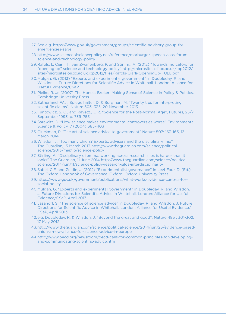- 27. See e.g. [https://www.gov.uk/government/groups/scientific-advisory-group-for](https://www.gov.uk/government/groups/scientific-advisory-group-for-emergencies-sage)[emergencies-sage](https://www.gov.uk/government/groups/scientific-advisory-group-for-emergencies-sage)
- 28.[http://www.scienceofsciencepolicy.net/reference/marburger-speech-aaas-forum](http://www.scienceofsciencepolicy.net/reference/marburger-speech-aaas-forum-science-and-technology-policy)[science-and-technology-policy](http://www.scienceofsciencepolicy.net/reference/marburger-speech-aaas-forum-science-and-technology-policy)
- 29.Rafols, I., Ciarli, T., van Zwanenberg, P. and Stirling, A. (2012) "Towards indicators for "opening up" science and technology policy" [http://microsites.oii.ox.ac.uk/ipp2012/](http://microsites.oii.ox.ac.uk/ipp2012/sites/microsites.oii.ox.ac.uk.ipp2012/files/Rafols-Ciarli-OpeningUp-FULL.pdf) [sites/microsites.oii.ox.ac.uk.ipp2012/files/Rafols-Ciarli-OpeningUp-FULL.pdf](http://microsites.oii.ox.ac.uk/ipp2012/sites/microsites.oii.ox.ac.uk.ipp2012/files/Rafols-Ciarli-OpeningUp-FULL.pdf)
- 30.Mulgan, G. (2013) "Experts and experimental government" in Doubleday, R. and Wilsdon, J. Future Directions for Scientific Advice in Whitehall. London: Alliance for Useful Evidence/CSaP
- 31. Pielke, R. Jr. (2007) The Honest Broker: Making Sense of Science in Policy & Politics, Cambridge University Press.
- 32. Sutherland, W.J., Spiegelhalter, D. & Burgman, M. "Twenty tips for interpreting scientific claims", Nature 503: 335, 20 November 2013
- 33.Funtowicz, S. O., and Ravetz., J. R. "Science for the Post-Normal Age", Futures, 25/7 September 1993, p. 739–755.
- 34.Sarewitz, D. "How science makes environmental controversies worse" Environmental Science & Policy, 7 (2004) 385–403
- 35.Gluckman, P. "The art of science advice to government" Nature 507: 163-165, 13 March 2014
- 36.Wilsdon, J. "Too many chiefs? Experts, advisers and the disciplinary mix" The Guardian, 15 March 2013 [http://www.theguardian.com/science/political](http://www.theguardian.com/science/political-science/2013/mar/15/science-policy)[science/2013/mar/15/science-policy](http://www.theguardian.com/science/political-science/2013/mar/15/science-policy)
- 37. Stirling, A. "Disciplinary dilemma: working across research silos is harder than it looks" The Guardian, 11 June 2014 [http://www.theguardian.com/science/political](http://www.theguardian.com/science/political-science/2014/jun/11/science-policy-research-silos-interdisciplinarity)[science/2014/jun/11/science-policy-research-silos-interdisciplinarity](http://www.theguardian.com/science/political-science/2014/jun/11/science-policy-research-silos-interdisciplinarity)
- 38.Sabel, C.F. and Zeitlin, J. (2012) "Experimentalist governance" in Levi-Faur, D. (Ed.) The Oxford Handbook of Governance. Oxford: Oxford University Press.
- 39.[https://www.gov.uk/government/publications/what-works-evidence-centres-for](https://www.gov.uk/government/publications/what-works-evidence-centres-for-social-policy)[social-policy](https://www.gov.uk/government/publications/what-works-evidence-centres-for-social-policy)
- 40.Mulgan, G. "Experts and experimental government" in Doubleday, R. and Wilsdon, J. Future Directions for Scientific Advice in Whitehall. London: Alliance for Useful Evidence/CSaP, April 2013
- 41. Jasanoff, S. "The science of science advice" in Doubleday, R. and Wilsdon, J. Future Directions for Scientific Advice in Whitehall. London: Alliance for Useful Evidence/ CSaP, April 2013
- 42.e.g. Doubleday, R. & Wilsdon, J. "Beyond the great and good", Nature 485 : 301-302, 17 May 2012
- 43.[http://www.theguardian.com/science/political-science/2014/jun/23/evidence-based](http://www.theguardian.com/science/political-science/2014/jun/23/evidence-based-union-a-new-alliance-for-science-advice-in-europe)[union-a-new-alliance-for-science-advice-in-europe](http://www.theguardian.com/science/political-science/2014/jun/23/evidence-based-union-a-new-alliance-for-science-advice-in-europe)
- 44[.http://www.oecd.org/newsroom/oecd-calls-for-common-principles-for-developing](http://www.oecd.org/newsroom/oecd-calls-for-common-principles-for-developing-and-communicating-scientific-advice.htm)[and-communicating-scientific-advice.htm](http://www.oecd.org/newsroom/oecd-calls-for-common-principles-for-developing-and-communicating-scientific-advice.htm)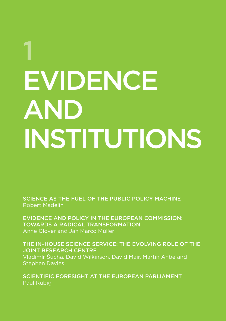# 1 EVIDENCE AND INSTITUTIONS

SCIENCE AS THE FUEL OF THE PUBLIC POLICY MACHINE Robert Madelin

EVIDENCE AND POLICY IN THE EUROPEAN COMMISSION: TOWARDS A RADICAL TRANSFORMATION Anne Glover and Jan Marco Müller

#### THE IN–HOUSE SCIENCE SERVICE: THE EVOLVING ROLE OF THE JOINT RESEARCH CENTRE

Vladimír Šucha, David Wilkinson, David Mair, Martin Ahbe and Stephen Davies

SCIENTIFIC FORESIGHT AT THE EUROPEAN PARLIAMENT Paul Rübig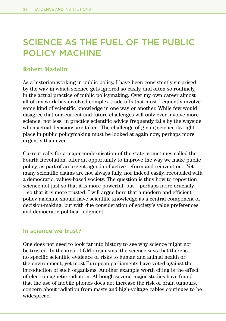## SCIENCE AS THE FUEL OF THE PUBLIC POLICY MACHINE

#### **Robert Madelin**

As a historian working in public policy, I have been consistently surprised by the way in which science gets ignored so easily, and often so routinely, in the actual practice of public policymaking. Over my own career almost all of my work has involved complex trade-offs that most frequently involve some kind of scientific knowledge in one way or another. While few would disagree that our current and future challenges will only ever involve more science, not less, in practice scientific advice frequently falls by the wayside when actual decisions are taken. The challenge of giving science its right place in public policymaking must be looked at again now, perhaps more urgently than ever.

Current calls for a major modernisation of the state, sometimes called the Fourth Revolution, offer an opportunity to improve the way we make public policy, as part of an urgent agenda of active reform and reinvention.<sup>1</sup> Yet many scientific claims are not always fully, nor indeed easily, reconciled with a democratic, values-based society. The question is thus how to reposition science not just so that it is more powerful, but – perhaps more crucially – so that it is more trusted. I will argue here that a modern and efficient policy machine should have scientific knowledge as a central component of decision-making, but with due consideration of society's value preferences and democratic political judgment.

#### In science we trust?

One does not need to look far into history to see why science might not be trusted. In the area of GM organisms, the science says that there is no specific scientific evidence of risks to human and animal health or the environment, yet most European parliaments have voted against the introduction of such organisms. Another example worth citing is the effect of electromagnetic radiation. Although several major studies have found that the use of mobile phones does not increase the risk of brain tumours, concern about radiation from masts and high-voltage cables continues to be widespread.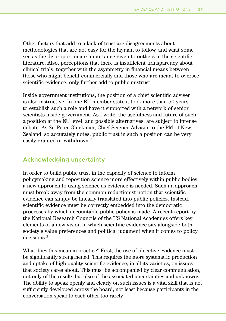Other factors that add to a lack of trust are disagreements about methodologies that are not easy for the layman to follow, and what some see as the disproportionate importance given to outliers in the scientific literature. Also, perceptions that there is insufficient transparency about clinical trials, together with the asymmetry in financial means between those who might benefit commercially and those who are meant to oversee scientific evidence, only further add to public mistrust.

Inside government institutions, the position of a chief scientific adviser is also instructive. In one EU member state it took more than 50 years to establish such a role and have it supported with a network of senior scientists inside government. As I write, the usefulness and future of such a position at the EU level, and possible alternatives, are subject to intense debate. As Sir Peter Gluckman, Chief Science Advisor to the PM of New Zealand, so accurately notes, public trust in such a position can be very easily granted or withdrawn.<sup>2</sup>

#### Acknowledging uncertainty

In order to build public trust in the capacity of science to inform policymaking and reposition science more effectively within public bodies, a new approach to using science as evidence is needed. Such an approach must break away from the common reductionist notion that scientific evidence can simply be linearly translated into public policies. Instead, scientific evidence must be correctly embedded into the democratic processes by which accountable public policy is made. A recent report by the National Research Councils of the US National Academies offers key elements of a new vision in which scientific evidence sits alongside both society's value preferences and political judgment when it comes to policy decisions.<sup>3</sup>

What does this mean in practice? First, the use of objective evidence must be significantly strengthened. This requires the more systematic production and uptake of high-quality scientific evidence, in all its varieties, on issues that society cares about. This must be accompanied by clear communication, not only of the results but also of the associated uncertainties and unknowns. The ability to speak openly and clearly on such issues is a vital skill that is not sufficiently developed across the board, not least because participants in the conversation speak to each other too rarely.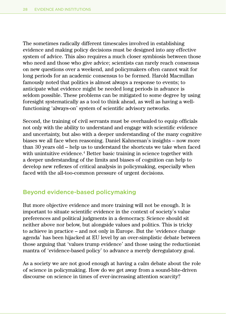The sometimes radically different timescales involved in establishing evidence and making policy decisions must be designed into any effective system of advice. This also requires a much closer symbiosis between those who need and those who give advice; scientists can rarely reach consensus on new questions over a weekend, and policymakers often cannot wait for long periods for an academic consensus to be formed. Harold Macmillan famously noted that politics is almost always a response to events; to anticipate what evidence might be needed long periods in advance is seldom possible. These problems can be mitigated to some degree by using foresight systematically as a tool to think ahead, as well as having a wellfunctioning 'always-on' system of scientific advisory networks.

Second, the training of civil servants must be overhauled to equip officials not only with the ability to understand and engage with scientific evidence and uncertainty, but also with a deeper understanding of the many cognitive biases we all face when reasoning. Daniel Kahneman's insights – now more than 30 years old – help us to understand the shortcuts we take when faced with unintuitive evidence.<sup>4</sup> Better basic training in science together with a deeper understanding of the limits and biases of cognition can help to develop new reflexes of critical analysis in policymaking, especially when faced with the all-too-common pressure of urgent decisions.

#### Beyond evidence-based policymaking

But more objective evidence and more training will not be enough. It is important to situate scientific evidence in the context of society's value preferences and political judgments in a democracy. Science should sit neither above nor below, but alongside values and politics. This is tricky to achieve in practice – and not only in Europe. But the 'evidence change agenda' has been hijacked at EU level by an over-simplistic debate between those arguing that 'values trump evidence' and those using the reductionist mantra of 'evidence-based policy' to advance a merely deregulatory goal.

As a society we are not good enough at having a calm debate about the role of science in policymaking. How do we get away from a sound-bite-driven discourse on science in times of ever-increasing attention scarcity?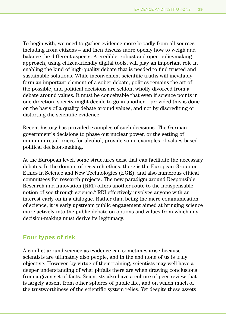To begin with, we need to gather evidence more broadly from all sources – including from citizens – and then discuss more openly how to weigh and balance the different aspects. A credible, robust and open policymaking approach, using citizen-friendly digital tools, will play an important role in enabling the kind of high-quality debate that is needed to find trusted and sustainable solutions. While inconvenient scientific truths will inevitably form an important element of a sober debate, politics remains the art of the possible, and political decisions are seldom wholly divorced from a debate around values. It must be conceivable that even if science points in one direction, society might decide to go in another – provided this is done on the basis of a quality debate around values, and not by discrediting or distorting the scientific evidence.

Recent history has provided examples of such decisions. The German government's decisions to phase out nuclear power, or the setting of minimum retail prices for alcohol, provide some examples of values-based political decision-making.

At the European level, some structures exist that can facilitate the necessary debates. In the domain of research ethics, there is the European Group on Ethics in Science and New Technologies (EGE), and also numerous ethical committees for research projects. The new paradigm around Responsible Research and Innovation (RRI) offers another route to the indispensable notion of see-through science.5 RRI effectively involves anyone with an interest early on in a dialogue. Rather than being the mere communication of science, it is early upstream public engagement aimed at bringing science more actively into the public debate on options and values from which any decision-making must derive its legitimacy.

#### Four types of risk

A conflict around science as evidence can sometimes arise because scientists are ultimately also people, and in the end none of us is truly objective. However, by virtue of their training, scientists may well have a deeper understanding of what pitfalls there are when drawing conclusions from a given set of facts. Scientists also have a culture of peer review that is largely absent from other spheres of public life, and on which much of the trustworthiness of the scientific system relies. Yet despite these assets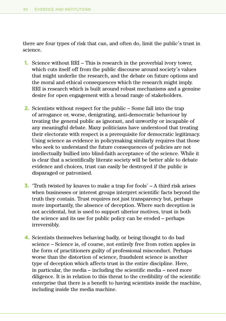there are four types of risk that can, and often do, limit the public's trust in science.

- **1.** Science without RRI This is research in the proverbial ivory tower, which cuts itself off from the public discourse around society's values that might underlie the research, and the debate on future options and the moral and ethical consequences which the research might imply. RRI is research which is built around robust mechanisms and a genuine desire for open engagement with a broad range of stakeholders.
- **2.** Scientists without respect for the public Some fall into the trap of arrogance or, worse, denigrating, anti-democratic behaviour by treating the general public as ignorant, and unworthy or incapable of any meaningful debate. Many politicians have understood that treating their electorate with respect is a prerequisite for democratic legitimacy. Using science as evidence in policymaking similarly requires that those who seek to understand the future consequences of policies are not intellectually bullied into blind-faith acceptance of the science. While it is clear that a scientifically literate society will be better able to debate evidence and choices, trust can easily be destroyed if the public is disparaged or patronised.
- **3.** 'Truth twisted by knaves to make a trap for fools' A third risk arises when businesses or interest groups interpret scientific facts beyond the truth they contain. Trust requires not just transparency but, perhaps more importantly, the absence of deception. Where such deception is not accidental, but is used to support ulterior motives, trust in both the science and its use for public policy can be eroded – perhaps irreversibly.
- **4.** Scientists themselves behaving badly, or being thought to do bad science – Science is, of course, not entirely free from rotten apples in the form of practitioners guilty of professional misconduct. Perhaps worse than the distortion of science, fraudulent science is another type of deception which affects trust in the entire discipline. Here, in particular, the media – including the scientific media – need more diligence. It is in relation to this threat to the credibility of the scientific enterprise that there is a benefit to having scientists inside the machine, including inside the media machine.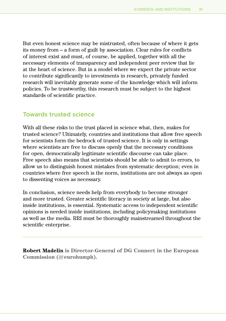But even honest science may be mistrusted, often because of where it gets its money from – a form of guilt by association. Clear rules for conflicts of interest exist and must, of course, be applied, together with all the necessary elements of transparency and independent peer review that lie at the heart of science. But in a model where we expect the private sector to contribute significantly to investments in research, privately funded research will inevitably generate some of the knowledge which will inform policies. To be trustworthy, this research must be subject to the highest standards of scientific practice.

#### Towards trusted science

With all these risks to the trust placed in science what, then, makes for trusted science? Ultimately, countries and institutions that allow free speech for scientists form the bedrock of trusted science. It is only in settings where scientists are free to discuss openly that the necessary conditions for open, democratically legitimate scientific discourse can take place. Free speech also means that scientists should be able to admit to errors, to allow us to distinguish honest mistakes from systematic deception; even in countries where free speech is the norm, institutions are not always as open to dissenting voices as necessary.

In conclusion, science needs help from everybody to become stronger and more trusted. Greater scientific literacy in society at large, but also inside institutions, is essential. Systematic access to independent scientific opinions is needed inside institutions, including policymaking institutions as well as the media. RRI must be thoroughly mainstreamed throughout the scientific enterprise.

**Robert Madelin is Director-General of DG Connect in the European Commission (@eurohumph).**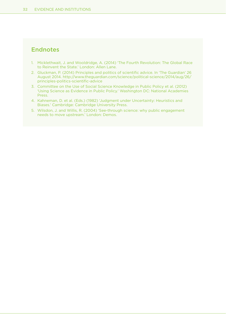#### Endnotes

- 1. Micklethwait, J. and Wooldridge, A. (2014) 'The Fourth Revolution: The Global Race to Reinvent the State.' London: Allen Lane.
- 2. Gluckman, P. (2014) Principles and politics of scientific advice. In 'The Guardian' 26 August 2014. [http://www.theguardian.com/science/political-science/2014/aug/26/](http://www.theguardian.com/science/political-science/2014/aug/26/principles-politics-scientific-advice) [principles-politics-scientific-advice](http://www.theguardian.com/science/political-science/2014/aug/26/principles-politics-scientific-advice)
- 3. Committee on the Use of Social Science Knowledge in Public Policy et al. (2012) 'Using Science as Evidence in Public Policy.' Washington DC: National Academies Press.
- 4. Kahneman, D. et al. (Eds.) (1982) 'Judgment under Uncertainty: Heuristics and Biases.' Cambridge: Cambridge University Press.
- 5. Wilsdon, J. and Willis, R. (2004) 'See-through science: why public engagement needs to move upstream.' London: Demos.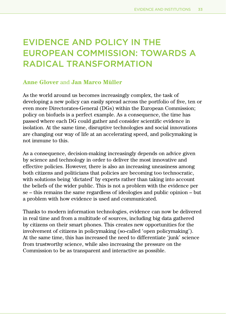## EVIDENCE AND POLICY IN THE EUROPEAN COMMISSION: TOWARDS A RADICAL TRANSFORMATION

#### **Anne Glover** and **Jan Marco Müller**

As the world around us becomes increasingly complex, the task of developing a new policy can easily spread across the portfolio of five, ten or even more Directorates-General (DGs) within the European Commission; policy on biofuels is a perfect example. As a consequence, the time has passed where each DG could gather and consider scientific evidence in isolation. At the same time, disruptive technologies and social innovations are changing our way of life at an accelerating speed, and policymaking is not immune to this.

As a consequence, decision-making increasingly depends on advice given by science and technology in order to deliver the most innovative and effective policies. However, there is also an increasing uneasiness among both citizens and politicians that policies are becoming too technocratic, with solutions being 'dictated' by experts rather than taking into account the beliefs of the wider public. This is not a problem with the evidence per se – this remains the same regardless of ideologies and public opinion – but a problem with how evidence is used and communicated.

Thanks to modern information technologies, evidence can now be delivered in real time and from a multitude of sources, including big data gathered by citizens on their smart phones. This creates new opportunities for the involvement of citizens in policymaking (so-called 'open policymaking'). At the same time, this has increased the need to differentiate 'junk' science from trustworthy science, while also increasing the pressure on the Commission to be as transparent and interactive as possible.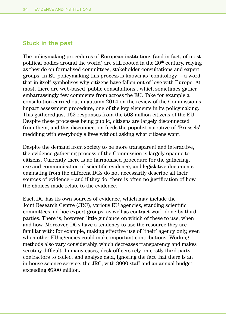#### Stuck in the past

The policymaking procedures of European institutions (and in fact, of most political bodies around the world) are still rooted in the  $20<sup>th</sup>$  century, relying as they do on formalised committees, stakeholder consultations and expert groups. In EU policymaking this process is known as 'comitology' – a word that in itself symbolises why citizens have fallen out of love with Europe. At most, there are web-based 'public consultations', which sometimes gather embarrassingly few comments from across the EU. Take for example a consultation carried out in autumn 2014 on the review of the Commission's impact assessment procedure, one of the key elements in its policymaking. This gathered just 162 responses from the 508 million citizens of the EU. Despite these processes being public, citizens are largely disconnected from them, and this disconnection feeds the populist narrative of 'Brussels' meddling with everybody's lives without asking what citizens want.

Despite the demand from society to be more transparent and interactive, the evidence-gathering process of the Commission is largely opaque to citizens. Currently there is no harmonised procedure for the gathering, use and communication of scientific evidence, and legislative documents emanating from the different DGs do not necessarily describe all their sources of evidence – and if they do, there is often no justification of how the choices made relate to the evidence.

Each DG has its own sources of evidence, which may include the Joint Research Centre (JRC), various EU agencies, standing scientific committees, ad hoc expert groups, as well as contract work done by third parties. There is, however, little guidance on which of these to use, when and how. Moreover, DGs have a tendency to use the resource they are familiar with: for example, making effective use of 'their' agency only, even when other EU agencies could make important contributions. Working methods also vary considerably, which decreases transparency and makes scrutiny difficult. In many cases, desk officers rely on costly third-party contractors to collect and analyse data, ignoring the fact that there is an in-house science service, the JRC, with 3000 staff and an annual budget exceeding €300 million.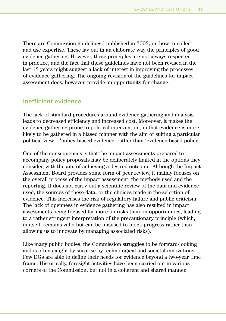There are Commission guidelines, $^1$  published in 2002, on how to collect and use expertise. These lay out in an elaborate way the principles of good evidence gathering. However, these principles are not always respected in practice, and the fact that these guidelines have not been revised in the last 12 years might suggest a lack of interest in improving the processes of evidence gathering. The ongoing revision of the guidelines for impact assessment does, however, provide an opportunity for change.

#### Inefficient evidence

The lack of standard procedures around evidence gathering and analysis leads to decreased efficiency and increased cost. Moreover, it makes the evidence gathering prone to political intervention, in that evidence is more likely to be gathered in a biased manner with the aim of suiting a particular political view – 'policy-biased evidence' rather than 'evidence-based policy'.

One of the consequences is that the impact assessments prepared to accompany policy proposals may be deliberately limited in the options they consider, with the aim of achieving a desired outcome. Although the Impact Assessment Board provides some form of peer review, it mainly focuses on the overall process of the impact assessment, the methods used and the reporting. It does not carry out a scientific review of the data and evidence used, the sources of these data, or the choices made in the selection of evidence. This increases the risk of regulatory failure and public criticism. The lack of openness in evidence gathering has also resulted in impact assessments being focused far more on risks than on opportunities, leading to a rather stringent interpretation of the precautionary principle (which, in itself, remains valid but can be misused to block progress rather than allowing us to innovate by managing associated risks).

Like many public bodies, the Commission struggles to be forward-looking and is often caught by surprise by technological and societal innovations. Few DGs are able to define their needs for evidence beyond a two-year time frame. Historically, foresight activities have been carried out in various corners of the Commission, but not in a coherent and shared manner.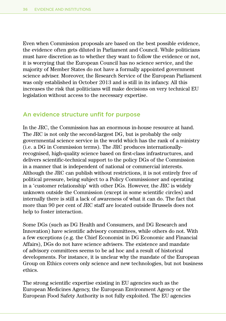Even when Commission proposals are based on the best possible evidence, the evidence often gets diluted in Parliament and Council. While politicians must have discretion as to whether they want to follow the evidence or not, it is worrying that the European Council has no science service, and the majority of Member States do not have a formally appointed government science adviser. Moreover, the Research Service of the European Parliament was only established in October 2013 and is still in its infancy. All this increases the risk that politicians will make decisions on very technical EU legislation without access to the necessary expertise.

#### An evidence structure unfit for purpose

In the JRC, the Commission has an enormous in-house resource at hand. The JRC is not only the second-largest DG, but is probably the only governmental science service in the world which has the rank of a ministry (i.e. a DG in Commission terms). The JRC produces internationallyrecognised, high-quality science based on first-class infrastructures, and delivers scientific-technical support to the policy DGs of the Commission in a manner that is independent of national or commercial interests. Although the JRC can publish without restrictions, it is not entirely free of political pressure, being subject to a Policy Commissioner and operating in a 'customer relationship' with other DGs. However, the JRC is widely unknown outside the Commission (except in some scientific circles) and internally there is still a lack of awareness of what it can do. The fact that more than 90 per cent of JRC staff are located outside Brussels does not help to foster interaction.

Some DGs (such as DG Health and Consumers, and DG Research and Innovation) have scientific advisory committees, while others do not. With a few exceptions (e.g. the Chief Economist in DG Economic and Financial Affairs), DGs do not have science advisers. The existence and mandate of advisory committees seems to be ad hoc and a result of historical developments. For instance, it is unclear why the mandate of the European Group on Ethics covers only science and new technologies, but not business ethics.

The strong scientific expertise existing in EU agencies such as the European Medicines Agency, the European Environment Agency or the European Food Safety Authority is not fully exploited. The EU agencies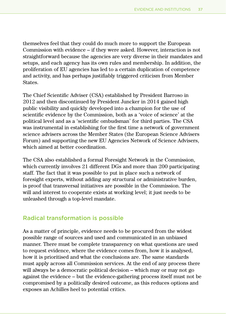themselves feel that they could do much more to support the European Commission with evidence – if they were asked. However, interaction is not straightforward because the agencies are very diverse in their mandates and setups, and each agency has its own rules and membership. In addition, the proliferation of EU agencies has led to a certain duplication of competence and activity, and has perhaps justifiably triggered criticism from Member States.

The Chief Scientific Adviser (CSA) established by President Barroso in 2012 and then discontinued by President Juncker in 2014 gained high public visibility and quickly developed into a champion for the use of scientific evidence by the Commission, both as a 'voice of science' at the political level and as a 'scientific ombudsman' for third parties. The CSA was instrumental in establishing for the first time a network of government science advisers across the Member States (the European Science Advisers Forum) and supporting the new EU Agencies Network of Science Advisers, which aimed at better coordination.

The CSA also established a formal Foresight Network in the Commission, which currently involves 21 different DGs and more than 200 participating staff. The fact that it was possible to put in place such a network of foresight experts, without adding any structural or administrative burden, is proof that transversal initiatives are possible in the Commission. The will and interest to cooperate exists at working level; it just needs to be unleashed through a top-level mandate.

# Radical transformation is possible

As a matter of principle, evidence needs to be procured from the widest possible range of sources and used and communicated in an unbiased manner. There must be complete transparency on what questions are used to request evidence, where the evidence comes from, how it is analysed, how it is prioritised and what the conclusions are. The same standards must apply across all Commission services. At the end of any process there will always be a democratic political decision – which may or may not go against the evidence – but the evidence-gathering process itself must not be compromised by a politically desired outcome, as this reduces options and exposes an Achilles heel to potential critics.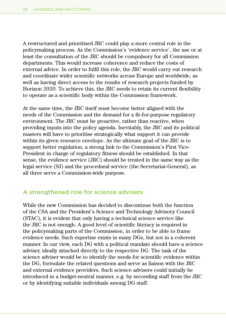A restructured and prioritised JRC could play a more central role in the policymaking process. As the Commission's 'evidence service', the use or at least the consultation of the JRC should be compulsory for all Commission departments. This would increase coherence and reduce the costs of external advice. In order to fulfil this role, the JRC would carry out research and coordinate wider scientific networks across Europe and worldwide, as well as having direct access to the results of research projects funded by Horizon 2020. To achieve this, the JRC needs to retain its current flexibility to operate as a scientific body within the Commission framework.

At the same time, the JRC itself must become better aligned with the needs of the Commission and the demand for a fit-for-purpose regulatory environment. The JRC must be proactive, rather than reactive, when providing inputs into the policy agenda. Inevitably, the JRC and its political masters will have to prioritise strategically what support it can provide within its given resource envelope. As the ultimate goal of the JRC is to support better regulation, a strong link to the Commission's First Vice-President in charge of regulatory fitness should be established. In that sense, the evidence service (JRC) should be treated in the same way as the legal service (SJ) and the procedural service (the Secretariat-General), as all three serve a Commission-wide purpose.

#### A strengthened role for science advisers

While the new Commission has decided to discontinue both the function of the CSA and the President's Science and Technology Advisory Council (STAC), it is evident that only having a technical science service like the JRC is not enough. A good level of scientific literacy is required in the policymaking parts of the Commission, in order to be able to frame evidence needs. Such expertise exists in many DGs, but not in a coherent manner. In our view, each DG with a political mandate should have a science adviser, ideally attached directly to the respective DG. The task of the science adviser would be to identify the needs for scientific evidence within the DG, formulate the related questions and serve as liaison with the JRC and external evidence providers. Such science advisers could initially be introduced in a budget-neutral manner, e.g. by seconding staff from the JRC or by identifying suitable individuals among DG staff.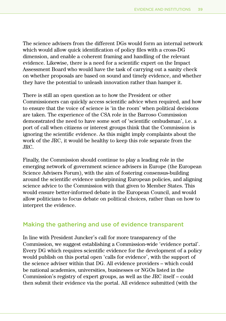The science advisers from the different DGs would form an internal network which would allow quick identification of policy files with a cross-DG dimension, and enable a coherent framing and handling of the relevant evidence. Likewise, there is a need for a scientific expert on the Impact Assessment Board who would have the task of carrying out a sanity check on whether proposals are based on sound and timely evidence, and whether they have the potential to unleash innovation rather than hamper it.

There is still an open question as to how the President or other Commissioners can quickly access scientific advice when required, and how to ensure that the voice of science is 'in the room' when political decisions are taken. The experience of the CSA role in the Barroso Commission demonstrated the need to have some sort of 'scientific ombudsman', i.e. a port of call when citizens or interest groups think that the Commission is ignoring the scientific evidence. As this might imply complaints about the work of the JRC, it would be healthy to keep this role separate from the JRC.

Finally, the Commission should continue to play a leading role in the emerging network of government science advisers in Europe (the European Science Advisers Forum), with the aim of fostering consensus-building around the scientific evidence underpinning European policies, and aligning science advice to the Commission with that given to Member States. This would ensure better-informed debate in the European Council, and would allow politicians to focus debate on political choices, rather than on how to interpret the evidence.

# Making the gathering and use of evidence transparent

In line with President Juncker's call for more transparency of the Commission, we suggest establishing a Commission-wide 'evidence portal'. Every DG which requires scientific evidence for the development of a policy would publish on this portal open 'calls for evidence', with the support of the science adviser within that DG. All evidence providers – which could be national academies, universities, businesses or NGOs listed in the Commission's registry of expert groups, as well as the JRC itself – could then submit their evidence via the portal. All evidence submitted (with the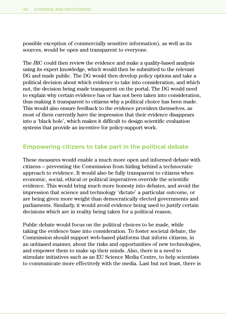possible exception of commercially sensitive information), as well as its sources, would be open and transparent to everyone.

The JRC could then review the evidence and make a quality-based analysis using its expert knowledge, which would then be submitted to the relevant DG and made public. The DG would then develop policy options and take a political decision about which evidence to take into consideration, and which not, the decision being made transparent on the portal. The DG would need to explain why certain evidence has or has not been taken into consideration, thus making it transparent to citizens why a political choice has been made. This would also ensure feedback to the evidence providers themselves, as most of them currently have the impression that their evidence disappears into a 'black hole', which makes it difficult to design scientific evaluation systems that provide an incentive for policy-support work.

#### Empowering citizens to take part in the political debate

These measures would enable a much more open and informed debate with citizens – preventing the Commission from hiding behind a technocratic approach to evidence. It would also be fully transparent to citizens when economic, social, ethical or political imperatives override the scientific evidence. This would bring much more honesty into debates, and avoid the impression that science and technology 'dictate' a particular outcome, or are being given more weight than democratically elected governments and parliaments. Similarly, it would avoid evidence being used to justify certain decisions which are in reality being taken for a political reason.

Public debate would focus on the political choices to be made, while taking the evidence base into consideration. To foster societal debate, the Commission should support web-based platforms that inform citizens, in an unbiased manner, about the risks and opportunities of new technologies, and empower them to make up their minds. Also, there is a need to stimulate initiatives such as an EU Science Media Centre, to help scientists to communicate more effectively with the media. Last but not least, there is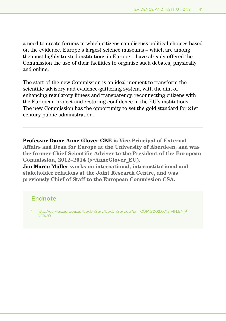a need to create forums in which citizens can discuss political choices based on the evidence. Europe's largest science museums – which are among the most highly trusted institutions in Europe – have already offered the Commission the use of their facilities to organise such debates, physically and online.

The start of the new Commission is an ideal moment to transform the scientific advisory and evidence-gathering system, with the aim of enhancing regulatory fitness and transparency, reconnecting citizens with the European project and restoring confidence in the EU's institutions. The new Commission has the opportunity to set the gold standard for 21st century public administration.

**Professor Dame Anne Glover CBE is Vice-Principal of External Affairs and Dean for Europe at the University of Aberdeen, and was the former Chief Scientific Adviser to the President of the European Commission, 2012–2014 (@AnneGlover\_EU).** 

**Jan Marco Müller works on international, interinstitutional and stakeholder relations at the Joint Research Centre, and was previously Chief of Staff to the European Commission CSA.**

#### **Endnote**

1. [http://eur-lex.europa.eu/LexUriServ/LexUriServ.do?uri=COM:2002:0713:FIN:EN:P](http://eur-lex.europa.eu/LexUriServ/LexUriServ.do?uri=COM:2002:0713:FIN:EN:PDF%20) [DF%20](http://eur-lex.europa.eu/LexUriServ/LexUriServ.do?uri=COM:2002:0713:FIN:EN:PDF%20)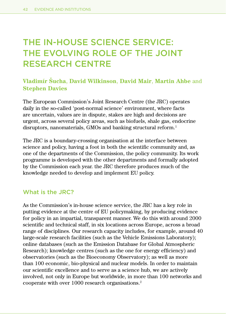# THE IN-HOUSE SCIENCE SERVICE: THE EVOLVING ROLE OF THE JOINT RESEARCH CENTRE

# **Vladimír Šucha**, **David Wilkinson**, **David Mair**, **Martin Ahbe** and **Stephen Davies**

The European Commission's Joint Research Centre (the JRC) operates daily in the so-called 'post-normal science' environment, where facts are uncertain, values are in dispute, stakes are high and decisions are urgent, across several policy areas, such as biofuels, shale gas, endocrine disruptors, nanomaterials, GMOs and banking structural reform.<sup>1</sup>

The JRC is a boundary-crossing organisation at the interface between science and policy, having a foot in both the scientific community and, as one of the departments of the Commission, the policy community. Its work programme is developed with the other departments and formally adopted by the Commission each year. the JRC therefore produces much of the knowledge needed to develop and implement EU policy.

#### What is the JRC?

As the Commission's in-house science service, the JRC has a key role in putting evidence at the centre of EU policymaking, by producing evidence for policy in an impartial, transparent manner. We do this with around 2000 scientific and technical staff, in six locations across Europe, across a broad range of disciplines. Our research capacity includes, for example, around 40 large-scale research facilities (such as the Vehicle Emissions Laboratory); online databases (such as the Emission Database for Global Atmospheric Research); knowledge centres (such as the one for energy efficiency) and observatories (such as the Bioeconomy Observatory); as well as more than 100 economic, bio-physical and nuclear models. In order to maintain our scientific excellence and to serve as a science hub, we are actively involved, not only in Europe but worldwide, in more than 100 networks and cooperate with over 1000 research organisations.2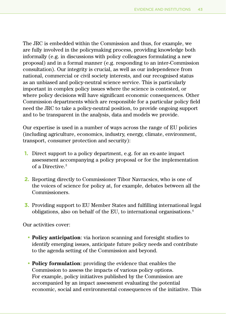The JRC is embedded within the Commission and thus, for example, we are fully involved in the policymaking process, providing knowledge both informally (e.g. in discussions with policy colleagues formulating a new proposal) and in a formal manner (e.g. responding to an inter-Commission consultation). Our integrity is crucial, as well as our independence from national, commercial or civil society interests, and our recognised status as an unbiased and policy-neutral science service. This is particularly important in complex policy issues where the science is contested, or where policy decisions will have significant economic consequences. Other Commission departments which are responsible for a particular policy field need the JRC to take a policy-neutral position, to provide ongoing support and to be transparent in the analysis, data and models we provide.

Our expertise is used in a number of ways across the range of EU policies (including agriculture, economics, industry, energy, climate, environment, transport, consumer protection and security):

- **1.** Direct support to a policy department, e.g. for an ex-ante impact assessment accompanying a policy proposal or for the implementation of a Directive.3
- **2.** Reporting directly to Commissioner Tibor Navracsics, who is one of the voices of science for policy at, for example, debates between all the Commissioners.
- **3.** Providing support to EU Member States and fulfilling international legal obligations, also on behalf of the EU, to international organisations.4

Our activities cover:

- **• Policy anticipation**: via horizon scanning and foresight studies to identify emerging issues, anticipate future policy needs and contribute to the agenda setting of the Commission and beyond.
- **• Policy formulation**: providing the evidence that enables the Commission to assess the impacts of various policy options. For example, policy initiatives published by the Commission are accompanied by an impact assessment evaluating the potential economic, social and environmental consequences of the initiative. This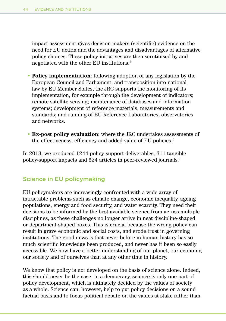impact assessment gives decision-makers (scientific) evidence on the need for EU action and the advantages and disadvantages of alternative policy choices. These policy initiatives are then scrutinised by and negotiated with the other EU institutions.5

- **• Policy implementation**: following adoption of any legislation by the European Council and Parliament, and transposition into national law by EU Member States, the JRC supports the monitoring of its implementation, for example through the development of indicators; remote satellite sensing; maintenance of databases and information systems; development of reference materials, measurements and standards; and running of EU Reference Laboratories, observatories and networks.
- **• Ex-post policy evaluation**: where the JRC undertakes assessments of the effectiveness, efficiency and added value of EU policies.<sup>6</sup>

In 2013, we produced 1244 policy-support deliverables, 311 tangible policy-support impacts and 634 articles in peer-reviewed journals.7

# Science in EU policymaking

EU policymakers are increasingly confronted with a wide array of intractable problems such as climate change, economic inequality, ageing populations, energy and food security, and water scarcity. They need their decisions to be informed by the best available science from across multiple disciplines, as these challenges no longer arrive in neat discipline-shaped or department-shaped boxes. This is crucial because the wrong policy can result in grave economic and social costs, and erode trust in governing institutions. The good news is that never before in human history has so much scientific knowledge been produced, and never has it been so easily accessible. We now have a better understanding of our planet, our economy, our society and of ourselves than at any other time in history.

We know that policy is not developed on the basis of science alone. Indeed, this should never be the case; in a democracy, science is only one part of policy development, which is ultimately decided by the values of society as a whole. Science can, however, help to put policy decisions on a sound factual basis and to focus political debate on the values at stake rather than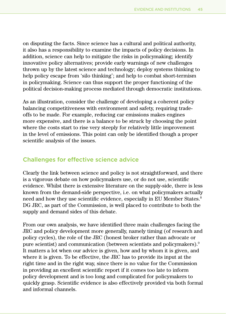on disputing the facts. Since science has a cultural and political authority, it also has a responsibility to examine the impacts of policy decisions. In addition, science can help to mitigate the risks in policymaking; identify innovative policy alternatives; provide early warnings of new challenges thrown up by the latest science and technology; deploy systems thinking to help policy escape from 'silo thinking'; and help to combat short-termism in policymaking. Science can thus support the proper functioning of the political decision-making process mediated through democratic institutions.

As an illustration, consider the challenge of developing a coherent policy balancing competitiveness with environment and safety, requiring tradeoffs to be made. For example, reducing car emissions makes engines more expensive, and there is a balance to be struck by choosing the point where the costs start to rise very steeply for relatively little improvement in the level of emissions. This point can only be identified though a proper scientific analysis of the issues.

### Challenges for effective science advice

Clearly the link between science and policy is not straightforward, and there is a vigorous debate on how policymakers use, or do not use, scientific evidence. Whilst there is extensive literature on the supply-side, there is less known from the demand-side perspective, i.e. on what policymakers actually need and how they use scientific evidence, especially in EU Member States.8 DG JRC, as part of the Commission, is well placed to contribute to both the supply and demand sides of this debate.

From our own analysis, we have identified three main challenges facing the JRC and policy development more generally, namely timing (of research and policy cycles), the role of the JRC (honest broker rather than advocate or pure scientist) and communication (between scientists and policymakers).9 It matters a lot when our advice is given, how and by whom it is given, and where it is given. To be effective, the JRC has to provide its input at the right time and in the right way, since there is no value for the Commission in providing an excellent scientific report if it comes too late to inform policy development and is too long and complicated for policymakers to quickly grasp. Scientific evidence is also effectively provided via both formal and informal channels.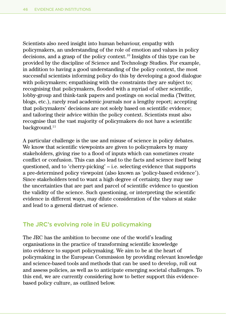Scientists also need insight into human behaviour, empathy with policymakers, an understanding of the role of emotion and values in policy decisions, and a grasp of the policy context.10 Insights of this type can be provided by the discipline of Science and Technology Studies. For example, in addition to having a good understanding of the policy context, the most successful scientists informing policy do this by developing a good dialogue with policymakers; empathising with the constraints they are subject to; recognising that policymakers, flooded with a myriad of other scientific, lobby-group and think-tank papers and postings on social media (Twitter, blogs, etc.), rarely read academic journals nor a lengthy report; accepting that policymakers' decisions are not solely based on scientific evidence; and tailoring their advice within the policy context. Scientists must also recognise that the vast majority of policymakers do not have a scientific background.<sup>11</sup>

A particular challenge is the use and misuse of science in policy debates. We know that scientific viewpoints are given to policymakers by many stakeholders, giving rise to a flood of inputs which can sometimes create conflict or confusion. This can also lead to the facts and science itself being questioned, and to 'cherry-picking' – i.e. selecting evidence that supports a pre-determined policy viewpoint (also known as 'policy-based evidence'). Since stakeholders tend to want a high degree of certainty, they may use the uncertainties that are part and parcel of scientific evidence to question the validity of the science. Such questioning, or interpreting the scientific evidence in different ways, may dilute consideration of the values at stake and lead to a general distrust of science.

#### The JRC's evolving role in EU policymaking

The JRC has the ambition to become one of the world's leading organisations in the practice of transforming scientific knowledge into evidence to support policymaking. We aim to be at the heart of policymaking in the European Commission by providing relevant knowledge and science-based tools and methods that can be used to develop, roll out and assess policies, as well as to anticipate emerging societal challenges. To this end, we are currently considering how to better support this evidencebased policy culture, as outlined below.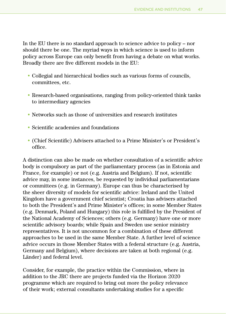In the EU there is no standard approach to science advice to policy – nor should there be one. The myriad ways in which science is used to inform policy across Europe can only benefit from having a debate on what works. Broadly there are five different models in the EU:

- **•** Collegial and hierarchical bodies such as various forms of councils, committees, etc.
- **•** Research-based organisations, ranging from policy-oriented think tanks to intermediary agencies
- **•** Networks such as those of universities and research institutes
- **•** Scientific academies and foundations
- **•** (Chief Scientific) Advisers attached to a Prime Minister's or President's office.

A distinction can also be made on whether consultation of a scientific advice body is compulsory as part of the parliamentary process (as in Estonia and France, for example) or not (e.g. Austria and Belgium). If not, scientific advice may, in some instances, be requested by individual parliamentarians or committees (e.g. in Germany). Europe can thus be characterised by the sheer diversity of models for scientific advice: Ireland and the United Kingdom have a government chief scientist; Croatia has advisers attached to both the President's and Prime Minister's offices; in some Member States (e.g. Denmark, Poland and Hungary) this role is fulfilled by the President of the National Academy of Sciences; others (e.g. Germany) have one or more scientific advisory boards; while Spain and Sweden use senior ministry representatives. It is not uncommon for a combination of these different approaches to be used in the same Member State. A further level of science advice occurs in those Member States with a federal structure (e.g. Austria, Germany and Belgium), where decisions are taken at both regional (e.g. Länder) and federal level.

Consider, for example, the practice within the Commission, where in addition to the JRC there are projects funded via the Horizon 2020 programme which are required to bring out more the policy relevance of their work; external consultants undertaking studies for a specific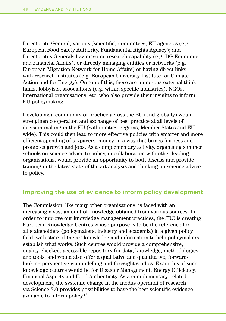Directorate-General; various (scientific) committees; EU agencies (e.g. European Food Safety Authority, Fundamental Rights Agency); and Directorates-Generals having some research capability (e.g. DG Economic and Financial Affairs), or directly managing entities or networks (e.g. European Migration Network for Home Affairs) or having direct links with research institutes (e.g. European University Institute for Climate Action and for Energy). On top of this, there are numerous external think tanks, lobbyists, associations (e.g. within specific industries), NGOs, international organisations, etc. who also provide their insights to inform EU policymaking.

Developing a community of practice across the EU (and globally) would strengthen cooperation and exchange of best practice at all levels of decision-making in the EU (within cities, regions, Member States and EUwide). This could then lead to more effective policies with smarter and more efficient spending of taxpayers' money, in a way that brings fairness and promotes growth and jobs. As a complementary activity, organising summer schools on science advice to policy, in collaboration with other leading organisations, would provide an opportunity to both discuss and provide training in the latest state-of-the-art analysis and thinking on science advice to policy.

# Improving the use of evidence to inform policy development

The Commission, like many other organisations, is faced with an increasingly vast amount of knowledge obtained from various sources. In order to improve our knowledge management practices, the JRC is creating European Knowledge Centres whose purpose is to be the reference for all stakeholders (policymakers, industry and academia) in a given policy field, with state-of-the-art knowledge and information to help policymakers establish what works. Such centres would provide a comprehensive, quality-checked, accessible repository for data, knowledge, methodologies and tools, and would also offer a qualitative and quantitative, forwardlooking perspective via modelling and foresight studies. Examples of such knowledge centres would be for Disaster Management, Energy Efficiency, Financial Aspects and Food Authenticity. As a complementary, related development, the systemic change in the modus operandi of research via Science 2.0 provides possibilities to have the best scientific evidence available to inform policy.12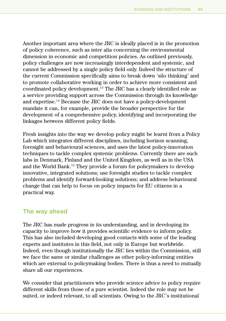Another important area where the JRC is ideally placed is in the promotion of policy coherence, such as inter alia concerning the environmental dimension in economic and competition policies. As outlined previously, policy challenges are now increasingly interdependent and systemic, and cannot be addressed by a single policy field only. Indeed the structure of the current Commission specifically aims to break down 'silo thinking' and to promote collaborative working in order to achieve more consistent and coordinated policy development.13 The JRC has a clearly identified role as a service providing support across the Commission through its knowledge and expertise.14 Because the JRC does not have a policy-development mandate it can, for example, provide the broader perspective for the development of a comprehensive policy, identifying and incorporating the linkages between different policy fields.

Fresh insights into the way we develop policy might be learnt from a Policy Lab which integrates different disciplines, including horizon scanning, foresight and behavioural sciences, and uses the latest policy-innovation techniques to tackle complex systemic problems. Currently there are such labs in Denmark, Finland and the United Kingdom, as well as in the USA and the World Bank.15 They provide a forum for policymakers to develop innovative, integrated solutions; use foresight studies to tackle complex problems and identify forward-looking solutions; and address behavioural change that can help to focus on policy impacts for EU citizens in a practical way.

# The way ahead

The JRC has made progress in its understanding, and in developing its capacity to improve how it provides scientific evidence to inform policy. This has also included developing good contacts with some of the leading experts and institutes in this field, not only in Europe but worldwide. Indeed, even though institutionally the JRC lies within the Commission, still we face the same or similar challenges as other policy-informing entities which are external to policymaking bodies. There is thus a need to mutually share all our experiences.

We consider that practitioners who provide science advice to policy require different skills from those of a pure scientist. Indeed the role may not be suited, or indeed relevant, to all scientists. Owing to the JRC's institutional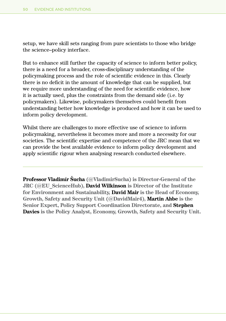setup, we have skill sets ranging from pure scientists to those who bridge the science–policy interface.

But to enhance still further the capacity of science to inform better policy, there is a need for a broader, cross-disciplinary understanding of the policymaking process and the role of scientific evidence in this. Clearly there is no deficit in the amount of knowledge that can be supplied, but we require more understanding of the need for scientific evidence, how it is actually used, plus the constraints from the demand side (i.e. by policymakers). Likewise, policymakers themselves could benefit from understanding better how knowledge is produced and how it can be used to inform policy development.

Whilst there are challenges to more effective use of science to inform policymaking, nevertheless it becomes more and more a necessity for our societies. The scientific expertise and competence of the JRC mean that we can provide the best available evidence to inform policy development and apply scientific rigour when analysing research conducted elsewhere.

**Professor Vladimír Šucha (@VladimirSucha) is Director-General of the JRC (@EU\_ScienceHub), David Wilkinson is Director of the Institute for Environment and Sustainability, David Mair is the Head of Economy, Growth, Safety and Security Unit (@DavidMair4), Martin Ahbe is the Senior Expert, Policy Support Coordination Directorate, and Stephen Davies is the Policy Analyst, Economy, Growth, Safety and Security Unit.**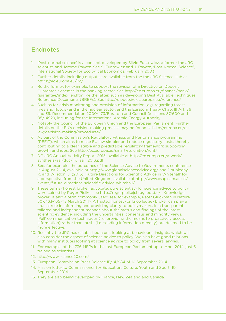# Endnotes

- 1. 'Post-normal science' is a concept developed by Silvio Funtowicz, a former the JRC scientist, and Jerome Ravetz. See S. Funtowicz and J. Ravetz, 'Post-Normal Science', International Society for Ecological Economics, February 2003.
- 2. Further details, including outputs, are available from the the JRC Science Hub at https://ec.europa.eu/jrc/
- 3. Re the former, for example, to support the revision of a Directive on Deposit Guarantee Schemes in the banking sector. See [http://ec.europa.eu/finance/bank/](http://ec.europa.eu/finance/bank/guarantee/index_en.htm) [guarantee/index\\_en.htm.](http://ec.europa.eu/finance/bank/guarantee/index_en.htm) Re the latter, such as developing Best Available Techniques Reference Documents (BREFs). See http://eippcb.jrc.ec.europa.eu/reference/
- 4. Such as for crisis monitoring and provision of information (e.g. regarding forest fires and floods) and in the nuclear sector, and the Euratom Treaty Chap. III Art. 36 and 39, Recommendation 2000/473/Euratom and Council Decisions 87/600 and 05/14929, including for the International Atomic Energy Authority.
- 5. Notably the Council of the European Union and the European Parliament. Further details on the EU's decision-making process may be found at [http://europa.eu/eu](http://europa.eu/eu-law/decision-making/procedures/)[law/decision-making/procedures/](http://europa.eu/eu-law/decision-making/procedures/)
- 6. As part of the Commission's Regulatory Fitness and Performance programme (REFIT), which aims to make EU law simpler and reduce regulatory costs, thereby contributing to a clear, stable and predictable regulatory framework supporting growth and jobs. See http://ec.europa.eu/smart-regulation/refit/
- 7. DG JRC Annual Activity Report 2013, available at [http://ec.europa.eu/atwork/](http://ec.europa.eu/atwork/synthesis/aar/doc/jrc_aar_2013.pdf) [synthesis/aar/doc/jrc\\_aar\\_2013.pdf](http://ec.europa.eu/atwork/synthesis/aar/doc/jrc_aar_2013.pdf)
- 8. See, for example, the outcomes of the Science Advice to Governments conference in August 2014, available at http://www.globalscienceadvice.org/ and Doubleday, R. and Wilsdon, J. (2013) 'Future Directions for Scientific Advice in Whitehall' for a perspective from the United Kingdom, available at [http://www.csap.cam.ac.uk/](http://www.csap.cam.ac.uk/events/future-directions-scientific-advice-whitehall/) [events/future-directions-scientific-advice-whitehall/](http://www.csap.cam.ac.uk/events/future-directions-scientific-advice-whitehall/)
- 9. These terms (honest broker, advocate, pure scientist) for science advice to policy were coined by Roger Pielke; see http://rogerpielkejr.blogspot.be/. 'Knowledge broker' is also a term commonly used: see, for example, Peter Gluckman in Nature 507, 163–165 (13 March 2014). A trusted honest (or knowledge) broker can play a crucial role in informing and providing clarity to policymakers, in a transparent, tailored and independent manner, about the status and findings of the latest scientific evidence, including the uncertainties, consensus and minority views. 'Pull' communication techniques (i.e. providing the means to proactively access information) rather than 'push' (i.e. sending information directly) are deemed to be more effective.
- 10. Recently the JRC has established a unit looking at behavioural insights, which will also consider the aspect of science advice to policy. We also have good relations with many institutes looking at science advice to policy from several angles.
- 11. For example, of the 736 MEPs in the last European Parliament up to April 2014, just 6 trained as scientists.
- 12. http://www.science20.com/
- 13. European Commission Press Release IP/14/984 of 10 September 2014.
- 14. Mission letter to Commissioner for Education, Culture, Youth and Sport, 10 September 2014.
- 15. They are also being developed by France, New Zealand and Canada.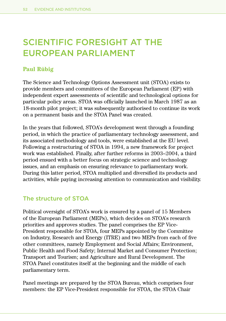# SCIENTIFIC FORESIGHT AT THE EUROPEAN PARLIAMENT

# **Paul Rübig**

The Science and Technology Options Assessment unit (STOA) exists to provide members and committees of the European Parliament (EP) with independent expert assessments of scientific and technological options for particular policy areas. STOA was officially launched in March 1987 as an 18-month pilot project; it was subsequently authorised to continue its work on a permanent basis and the STOA Panel was created.

In the years that followed, STOA's development went through a founding period, in which the practice of parliamentary technology assessment, and its associated methodology and tools, were established at the EU level. Following a restructuring of STOA in 1994, a new framework for project work was established. Finally, after further reforms in 2003–2004, a third period ensued with a better focus on strategic science and technology issues, and an emphasis on ensuring relevance to parliamentary work. During this latter period, STOA multiplied and diversified its products and activities, while paying increasing attention to communication and visibility.

# The structure of STOA

Political oversight of STOA's work is ensured by a panel of 15 Members of the European Parliament (MEPs), which decides on STOA's research priorities and approves studies. The panel comprises the EP Vice-President responsible for STOA, four MEPs appointed by the Committee on Industry, Research and Energy (ITRE) and two MEPs from each of five other committees, namely Employment and Social Affairs; Environment, Public Health and Food Safety; Internal Market and Consumer Protection; Transport and Tourism; and Agriculture and Rural Development. The STOA Panel constitutes itself at the beginning and the middle of each parliamentary term.

Panel meetings are prepared by the STOA Bureau, which comprises four members: the EP Vice-President responsible for STOA, the STOA Chair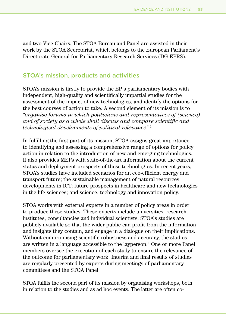and two Vice-Chairs. The STOA Bureau and Panel are assisted in their work by the STOA Secretariat, which belongs to the European Parliament's Directorate-General for Parliamentary Research Services (DG EPRS).

# STOA's mission, products and activities

STOA's mission is firstly to provide the EP's parliamentary bodies with independent, high-quality and scientifically impartial studies for the assessment of the impact of new technologies, and identify the options for the best courses of action to take. A second element of its mission is to *"organise forums in which politicians and representatives of (science) and of society as a whole shall discuss and compare scientific and technological developments of political relevance".*<sup>1</sup>

In fulfilling the first part of its mission, STOA assigns great importance to identifying and assessing a comprehensive range of options for policy action in relation to the introduction of new and emerging technologies. It also provides MEPs with state-of-the-art information about the current status and deployment prospects of these technologies. In recent years, STOA's studies have included scenarios for an eco-efficient energy and transport future; the sustainable management of natural resources; developments in ICT; future prospects in healthcare and new technologies in the life sciences; and science, technology and innovation policy.

STOA works with external experts in a number of policy areas in order to produce these studies. These experts include universities, research institutes, consultancies and individual scientists. STOA's studies are publicly available so that the wider public can profit from the information and insights they contain, and engage in a dialogue on their implications. Without compromising scientific robustness and accuracy, the studies are written in a language accessible to the layperson.2 One or more Panel members oversee the execution of each study to ensure the relevance of the outcome for parliamentary work. Interim and final results of studies are regularly presented by experts during meetings of parliamentary committees and the STOA Panel.

STOA fulfils the second part of its mission by organising workshops, both in relation to the studies and as ad hoc events. The latter are often co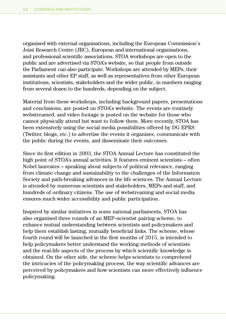organised with external organisations, including the European Commission's Joint Research Centre (JRC), European and international organisations, and professional scientific associations. STOA workshops are open to the public and are advertised via STOA's website, so that people from outside the Parliament can also participate. Workshops are attended by MEPs, their assistants and other EP staff, as well as representatives from other European institutions, scientists, stakeholders and the wider public, in numbers ranging from several dozen to the hundreds, depending on the subject.

Material from these workshops, including background papers, presentations and conclusions, are posted on STOA's website. The events are routinely webstreamed, and video footage is posted on the website for those who cannot physically attend but want to follow them. More recently, STOA has been extensively using the social media possibilities offered by DG EPRS (Twitter, blogs, etc.) to advertise the events it organises, communicate with the public during the events, and disseminate their outcomes.

Since its first edition in 2003, the STOA Annual Lecture has constituted the high point of STOA's annual activities. It features eminent scientists – often Nobel laureates – speaking about subjects of political relevance, ranging from climate change and sustainability to the challenges of the Information Society and path-breaking advances in the life sciences. The Annual Lecture is attended by numerous scientists and stakeholders, MEPs and staff, and hundreds of ordinary citizens. The use of webstreaming and social media ensures much wider accessibility and public participation.

Inspired by similar initiatives in some national parliaments, STOA has also organised three rounds of an MEP–scientist pairing scheme, to enhance mutual understanding between scientists and policymakers and help them establish lasting, mutually beneficial links. The scheme, whose fourth round will be launched in the first months of 2015, is intended to help policymakers better understand the working methods of scientists and the real-life aspects of the process by which scientific knowledge is obtained. On the other side, the scheme helps scientists to comprehend the intricacies of the policymaking process, the way scientific advances are perceived by policymakers and how scientists can more effectively influence policymaking.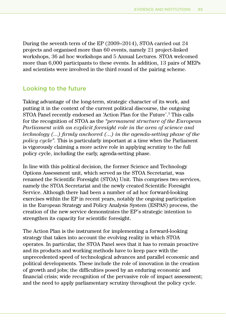During the seventh term of the EP (2009–2014), STOA carried out 24 projects and organised more than 60 events, namely 21 project-linked workshops, 36 ad hoc workshops and 5 Annual Lectures. STOA welcomed more than 6,000 participants to these events. In addition, 13 pairs of MEPs and scientists were involved in the third round of the pairing scheme.

#### Looking to the future

Taking advantage of the long-term, strategic character of its work, and putting it in the context of the current political discourse, the outgoing STOA Panel recently endorsed an 'Action Plan for the Future'.3 This calls for the recognition of STOA as the *"permanent structure of the European Parliament with an explicit foresight role in the area of science and technology (...) firmly anchored (...) in the agenda-setting phase of the policy cycle".* This is particularly important at a time when the Parliament is vigorously claiming a more active role in applying scrutiny to the full policy cycle, including the early, agenda-setting phase.

In line with this political decision, the former Science and Technology Options Assessment unit, which served as the STOA Secretariat, was renamed the Scientific Foresight (STOA) Unit. This comprises two services, namely the STOA Secretariat and the newly created Scientific Foresight Service. Although there had been a number of ad hoc forward-looking exercises within the EP in recent years, notably the ongoing participation in the European Strategy and Policy Analysis System (ESPAS) process, the creation of the new service demonstrates the EP's strategic intention to strengthen its capacity for scientific foresight.

The Action Plan is the instrument for implementing a forward-looking strategy that takes into account the evolving reality in which STOA operates. In particular, the STOA Panel sees that it has to remain proactive and its products and working methods have to keep pace with the unprecedented speed of technological advances and parallel economic and political developments. These include the role of innovation in the creation of growth and jobs; the difficulties posed by an enduring economic and financial crisis; wide recognition of the pervasive role of impact assessment; and the need to apply parliamentary scrutiny throughout the policy cycle.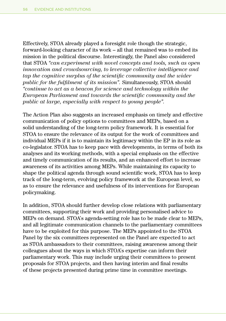Effectively, STOA already played a foresight role though the strategic, forward-looking character of its work – all that remained was to embed its mission in the political discourse. Interestingly, the Panel also considered that STOA *"can experiment with novel concepts and tools, such as open innovation and crowdsourcing, to leverage collective intelligence and tap the cognitive surplus of the scientific community and the wider public for the fulfilment of its mission".* Simultaneously, STOA should *"continue to act as a beacon for science and technology within the European Parliament and towards the scientific community and the public at large, especially with respect to young people".*

The Action Plan also suggests an increased emphasis on timely and effective communication of policy options to committees and MEPs, based on a solid understanding of the long-term policy framework. It is essential for STOA to ensure the relevance of its output for the work of committees and individual MEPs if it is to maintain its legitimacy within the EP in its role as co-legislator. STOA has to keep pace with developments, in terms of both its analyses and its working methods, with a special emphasis on the effective and timely communication of its results, and an enhanced effort to increase awareness of its activities among MEPs. While maintaining its capacity to shape the political agenda through sound scientific work, STOA has to keep track of the long-term, evolving policy framework at the European level, so as to ensure the relevance and usefulness of its interventions for European policymaking.

In addition, STOA should further develop close relations with parliamentary committees, supporting their work and providing personalised advice to MEPs on demand. STOA's agenda-setting role has to be made clear to MEPs, and all legitimate communication channels to the parliamentary committees have to be exploited for this purpose. The MEPs appointed to the STOA Panel by the six committees represented on the Panel are expected to act as STOA ambassadors to their committees, raising awareness among their colleagues about the ways in which STOA's expertise can inform their parliamentary work. This may include urging their committees to present proposals for STOA projects, and then having interim and final results of these projects presented during prime time in committee meetings.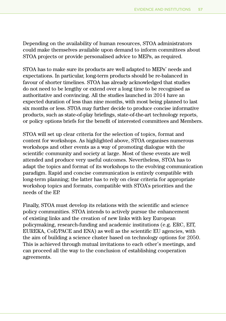Depending on the availability of human resources, STOA administrators could make themselves available upon demand to inform committees about STOA projects or provide personalised advice to MEPs, as required.

STOA has to make sure its products are well adapted to MEPs' needs and expectations. In particular, long-term products should be re-balanced in favour of shorter timelines. STOA has already acknowledged that studies do not need to be lengthy or extend over a long time to be recognised as authoritative and convincing. All the studies launched in 2014 have an expected duration of less than nine months, with most being planned to last six months or less. STOA may further decide to produce concise informative products, such as state-of-play briefings, state-of-the-art technology reports, or policy options briefs for the benefit of interested committees and Members.

STOA will set up clear criteria for the selection of topics, format and content for workshops. As highlighted above, STOA organises numerous workshops and other events as a way of promoting dialogue with the scientific community and society at large. Most of these events are well attended and produce very useful outcomes. Nevertheless, STOA has to adapt the topics and format of its workshops to the evolving communication paradigm. Rapid and concise communication is entirely compatible with long-term planning; the latter has to rely on clear criteria for appropriate workshop topics and formats, compatible with STOA's priorities and the needs of the EP.

Finally, STOA must develop its relations with the scientific and science policy communities. STOA intends to actively pursue the enhancement of existing links and the creation of new links with key European policymaking, research-funding and academic institutions (e.g. ERC, EIT, EUREKA, CoE/PACE and ENA) as well as the scientific EU agencies, with the aim of building a science cluster based on technology options for 2050. This is achieved through mutual invitations to each other's meetings, and can proceed all the way to the conclusion of establishing cooperation agreements.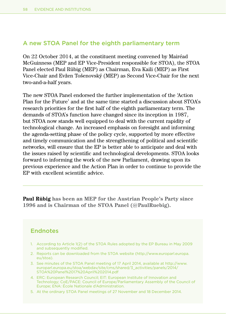#### A new STOA Panel for the eighth parliamentary term

On 22 October 2014, at the constituent meeting convened by Mairéad McGuinness (MEP and EP Vice-President responsible for STOA), the STOA Panel elected Paul Rübig (MEP) as Chairman, Eva Kaili (MEP) as First Vice-Chair and Evžen Tošenovský (MEP) as Second Vice-Chair for the next two-and-a-half years.

The new STOA Panel endorsed the further implementation of the 'Action Plan for the Future' and at the same time started a discussion about STOA's research priorities for the first half of the eighth parliamentary term. The demands of STOA's function have changed since its inception in 1987, but STOA now stands well equipped to deal with the current rapidity of technological change. An increased emphasis on foresight and informing the agenda-setting phase of the policy cycle, supported by more effective and timely communication and the strengthening of political and scientific networks, will ensure that the EP is better able to anticipate and deal with the issues raised by scientific and technological developments. STOA looks forward to informing the work of the new Parliament, drawing upon its previous experience and the Action Plan in order to continue to provide the EP with excellent scientific advice.

**Paul Rübig has been an MEP for the Austrian People's Party since 1996 and is Chairman of the STOA Panel (@PaulRuebig).**

#### **Endnotes**

- 1. According to Article 1(2) of the STOA Rules adopted by the EP Bureau in May 2009 and subsequently modified.
- 2. Reports can be downloaded from the STOA website ([http://www.europarl.europa.](http://www.europarl.europa.eu/stoa) [eu/stoa](http://www.europarl.europa.eu/stoa)).
- 3. See minutes of the STOA Panel meeting of 17 April 2014, available at [http://www.](http://www.europarl.europa.eu/stoa/webdav/site/cms/shared/3_activities/panels/2014/STOA%20Panel%2017%20April%202014.pdf) [europarl.europa.eu/stoa/webdav/site/cms/shared/3\\_activities/panels/2014/](http://www.europarl.europa.eu/stoa/webdav/site/cms/shared/3_activities/panels/2014/STOA%20Panel%2017%20April%202014.pdf) [STOA%20Panel%2017%20April%202014.pdf](http://www.europarl.europa.eu/stoa/webdav/site/cms/shared/3_activities/panels/2014/STOA%20Panel%2017%20April%202014.pdf)
- 4. ERC: European Research Council; EIT: European Institute of Innovation and Technology; CoE/PACE: Council of Europe/Parliamentary Assembly of the Council of Europe; ENA: École Nationale d'Administration.
- 5. At the ordinary STOA Panel meetings of 27 November and 18 December 2014.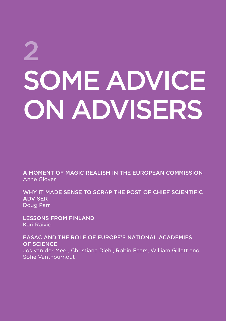# 2 SOME ADVICE ON ADVISERS

A MOMENT OF MAGIC REALISM IN THE EUROPEAN COMMISSION Anne Glover

WHY IT MADE SENSE TO SCRAP THE POST OF CHIEF SCIENTIFIC ADVISER Doug Parr

LESSONS FROM FINLAND Kari Raivio

EASAC AND THE ROLE OF EUROPE'S NATIONAL ACADEMIES OF SCIENCE Jos van der Meer, Christiane Diehl, Robin Fears, William Gillett and Sofie Vanthournout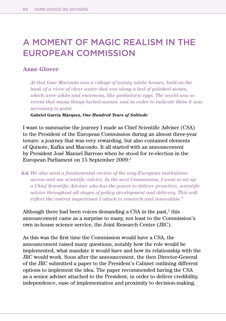# A MOMENT OF MAGIC REALISM IN THE EUROPEAN COMMISSION

#### **Anne Glover**

*At that time Macondo was a village of twenty adobe houses, built on the bank of a river of clear water that ran along a bed of polished stones, which were white and enormous, like prehistoric eggs. The world was so recent that many things lacked names, and in order to indicate them it was necessary to point.*

**Gabriel García Márquez,** *One Hundred Years of Solitude*

I want to summarise the journey I made as Chief Scientific Adviser (CSA) to the President of the European Commission during an almost three-year tenure: a journey that was very rewarding, but also contained elements of Quixote, Kafka and Macondo. It all started with an announcement by President José Manuel Barroso when he stood for re-election in the European Parliament on 15 September 2009:1

*We also need a fundamental review of the way European institutions access and use scientific advice. In the next Commission, I want to set up a Chief Scientific Adviser who has the power to deliver proactive, scientific advice throughout all stages of policy development and delivery. This will reflect the central importance I attach to research and innovation."* 

Although there had been voices demanding a CSA in the past, $2$  this announcement came as a surprise to many, not least to the Commission's own in-house science service, the Joint Research Centre (JRC).

As this was the first time the Commission would have a CSA, the announcement raised many questions, notably how the role would be implemented, what mandate it would have and how its relationship with the JRC would work. Soon after the announcement, the then Director-General of the JRC submitted a paper to the President's Cabinet outlining different options to implement the idea. The paper recommended having the CSA as a senior adviser attached to the President, in order to deliver credibility, independence, ease of implementation and proximity to decision-making.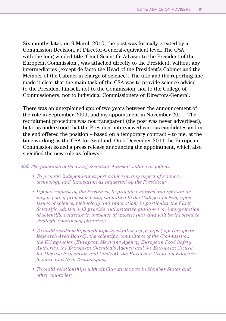Six months later, on 9 March 2010, the post was formally created by a Commission Decision, at Director-General-equivalent level. The CSA, with the long-winded title 'Chief Scientific Adviser to the President of the European Commission', was attached directly to the President, without any intermediaries (except de facto the Head of the President's Cabinet and the Member of the Cabinet in charge of science). The title and the reporting line made it clear that the main task of the CSA was to provide science advice to the President himself, not to the Commission, nor to the College of Commissioners, nor to individual Commissioners or Directors-General.

There was an unexplained gap of two years between the announcement of the role in September 2009, and my appointment in November 2011. The recruitment procedure was not transparent (the post was never advertised), but it is understood that the President interviewed various candidates and in the end offered the position – based on a temporary contract – to me, at the time working as the CSA for Scotland. On 5 December 2011 the European Commission issued a press release announcing the appointment, which also specified the new role as follows:<sup>3</sup>

#### *The functions of the Chief Scientific Adviser4 will be as follows:*

- *• To provide independent expert advice on any aspect of science, technology and innovation as requested by the President;*
- *• Upon a request by the President, to provide analysis and opinion on major policy proposals being submitted to the College touching upon issues of science, technology and innovation; in particular the Chief Scientific Adviser will provide authoritative guidance on interpretation of scientific evidence in presence of uncertainty, and will be involved in strategic emergency planning;*
- *• To build relationships with high-level advisory groups (e.g. European Research Area Board), the scientific committees of the Commission, the EU agencies (European Medicine Agency, European Food Safety Authority, the European Chemicals Agency and the European Centre for Disease Prevention and Control), the European Group on Ethics in Science and New Technologies;*
- *• To build relationships with similar structures in Member States and other countries;*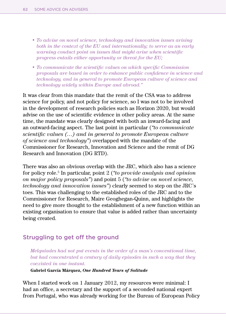- *• To advise on novel science, technology and innovation issues arising*  both in the context of the EU and internationally; to serve as an early *warning conduct point on issues that might arise when scientific progress entails either opportunity or threat for the EU;*
- *• To communicate the scientific values on which specific Commission proposals are based in order to enhance public confidence in science and technology, and in general to promote European culture of science and technology widely within Europe and abroad."*

It was clear from this mandate that the remit of the CSA was to address science for policy, and not policy for science, so I was not to be involved in the development of research policies such as Horizon 2020, but would advise on the use of scientific evidence in other policy areas. At the same time, the mandate was clearly designed with both an inward-facing and an outward-facing aspect. The last point in particular (*"to communicate scientific values (…) and in general to promote European culture of science and technology"*) overlapped with the mandate of the Commissioner for Research, Innovation and Science and the remit of DG Research and Innovation (DG RTD).

There was also an obvious overlap with the JRC, which also has a science for policy role.5 In particular, point 2 (*"to provide analysis and opinion on major policy proposals"*) and point 5 (*"to advise on novel science, technology and innovation issues"*) clearly seemed to step on the JRC's toes. This was challenging to the established roles of the JRC and to the Commissioner for Research, Maire Geoghegan-Quinn, and highlights the need to give more thought to the establishment of a new function within an existing organisation to ensure that value is added rather than uncertainty being created.

# Struggling to get off the ground

*Melquíades had not put events in the order of a man's conventional time, but had concentrated a century of daily episodes in such a way that they coexisted in one instant.*

#### **Gabriel García Márquez,** *One Hundred Years of Solitude*

When I started work on 1 January 2012, my resources were minimal: I had an office, a secretary and the support of a seconded national expert from Portugal, who was already working for the Bureau of European Policy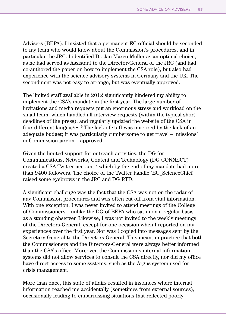Advisers (BEPA). I insisted that a permanent EC official should be seconded to my team who would know about the Commission's procedures, and in particular the JRC. I identified Dr. Jan Marco Müller as an optimal choice, as he had served as Assistant to the Director-General of the JRC (and had co-authored the paper on how to implement the CSA role), but also had experience with the science advisory systems in Germany and the UK. The secondment was not easy to arrange, but was eventually approved.

The limited staff available in 2012 significantly hindered my ability to implement the CSA's mandate in the first year. The large number of invitations and media requests put an enormous stress and workload on the small team, which handled all interview requests (within the typical short deadlines of the press), and regularly updated the website of the CSA in four different languages.<sup>6</sup> The lack of staff was mirrored by the lack of an adequate budget; it was particularly cumbersome to get travel – 'missions' in Commission jargon – approved.

Given the limited support for outreach activities, the DG for Communications, Networks, Content and Technology (DG CONNECT) created a CSA Twitter  $account<sup>7</sup>$  which by the end of my mandate had more than 9400 followers. The choice of the Twitter handle 'EU\_ScienceChief' raised some eyebrows in the JRC and DG RTD.

A significant challenge was the fact that the CSA was not on the radar of any Commission procedures and was often cut off from vital information. With one exception, I was never invited to attend meetings of the College of Commissioners – unlike the DG of BEPA who sat in on a regular basis as a standing observer. Likewise, I was not invited to the weekly meetings of the Directors-General, except for one occasion when I reported on my experiences over the first year. Nor was I copied into messages sent by the Secretary-General to the Directors-General. This meant in practice that both the Commissioners and the Directors-General were always better informed than the CSA's office. Moreover, the Commission's internal information systems did not allow services to consult the CSA directly, nor did my office have direct access to some systems, such as the Argus system used for crisis management.

More than once, this state of affairs resulted in instances where internal information reached me accidentally (sometimes from external sources), occasionally leading to embarrassing situations that reflected poorly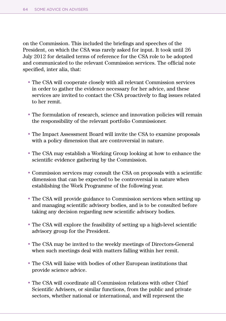on the Commission. This included the briefings and speeches of the President, on which the CSA was rarely asked for input. It took until 26 July 2012 for detailed terms of reference for the CSA role to be adopted and communicated to the relevant Commission services. The official note specified, inter alia, that:

- The CSA will cooperate closely with all relevant Commission services in order to gather the evidence necessary for her advice, and these services are invited to contact the CSA proactively to flag issues related to her remit.
- The formulation of research, science and innovation policies will remain the responsibility of the relevant portfolio Commissioner.
- The Impact Assessment Board will invite the CSA to examine proposals with a policy dimension that are controversial in nature.
- The CSA may establish a Working Group looking at how to enhance the scientific evidence gathering by the Commission.
- Commission services may consult the CSA on proposals with a scientific dimension that can be expected to be controversial in nature when establishing the Work Programme of the following year.
- The CSA will provide guidance to Commission services when setting up and managing scientific advisory bodies, and is to be consulted before taking any decision regarding new scientific advisory bodies.
- The CSA will explore the feasibility of setting up a high-level scientific advisory group for the President.
- The CSA may be invited to the weekly meetings of Directors-General when such meetings deal with matters falling within her remit.
- The CSA will liaise with bodies of other European institutions that provide science advice.
- The CSA will coordinate all Commission relations with other Chief Scientific Advisers, or similar functions, from the public and private sectors, whether national or international, and will represent the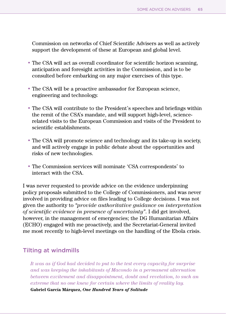Commission on networks of Chief Scientific Advisers as well as actively support the development of these at European and global level.

- The CSA will act as overall coordinator for scientific horizon scanning, anticipation and foresight activities in the Commission, and is to be consulted before embarking on any major exercises of this type.
- The CSA will be a proactive ambassador for European science, engineering and technology.
- The CSA will contribute to the President's speeches and briefings within the remit of the CSA's mandate, and will support high-level, sciencerelated visits to the European Commission and visits of the President to scientific establishments.
- The CSA will promote science and technology and its take-up in society, and will actively engage in public debate about the opportunities and risks of new technologies.
- The Commission services will nominate 'CSA correspondents' to interact with the CSA.

I was never requested to provide advice on the evidence underpinning policy proposals submitted to the College of Commissioners, and was never involved in providing advice on files leading to College decisions. I was not given the authority to *"provide authoritative guidance on interpretation of scientific evidence in presence of uncertainty"*. I did get involved, however, in the management of emergencies; the DG Humanitarian Affairs (ECHO) engaged with me proactively, and the Secretariat-General invited me most recently to high-level meetings on the handling of the Ebola crisis.

# Tilting at windmills

*It was as if God had decided to put to the test every capacity for surprise and was keeping the inhabitants of Macondo in a permanent alternation between excitement and disappointment, doubt and revelation, to such an extreme that no one knew for certain where the limits of reality lay.*

**Gabriel García Márquez,** *One Hundred Years of Solitude*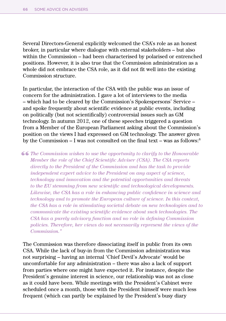Several Directors-General explicitly welcomed the CSA's role as an honest broker, in particular where dialogue with external stakeholders – but also within the Commission – had been characterised by polarised or entrenched positions. However, it is also true that the Commission administration as a whole did not embrace the CSA role, as it did not fit well into the existing Commission structure.

In particular, the interaction of the CSA with the public was an issue of concern for the administration. I gave a lot of interviews to the media – which had to be cleared by the Commission's Spokespersons' Service – and spoke frequently about scientific evidence at public events, including on politically (but not scientifically) controversial issues such as GM technology. In autumn 2012, one of these speeches triggered a question from a Member of the European Parliament asking about the Commission's position on the views I had expressed on GM technology. The answer given by the Commission – I was not consulted on the final text – was as follows:<sup>8</sup>

*The Commission wishes to use the opportunity to clarify to the Honourable Member the role of the Chief Scientific Adviser (CSA). The CSA reports directly to the President of the Commission and has the task to provide independent expert advice to the President on any aspect of science, technology and innovation and the potential opportunities and threats to the EU stemming from new scientific and technological developments. Likewise, the CSA has a role in enhancing public confidence in science and technology and to promote the European culture of science. In this context, the CSA has a role in stimulating societal debate on new technologies and to communicate the existing scientific evidence about such technologies. The CSA has a purely advisory function and no role in defining Commission policies. Therefore, her views do not necessarily represent the views of the Commission."*

The Commission was therefore dissociating itself in public from its own CSA. While the lack of buy-in from the Commission administration was not surprising – having an internal 'Chief Devil's Advocate' would be uncomfortable for any administration – there was also a lack of support from parties where one might have expected it. For instance, despite the President's genuine interest in science, our relationship was not as close as it could have been. While meetings with the President's Cabinet were scheduled once a month, those with the President himself were much less frequent (which can partly be explained by the President's busy diary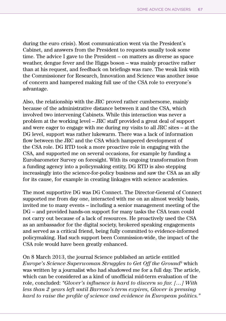during the euro crisis). Most communication went via the President's Cabinet, and answers from the President to requests usually took some time. The advice I gave to the President – on matters as diverse as space weather, dengue fever and the Higgs boson – was mainly proactive rather than at his request, and feedback on briefings was rare. The weak link with the Commissioner for Research, Innovation and Science was another issue of concern and hampered making full use of the CSA role to everyone's advantage.

Also, the relationship with the JRC proved rather cumbersome, mainly because of the administrative distance between it and the CSA, which involved two intervening Cabinets. While this interaction was never a problem at the working level – JRC staff provided a great deal of support and were eager to engage with me during my visits to all JRC sites – at the DG level, support was rather lukewarm. There was a lack of information flow between the JRC and the CSA which hampered development of the CSA role. DG RTD took a more proactive role in engaging with the CSA, and supported me on several occasions, for example by funding a Eurobarometer Survey on foresight. With its ongoing transformation from a funding agency into a policymaking entity, DG RTD is also stepping increasingly into the science-for-policy business and saw the CSA as an ally for its cause, for example in creating linkages with science academies.

The most supportive DG was DG Connect. The Director-General of Connect supported me from day one, interacted with me on an almost weekly basis, invited me to many events – including a senior management meeting of the DG – and provided hands-on support for many tasks the CSA team could not carry out because of a lack of resources. He proactively used the CSA as an ambassador for the digital society, brokered speaking engagements and served as a critical friend, being fully committed to evidence-informed policymaking. Had such support been Commission-wide, the impact of the CSA role would have been greatly enhanced.

On 8 March 2013, the journal Science published an article entitled *Europe's Science Superwoman Struggles to Get Off the Ground*<sup>9</sup> which was written by a journalist who had shadowed me for a full day. The article, which can be considered as a kind of unofficial mid-term evaluation of the role, concluded: *"Glover's influence is hard to discern so far. […] With less than 2 years left until Barroso's term expires, Glover is pressing hard to raise the profile of science and evidence in European politics."*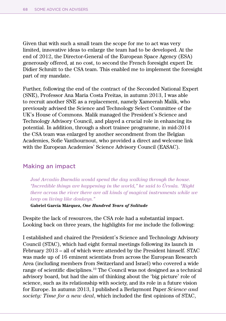Given that with such a small team the scope for me to act was very limited, innovative ideas to enlarge the team had to be developed. At the end of 2012, the Director-General of the European Space Agency (ESA) generously offered, at no cost, to second the French foresight expert Dr. Didier Schmitt to the CSA team. This enabled me to implement the foresight part of my mandate.

Further, following the end of the contract of the Seconded National Expert (SNE), Professor Ana Maria Costa Freitas, in autumn 2013, I was able to recruit another SNE as a replacement, namely Xameerah Malik, who previously advised the Science and Technology Select Committee of the UK's House of Commons. Malik managed the President's Science and Technology Advisory Council, and played a crucial role in enhancing its potential. In addition, through a short trainee programme, in mid-2014 the CSA team was enlarged by another secondment from the Belgian Academies, Sofie Vanthournout, who provided a direct and welcome link with the European Academies' Science Advisory Council (EASAC).

#### Making an impact

*José Arcadio Buendía would spend the day walking through the house. "Incredible things are happening in the world," he said to Úrsula. "Right there across the river there are all kinds of magical instruments while we keep on living like donkeys."*

**Gabriel García Márquez,** *One Hundred Years of Solitude*

Despite the lack of resources, the CSA role had a substantial impact. Looking back on three years, the highlights for me include the following:

I established and chaired the President's Science and Technology Advisory Council (STAC), which had eight formal meetings following its launch in February 2013 – all of which were attended by the President himself. STAC was made up of 16 eminent scientists from across the European Research Area (including members from Switzerland and Israel) who covered a wide range of scientific disciplines.10 The Council was not designed as a technical advisory board, but had the aim of thinking about the 'big picture' role of science, such as its relationship with society, and its role in a future vision for Europe. In autumn 2013, I published a Berlaymont Paper *Science and society: Time for a new deal*, which included the first opinions of STAC,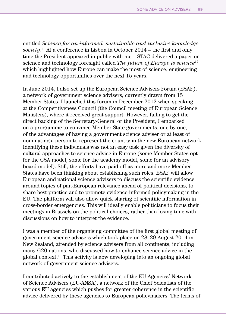entitled *Science for an informed, sustainable and inclusive knowledge society.*11 At a conference in Lisbon in October 2014 – the first and only time the President appeared in public with me – STAC delivered a paper on science and technology foresight called *The future of Europe is science*<sup>12</sup> which highlighted how Europe can make the most of science, engineering and technology opportunities over the next 15 years.

In June 2014, I also set up the European Science Advisers Forum (ESAF), a network of government science advisers, currently drawn from 15 Member States. I launched this forum in December 2012 when speaking at the Competitiveness Council (the Council meeting of European Science Ministers), where it received great support. However, failing to get the direct backing of the Secretary-General or the President, I embarked on a programme to convince Member State governments, one by one, of the advantages of having a government science adviser or at least of nominating a person to represent the country in the new European network. Identifying these individuals was not an easy task given the diversity of cultural approaches to science advice in Europe (some Member States opt for the CSA model, some for the academy model, some for an advisory board model). Still, the efforts have paid off as more and more Member States have been thinking about establishing such roles. ESAF will allow European and national science advisers to discuss the scientific evidence around topics of pan-European relevance ahead of political decisions, to share best practice and to promote evidence-informed policymaking in the EU. The platform will also allow quick sharing of scientific information in cross-border emergencies. This will ideally enable politicians to focus their meetings in Brussels on the political choices, rather than losing time with discussions on how to interpret the evidence.

I was a member of the organising committee of the first global meeting of government science advisers which took place on 28–29 August 2014 in New Zealand, attended by science advisers from all continents, including many G20 nations, who discussed how to enhance science advice in the global context.13 This activity is now developing into an ongoing global network of government science advisers.

I contributed actively to the establishment of the EU Agencies' Network of Science Advisers (EU-ANSA), a network of the Chief Scientists of the various EU agencies which pushes for greater coherence in the scientific advice delivered by these agencies to European policymakers. The terms of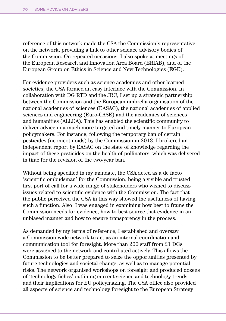reference of this network made the CSA the Commission's representative on the network, providing a link to other science advisory bodies of the Commission. On repeated occasions, I also spoke at meetings of the European Research and Innovation Area Board (ERIAB), and of the European Group on Ethics in Science and New Technologies (EGE).

For evidence providers such as science academies and other learned societies, the CSA formed an easy interface with the Commission. In collaboration with DG RTD and the JRC, I set up a strategic partnership between the Commission and the European umbrella organisation of the national academies of sciences (EASAC), the national academies of applied sciences and engineering (Euro-CASE) and the academies of sciences and humanities (ALLEA). This has enabled the scientific community to deliver advice in a much more targeted and timely manner to European policymakers. For instance, following the temporary ban of certain pesticides (neonicotinoids) by the Commission in 2013, I brokered an independent report by EASAC on the state of knowledge regarding the impact of these pesticides on the health of pollinators, which was delivered in time for the revision of the two-year ban.

Without being specified in my mandate, the CSA acted as a de facto 'scientific ombudsman' for the Commission, being a visible and trusted first port of call for a wide range of stakeholders who wished to discuss issues related to scientific evidence with the Commission. The fact that the public perceived the CSA in this way showed the usefulness of having such a function. Also, I was engaged in examining how best to frame the Commission needs for evidence, how to best source that evidence in an unbiased manner and how to ensure transparency in the process.

As demanded by my terms of reference, I established and oversaw a Commission-wide network to act as an internal coordination and communication tool for foresight. More than 200 staff from 21 DGs were assigned to the network and contributed actively. This allows the Commission to be better prepared to seize the opportunities presented by future technologies and societal change, as well as to manage potential risks. The network organised workshops on foresight and produced dozens of 'technology fiches' outlining current science and technology trends and their implications for EU policymaking. The CSA office also provided all aspects of science and technology foresight to the European Strategy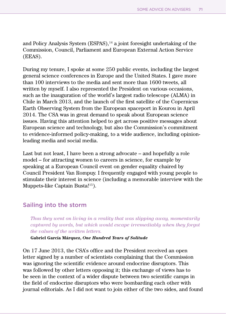and Policy Analysis System (ESPAS), $<sup>14</sup>$  a joint foresight undertaking of the</sup> Commission, Council, Parliament and European External Action Service (EEAS).

During my tenure, I spoke at some 250 public events, including the largest general science conferences in Europe and the United States. I gave more than 100 interviews to the media and sent more than 1600 tweets, all written by myself. I also represented the President on various occasions, such as the inauguration of the world's largest radio telescope (ALMA) in Chile in March 2013, and the launch of the first satellite of the Copernicus Earth Observing System from the European spaceport in Kourou in April 2014. The CSA was in great demand to speak about European science issues. Having this attention helped to get across positive messages about European science and technology, but also the Commission's commitment to evidence-informed policy-making, to a wide audience, including opinionleading media and social media.

Last but not least, I have been a strong advocate – and hopefully a role model – for attracting women to careers in science, for example by speaking at a European Council event on gender equality chaired by Council President Van Rompuy. I frequently engaged with young people to stimulate their interest in science (including a memorable interview with the Muppets-like Captain Busta!<sup>15</sup>).

#### Sailing into the storm

*Thus they went on living in a reality that was slipping away, momentarily captured by words, but which would escape irremediably when they forgot the values of the written letters.*

**Gabriel García Márquez,** *One Hundred Years of Solitude*

On 17 June 2013, the CSA's office and the President received an open letter signed by a number of scientists complaining that the Commission was ignoring the scientific evidence around endocrine disruptors. This was followed by other letters opposing it; this exchange of views has to be seen in the context of a wider dispute between two scientific camps in the field of endocrine disruptors who were bombarding each other with journal editorials. As I did not want to join either of the two sides, and found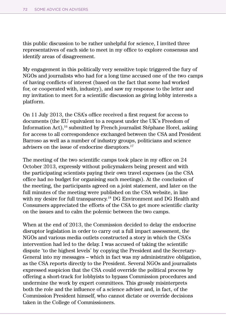this public discussion to be rather unhelpful for science, I invited three representatives of each side to meet in my office to explore consensus and identify areas of disagreement.

My engagement in this politically very sensitive topic triggered the fury of NGOs and journalists who had for a long time accused one of the two camps of having conflicts of interest (based on the fact that some had worked for, or cooperated with, industry), and saw my response to the letter and my invitation to meet for a scientific discussion as giving lobby interests a platform.

On 11 July 2013, the CSA's office received a first request for access to documents (the EU equivalent to a request under the UK's Freedom of Information Act),<sup>16</sup> submitted by French journalist Stéphane Horel, asking for access to all correspondence exchanged between the CSA and President Barroso as well as a number of industry groups, politicians and science advisers on the issue of endocrine disruptors.17

The meeting of the two scientific camps took place in my office on 24 October 2013, expressly without policymakers being present and with the participating scientists paying their own travel expenses (as the CSA office had no budget for organising such meetings). At the conclusion of the meeting, the participants agreed on a joint statement, and later on the full minutes of the meeting were published on the CSA website, in line with my desire for full transparency.<sup>18</sup> DG Environment and DG Health and Consumers appreciated the efforts of the CSA to get more scientific clarity on the issues and to calm the polemic between the two camps.

When at the end of 2013, the Commission decided to delay the endocrine disruptor legislation in order to carry out a full impact assessment, the NGOs and various media outlets constructed a story in which the CSA's intervention had led to the delay. I was accused of taking the scientific dispute 'to the highest levels' by copying the President and the Secretary-General into my messages – which in fact was my administrative obligation, as the CSA reports directly to the President. Several NGOs and journalists expressed suspicion that the CSA could override the political process by offering a short-track for lobbyists to bypass Commission procedures and undermine the work by expert committees. This grossly misinterprets both the role and the influence of a science adviser and, in fact, of the Commission President himself, who cannot dictate or override decisions taken in the College of Commissioners.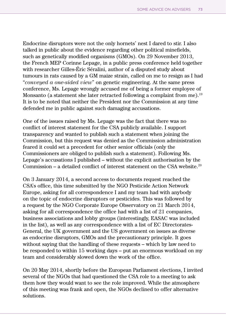Endocrine disruptors were not the only hornets' nest I dared to stir. I also talked in public about the evidence regarding other political minefields, such as genetically modified organisms (GMOs). On 29 November 2013, the French MEP Corinne Lepage, in a public press conference held together with researcher Gilles-Éric Séralini, author of a disputed study about tumours in rats caused by a GM maize strain, called on me to resign as I had "*conveyed a one-sided view*" on genetic engineering. At the same press conference, Ms. Lepage wrongly accused me of being a former employee of Monsanto (a statement she later retracted following a complaint from me).19 It is to be noted that neither the President nor the Commission at any time defended me in public against such damaging accusations.

One of the issues raised by Ms. Lepage was the fact that there was no conflict of interest statement for the CSA publicly available. I support transparency and wanted to publish such a statement when joining the Commission, but this request was denied as the Commission administration feared it could set a precedent for other senior officials (only the Commissioners are obliged to publish such a statement). Following Ms. Lepage's accusations I published – without the explicit authorisation by the Commission – a detailed conflict of interest statement on the CSA website.<sup>20</sup>

On 3 January 2014, a second access to documents request reached the CSA's office, this time submitted by the NGO Pesticide Action Network Europe, asking for all correspondence I and my team had with anybody on the topic of endocrine disruptors or pesticides. This was followed by a request by the NGO Corporate Europe Observatory on 21 March 2014, asking for all correspondence the office had with a list of 21 companies, business associations and lobby groups (interestingly, EASAC was included in the list), as well as any correspondence with a list of EC Directorates-General, the UK government and the US government on issues as diverse as endocrine disruptors, GMOs and the precautionary principle. It goes without saying that the handling of these requests – which by law need to be responded to within 15 working days – put an enormous workload on my team and considerably slowed down the work of the office.

On 20 May 2014, shortly before the European Parliament elections, I invited several of the NGOs that had questioned the CSA role to a meeting to ask them how they would want to see the role improved. While the atmosphere of this meeting was frank and open, the NGOs declined to offer alternative solutions.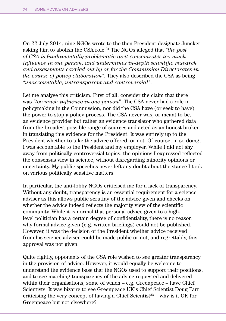On 22 July 2014, nine NGOs wrote to the then President-designate Juncker asking him to abolish the CSA role.21 The NGOs alleged that *"the post of CSA is fundamentally problematic as it concentrates too much influence in one person, and undermines in-depth scientific research and assessments carried out by or for the Commission Directorates in the course of policy elaboration"*. They also described the CSA as being *"unaccountable, untransparent and controversial"*.

Let me analyse this criticism. First of all, consider the claim that there was *"too much influence in one person"*. The CSA never had a role in policymaking in the Commission, nor did the CSA have (or seek to have) the power to stop a policy process. The CSA never was, or meant to be, an evidence provider but rather an evidence translator who gathered data from the broadest possible range of sources and acted as an honest broker in translating this evidence for the President. It was entirely up to the President whether to take the advice offered, or not. Of course, in so doing, I was accountable to the President and my employer. While I did not shy away from politically controversial topics, the opinions I expressed reflected the consensus view in science, without disregarding minority opinions or uncertainty. My public speeches never left any doubt about the stance I took on various politically sensitive matters.

In particular, the anti-lobby NGOs criticised me for a lack of transparency. Without any doubt, transparency is an essential requirement for a science adviser as this allows public scrutiny of the advice given and checks on whether the advice indeed reflects the majority view of the scientific community. While it is normal that personal advice given to a highlevel politician has a certain degree of confidentiality, there is no reason why formal advice given (e.g. written briefings) could not be published. However, it was the decision of the President whether advice received from his science adviser could be made public or not, and regrettably, this approval was not given.

Quite rightly, opponents of the CSA role wished to see greater transparency in the provision of advice. However, it would equally be welcome to understand the evidence base that the NGOs used to support their positions, and to see matching transparency of the advice requested and delivered within their organisations, some of which – e.g. Greenpeace – have Chief Scientists. It was bizarre to see Greenpeace UK's Chief Scientist Doug Parr criticising the very concept of having a Chief Scientist<sup>22</sup> – why is it OK for Greenpeace but not elsewhere?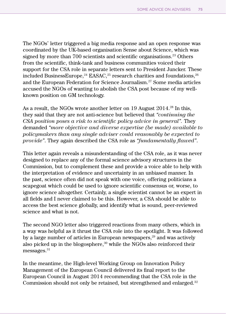The NGOs' letter triggered a big media response and an open response was coordinated by the UK-based organisation Sense about Science, which was signed by more than 700 scientists and scientific organisations.<sup>23</sup> Others from the scientific, think-tank and business communities voiced their support for the CSA role in separate letters sent to President Juncker. These included BusinessEurope,  $24$  EASAC,  $25$  research charities and foundations,  $26$ and the European Federation for Science Journalism.27 Some media articles accused the NGOs of wanting to abolish the CSA post because of my wellknown position on GM technology.

As a result, the NGOs wrote another letter on 19 August 2014.<sup>28</sup> In this, they said that they are not anti-science but believed that *"continuing the CSA position poses a risk to scientific policy advice in general".* They demanded *"more objective and diverse expertise (be made) available to policymakers than any single adviser could reasonably be expected to provide"*. They again described the CSA role as *"fundamentally flawed"*.

This letter again reveals a misunderstanding of the CSA role, as it was never designed to replace any of the formal science advisory structures in the Commission, but to complement these and provide a voice able to help with the interpretation of evidence and uncertainty in an unbiased manner. In the past, science often did not speak with one voice, offering politicians a scapegoat which could be used to ignore scientific consensus or, worse, to ignore science altogether. Certainly, a single scientist cannot be an expert in all fields and I never claimed to be this. However, a CSA should be able to access the best science globally, and identify what is sound, peer-reviewed science and what is not.

The second NGO letter also triggered reactions from many others, which in a way was helpful as it thrust the CSA role into the spotlight. It was followed by a large number of articles in European newspapers,<sup>29</sup> and was actively also picked up in the blogosphere,<sup>30</sup> while the NGOs also reinforced their messages.31

In the meantime, the High-level Working Group on Innovation Policy Management of the European Council delivered its final report to the European Council in August 2014 recommending that the CSA role in the Commission should not only be retained, but strengthened and enlarged.32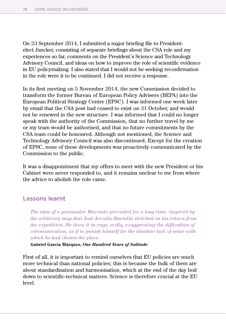On 23 September 2014, I submitted a major briefing file to Presidentelect Juncker, consisting of separate briefings about the CSA role and my experiences so far, comments on the President's Science and Technology Advisory Council, and ideas on how to improve the role of scientific evidence in EU policymaking. I also stated that I would not be seeking reconfirmation in the role were it to be continued. I did not receive a response.

In its first meeting on 5 November 2014, the new Commission decided to transform the former Bureau of European Policy Advisers (BEPA) into the European Political Strategy Centre (EPSC). I was informed one week later by email that the CSA post had ceased to exist on 31 October, and would not be renewed in the new structure. I was informed that I could no longer speak with the authority of the Commission, that no further travel by me or my team would be authorised, and that no future commitments by the CSA team could be honoured. Although not mentioned, the Science and Technology Advisory Council was also discontinued. Except for the creation of EPSC, none of these developments was proactively communicated by the Commission to the public.

It was a disappointment that my offers to meet with the new President or his Cabinet were never responded to, and it remains unclear to me from where the advice to abolish the role came.

## Lessons learnt

*The idea of a peninsular Macondo prevailed for a long time, inspired by the arbitrary map that José Arcadio Buendía sketched on his return from the expedition. He drew it in rage, evilly, exaggerating the difficulties of communication, as if to punish himself for the absolute lack of sense with which he had chosen the place.*

**Gabriel García Márquez,** *One Hundred Years of Solitude*

First of all, it is important to remind ourselves that EU policies are much more technical than national policies; this is because the bulk of them are about standardisation and harmonisation, which at the end of the day boil down to scientific-technical matters. Science is therefore crucial at the EU level.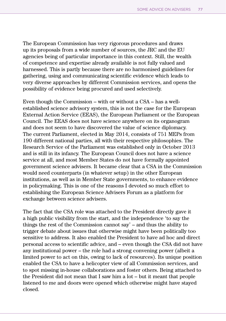The European Commission has very rigorous procedures and draws up its proposals from a wide number of sources, the JRC and the EU agencies being of particular importance in this context. Still, the wealth of competence and expertise already available is not fully valued and harnessed. This is partly because there are no harmonised guidelines for gathering, using and communicating scientific evidence which leads to very diverse approaches by different Commission services, and opens the possibility of evidence being procured and used selectively.

Even though the Commission – with or without a CSA – has a wellestablished science advisory system, this is not the case for the European External Action Service (EEAS), the European Parliament or the European Council. The EEAS does not have science anywhere on its organogram and does not seem to have discovered the value of science diplomacy. The current Parliament, elected in May 2014, consists of 751 MEPs from 190 different national parties, all with their respective philosophies. The Research Service of the Parliament was established only in October 2013 and is still in its infancy. The European Council does not have a science service at all, and most Member States do not have formally appointed government science advisers. It became clear that a CSA in the Commission would need counterparts (in whatever setup) in the other European institutions, as well as in Member State governments, to enhance evidence in policymaking. This is one of the reasons I devoted so much effort to establishing the European Science Advisers Forum as a platform for exchange between science advisers.

The fact that the CSA role was attached to the President directly gave it a high public visibility from the start, and the independence 'to say the things the rest of the Commission cannot say' – and thus the ability to trigger debate about issues that otherwise might have been politically too sensitive to address. It also enabled the President to have ad hoc and direct personal access to scientific advice, and – even though the CSA did not have any institutional power – the role had a strong convening power (albeit a limited power to act on this, owing to lack of resources). Its unique position enabled the CSA to have a helicopter view of all Commission services, and to spot missing in-house collaborations and foster others. Being attached to the President did not mean that I saw him a lot – but it meant that people listened to me and doors were opened which otherwise might have stayed closed.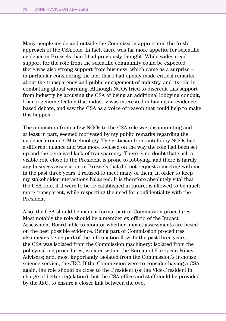Many people inside and outside the Commission appreciated the fresh approach of the CSA role. In fact, there was far more appetite for scientific evidence in Brussels than I had previously thought. While widespread support for the role from the scientific community could be expected there was also strong support from business, which came as a surprise – in particular considering the fact that I had openly made critical remarks about the transparency and public engagement of industry, and its role in combatting global warming. Although NGOs tried to discredit this support from industry by accusing the CSA of being an additional lobbying conduit, I had a genuine feeling that industry was interested in having an evidencebased debate, and saw the CSA as a voice of reason that could help to make this happen.

The opposition from a few NGOs to the CSA role was disappointing and, at least in part, seemed motivated by my public remarks regarding the evidence around GM technology. The criticism from anti-lobby NGOs had a different nuance and was more focused on the way the role had been set up and the perceived lack of transparency. There is no doubt that such a visible role close to the President is prone to lobbying, and there is hardly any business association in Brussels that did not request a meeting with me in the past three years. I refused to meet many of them, in order to keep my stakeholder interactions balanced. It is therefore absolutely vital that the CSA role, if it were to be re-established in future, is allowed to be much more transparent, while respecting the need for confidentiality with the President.

Also, the CSA should be made a formal part of Commission procedures. Most notably the role should be a member ex officio of the Impact Assessment Board, able to monitor whether impact assessments are based on the best possible evidence. Being part of Commission procedures also means being part of the information flow. In the past three years, the CSA was isolated from the Commission machinery: isolated from the policymaking procedures; isolated within the Bureau of European Policy Advisers; and, most importantly, isolated from the Commission's in-house science service, the JRC. If the Commission were to consider having a CSA again, the role should be close to the President (or the Vice-President in charge of better regulation), but the CSA office and staff could be provided by the JRC, to ensure a closer link between the two.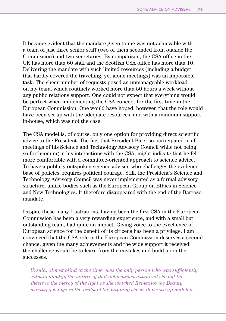It became evident that the mandate given to me was not achievable with a team of just three senior staff (two of them seconded from outside the Commission) and two secretaries. By comparison, the CSA office in the UK has more than 60 staff and the Scottish CSA office has more than 10. Delivering the mandate with such limited resources (including a budget that hardly covered the travelling, yet alone meetings) was an impossible task. The sheer number of requests posed an unmanageable workload on my team, which routinely worked more than 50 hours a week without any public relations support. One could not expect that everything would be perfect when implementing the CSA concept for the first time in the European Commission. One would have hoped, however, that the role would have been set up with the adequate resources, and with a minimum support in-house, which was not the case.

The CSA model is, of course, only one option for providing direct scientific advice to the President. The fact that President Barroso participated in all meetings of his Science and Technology Advisory Council while not being so forthcoming in his interactions with the CSA, might indicate that he felt more comfortable with a committee-oriented approach to science advice. To have a publicly outspoken science adviser, who challenges the evidence base of policies, requires political courage. Still, the President's Science and Technology Advisory Council was never implemented as a formal advisory structure, unlike bodies such as the European Group on Ethics in Science and New Technologies. It therefore disappeared with the end of the Barroso mandate.

Despite these many frustrations, having been the first CSA in the European Commission has been a very rewarding experience, and with a small but outstanding team, had quite an impact. Giving voice to the excellence of European science for the benefit of its citizens has been a privilege. I am convinced that the CSA role in the European Commission deserves a second chance, given the many achievements and the wide support it received; the challenge would be to learn from the mistakes and build upon the successes.

*Úrsula, almost blind at the time, was the only person who was sufficiently calm to identify the nature of that determined wind and she left the sheets to the mercy of the light as she watched Remedios the Beauty waving goodbye in the midst of the flapping sheets that rose up with her,*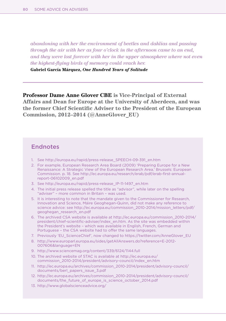*abandoning with her the environment of beetles and dahlias and passing through the air with her as four o'clock in the afternoon came to an end, and they were lost forever with her in the upper atmosphere where not even the highest-flying birds of memory could reach her.*

**Gabriel García Márquez,** *One Hundred Years of Solitude*

**Professor Dame Anne Glover CBE is Vice-Principal of External Affairs and Dean for Europe at the University of Aberdeen, and was the former Chief Scientific Adviser to the President of the European Commission, 2012–2014 (@AnneGlover\_EU)**

## Endnotes

- 1. See http://europa.eu/rapid/press-release\_SPEECH-09-391\_en.htm
- 2. For example, European Research Area Board (2009) 'Preparing Europe for a New Renaissance: A Strategic View of the European Research Area.' Brussels: European Commission. p. 18. See [http://ec.europa.eu/research/erab/pdf/erab-first-annual](http://ec.europa.eu/research/erab/pdf/erab-first-annual-report-06102009_en.pdf)[report-06102009\\_en.pdf](http://ec.europa.eu/research/erab/pdf/erab-first-annual-report-06102009_en.pdf)
- 3. See http://europa.eu/rapid/press-release\_IP-11-1497\_en.htm
- 4. The initial press release spelled the title as "advisor", while later on the spelling "adviser" – more common in Britain – was used.
- 5. It is interesting to note that the mandate given to the Commissioner for Research, Innovation and Science, Máire Geoghegan-Quinn, did not make any reference to science advice: see [http://ec.europa.eu/commission\\_2010-2014/mission\\_letters/pdf/](http://ec.europa.eu/commission_2010-2014/mission_letters/pdf/geoghegan_research_en.pdf) [geoghegan\\_research\\_en.pdf](http://ec.europa.eu/commission_2010-2014/mission_letters/pdf/geoghegan_research_en.pdf)
- 6. The archived CSA website is available at [http://ec.europa.eu/commission\\_2010-2014/](http://ec.europa.eu/commission_2010-2014/president/chief-scientific-adviser/index_en.htm) [president/chief-scientific-adviser/index\\_en.htm.](http://ec.europa.eu/commission_2010-2014/president/chief-scientific-adviser/index_en.htm) As the site was embedded within the President's website – which was available in English, French, German and Portuguese – the CSA website had to offer the same languages.
- 7. Previously 'EU\_ScienceChief', now changed to https://twitter.com/AnneGlover\_EU
- 8. [http://www.europarl.europa.eu/sides/getAllAnswers.do?reference=E-2012-](http://www.europarl.europa.eu/sides/getAllAnswers.do?reference=E-2012-007606&language=EN) [007606&language=EN](http://www.europarl.europa.eu/sides/getAllAnswers.do?reference=E-2012-007606&language=EN)
- 9. http://www.sciencemag.org/content/339/6124/1144.full
- 10. The archived website of STAC is available at [http://ec.europa.eu/](http://ec.europa.eu/commission_2010-2014/president/advisory-council/index_en.htm) [commission\\_2010-2014/president/advisory-council/index\\_en.htm](http://ec.europa.eu/commission_2010-2014/president/advisory-council/index_en.htm)
- 11. [http://ec.europa.eu/archives/commission\\_2010-2014/president/advisory-council/](http://ec.europa.eu/archives/commission_2010-2014/president/advisory-council/documents/berl_papers_issue_3.pdf) [documents/berl\\_papers\\_issue\\_3.pdf](http://ec.europa.eu/archives/commission_2010-2014/president/advisory-council/documents/berl_papers_issue_3.pdf)
- 12. [http://ec.europa.eu/archives/commission\\_2010-2014/president/advisory-council/](http://ec.europa.eu/archives/commission_2010-2014/president/advisory-council/documents/the_future_of_europe_is_science_october_2014.pdf) [documents/the\\_future\\_of\\_europe\\_is\\_science\\_october\\_2014.pdf](http://ec.europa.eu/archives/commission_2010-2014/president/advisory-council/documents/the_future_of_europe_is_science_october_2014.pdf)
- 13. http://www.globalscienceadvice.org/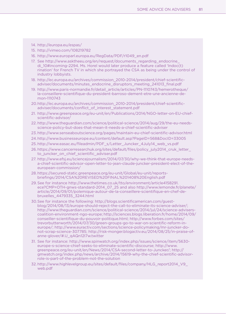- 14. http://europa.eu/espas/
- 15. http://vimeo.com/108219782
- 16. http://www.europarl.europa.eu/RegData/PDF/r1049\_en.pdf
- 17. See [http://www.asktheeu.org/en/request/documents\\_regarding\\_endocrine\\_](http://www.asktheeu.org/en/request/documents_regarding_endocrine_di_10#incoming-2294) di 10#incoming-2294. Ms. Horel would later produce a feature called 'Indoc(t) rination' for French TV in which she portrayed the CSA as being under the control of industry lobbyists.
- 18. [http://ec.europa.eu/archives/commission\\_2010-2014/president/chief-scientific](http://ec.europa.eu/archives/commission_2010-2014/president/chief-scientific-adviser/documents/minutes_endocrine_disruptors_meeting_241013_final.pdf)[adviser/documents/minutes\\_endocrine\\_disruptors\\_meeting\\_241013\\_final.pdf](http://ec.europa.eu/archives/commission_2010-2014/president/chief-scientific-adviser/documents/minutes_endocrine_disruptors_meeting_241013_final.pdf)
- 19. [http://www.paris-normandie.fr/detail\\_article/articles/PN-1110743/hemerotheque/](http://www.paris-normandie.fr/detail_article/articles/PN-1110743/hemerotheque/la-conseillere-scientifique-du-president-barroso-dement-etre-une-ancienne-de-mon-1110743) [la-conseillere-scientifique-du-president-barroso-dement-etre-une-ancienne-de](http://www.paris-normandie.fr/detail_article/articles/PN-1110743/hemerotheque/la-conseillere-scientifique-du-president-barroso-dement-etre-une-ancienne-de-mon-1110743)[mon-1110743](http://www.paris-normandie.fr/detail_article/articles/PN-1110743/hemerotheque/la-conseillere-scientifique-du-president-barroso-dement-etre-une-ancienne-de-mon-1110743)
- 20.[http://ec.europa.eu/archives/commission\\_2010-2014/president/chief-scientific](http://ec.europa.eu/archives/commission_2010-2014/president/chief-scientific-adviser/documents/conflict_of_interest_statement.pdf)[adviser/documents/conflict\\_of\\_interest\\_statement.pdf](http://ec.europa.eu/archives/commission_2010-2014/president/chief-scientific-adviser/documents/conflict_of_interest_statement.pdf)
- 21. [http://www.greenpeace.org/eu-unit/en/Publications/2014/NGO-letter-on-EU-chief](http://www.greenpeace.org/eu-unit/en/Publications/2014/NGO-letter-on-EU-chief-scientific-advisor/)[scientific-advisor/](http://www.greenpeace.org/eu-unit/en/Publications/2014/NGO-letter-on-EU-chief-scientific-advisor/)
- 22. [http://www.theguardian.com/science/political-science/2014/aug/29/the-eu-needs](http://www.theguardian.com/science/political-science/2014/aug/29/the-eu-needs-science-policy-but-does-that-mean-it-needs-a-chief-scientific-adviser)[science-policy-but-does-that-mean-it-needs-a-chief-scientific-adviser](http://www.theguardian.com/science/political-science/2014/aug/29/the-eu-needs-science-policy-but-does-that-mean-it-needs-a-chief-scientific-adviser)
- 23. http://www.senseaboutscience.org/pages/maintain-eu-chief-scientific-advisor.html
- 24.http://www.businesseurope.eu/content/default.asp?PageID=568&DocID=33005
- 25. http://www.easac.eu/fileadmin/PDF\_s/Letter\_Juncker\_4July14\_web\_vs.pdf
- 26.[https://www.cancerresearchuk.org/sites/default/files/policy\\_july2014\\_cruk\\_letter\\_](https://www.cancerresearchuk.org/sites/default/files/policy_july2014_cruk_letter_to_juncker_on_chief_scientific_adviser.pdf) to\_juncker\_on\_chief\_scientific\_adviser.pdf
- 27. [http://www.efsj.eu/sciencejournalism/2014/07/30/why-we-think-that-europe-needs](http://www.efsj.eu/sciencejournalism/2014/07/30/why-we-think-that-europe-needs-a-chief-scientific-advisor-open-letter-to-jean-claude-juncker-president-elect-of-the-european-commission/)[a-chief-scientific-advisor-open-letter-to-jean-claude-juncker-president-elect-of-the](http://www.efsj.eu/sciencejournalism/2014/07/30/why-we-think-that-europe-needs-a-chief-scientific-advisor-open-letter-to-jean-claude-juncker-president-elect-of-the-european-commission/)[european-commission/](http://www.efsj.eu/sciencejournalism/2014/07/30/why-we-think-that-europe-needs-a-chief-scientific-advisor-open-letter-to-jean-claude-juncker-president-elect-of-the-european-commission/)
- 28.[https://secured-static.greenpeace.org/eu-unit/Global/eu-unit/reports](https://secured-static.greenpeace.org/eu-unit/Global/eu-unit/reports-briefings/2014/CSA%20REVISED%20FINAL%201408%20English.pdf)[briefings/2014/CSA%20REVISED%20FINAL%201408%20English.pdf](https://secured-static.greenpeace.org/eu-unit/Global/eu-unit/reports-briefings/2014/CSA%20REVISED%20FINAL%201408%20English.pdf)
- 29.See for instance [http://www.thetimes.co.uk/tto/environment/article4158291.](http://www.thetimes.co.uk/tto/environment/article4158291.ece?CMP=OTH-gnws-standard-2014_07_25) [ece?CMP=OTH-gnws-standard-2014\\_07\\_25](http://www.thetimes.co.uk/tto/environment/article4158291.ece?CMP=OTH-gnws-standard-2014_07_25) and also [http://www.lemonde.fr/planete/](http://www.lemonde.fr/planete/article/2014/09/01/polemique-autour-de-la-conseillere-scientifique-en-chef-de-bruxelles_4479335_3244.html) [article/2014/09/01/polemique-autour-de-la-conseillere-scientifique-en-chef-de](http://www.lemonde.fr/planete/article/2014/09/01/polemique-autour-de-la-conseillere-scientifique-en-chef-de-bruxelles_4479335_3244.html)[bruxelles\\_4479335\\_3244.html](http://www.lemonde.fr/planete/article/2014/09/01/polemique-autour-de-la-conseillere-scientifique-en-chef-de-bruxelles_4479335_3244.html)
- 30.See for instance the following: [http://blogs.scientificamerican.com/guest](http://blogs.scientificamerican.com/guest-blog/2014/08/13/europe-should-reject-the-call-to-eliminate-its-science-adviser/)[blog/2014/08/13/europe-should-reject-the-call-to-eliminate-its-science-adviser/;](http://blogs.scientificamerican.com/guest-blog/2014/08/13/europe-should-reject-the-call-to-eliminate-its-science-adviser/) [http://www.theguardian.com/science/political-science/2014/jul/24/science-advisers](http://www.theguardian.com/science/political-science/2014/jul/24/science-advisers-coalition-environment-ngo-europe)[coalition-environment-ngo-europe](http://www.theguardian.com/science/political-science/2014/jul/24/science-advisers-coalition-environment-ngo-europe); [http://sciences.blogs.liberation.fr/home/2014/09/](http://sciences.blogs.liberation.fr/home/2014/09/conseiller-scientifique-du-pouvoir-politique.html) [conseiller-scientifique-du-pouvoir-politique.html](http://sciences.blogs.liberation.fr/home/2014/09/conseiller-scientifique-du-pouvoir-politique.html); [http://www.forbes.com/sites/](http://www.forbes.com/sites/trevorbutterworth/2014/07/30/green-groups-go-to-war-on-scientific-reform-in-europe/) [trevorbutterworth/2014/07/30/green-groups-go-to-war-on-scientific-reform-in](http://www.forbes.com/sites/trevorbutterworth/2014/07/30/green-groups-go-to-war-on-scientific-reform-in-europe/)[europe/](http://www.forbes.com/sites/trevorbutterworth/2014/07/30/green-groups-go-to-war-on-scientific-reform-in-europe/); [http://www.euractiv.com/sections/science-policymaking/mr-juncker-do](http://www.euractiv.com/sections/science-policymaking/mr-juncker-do-not-scrap-science-307785)[not-scrap-science-307785](http://www.euractiv.com/sections/science-policymaking/mr-juncker-do-not-scrap-science-307785); [http://risk-monger.blogactiv.eu/2014/08/25/in-praise-of](http://risk-monger.blogactiv.eu/2014/08/25/in-praise-of-anne-glover/#.U_qAQn12l7w.twitter)[anne-glover/#.U\\_qAQn12l7w.twitter](http://risk-monger.blogactiv.eu/2014/08/25/in-praise-of-anne-glover/#.U_qAQn12l7w.twitter)
- 31. See for instance: [http://www.spinwatch.org/index.php/issues/science/item/5630](http://www.spinwatch.org/index.php/issues/science/item/5630-europe-s-science-chief-seeks-to-eliminate-scientific-discourse) [europe-s-science-chief-seeks-to-eliminate-scientific-discourse;](http://www.spinwatch.org/index.php/issues/science/item/5630-europe-s-science-chief-seeks-to-eliminate-scientific-discourse) [http://www.](http://www.greenpeace.org/eu-unit/en/News/2014/CSA-second-letter-to-Juncker/) [greenpeace.org/eu-unit/en/News/2014/CSA-second-letter-to-Juncker/](http://www.greenpeace.org/eu-unit/en/News/2014/CSA-second-letter-to-Juncker/); [http://](http://gmwatch.org/index.php/news/archive/2014/15619-why-the-chief-scientific-advisor-role-is-part-of-the-problem-not-the-solution) [gmwatch.org/index.php/news/archive/2014/15619-why-the-chief-scientific-advisor](http://gmwatch.org/index.php/news/archive/2014/15619-why-the-chief-scientific-advisor-role-is-part-of-the-problem-not-the-solution)[role-is-part-of-the-problem-not-the-solution](http://gmwatch.org/index.php/news/archive/2014/15619-why-the-chief-scientific-advisor-role-is-part-of-the-problem-not-the-solution)
- 32. [http://www.highlevelgroup.eu/sites/default/files/company/HLG\\_report2014\\_V9\\_](http://www.highlevelgroup.eu/sites/default/files/company/HLG_report2014_V9_web.pdf) [web.pdf](http://www.highlevelgroup.eu/sites/default/files/company/HLG_report2014_V9_web.pdf)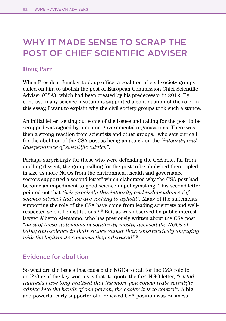# WHY IT MADE SENSE TO SCRAP THE POST OF CHIEF SCIENTIFIC ADVISER

## **Doug Parr**

When President Juncker took up office, a coalition of civil society groups called on him to abolish the post of European Commission Chief Scientific Adviser (CSA), which had been created by his predecessor in 2012. By contrast, many science institutions supported a continuation of the role. In this essay, I want to explain why the civil society groups took such a stance.

An initial letter $^{\text{1}}$  setting out some of the issues and calling for the post to be scrapped was signed by nine non-governmental organisations. There was then a strong reaction from scientists and other groups, $2$  who saw our call for the abolition of the CSA post as being an attack on the *"integrity and independence of scientific advice"*.

Perhaps surprisingly for those who were defending the CSA role, far from quelling dissent, the group calling for the post to be abolished then tripled in size as more NGOs from the environment, health and governance sectors supported a second letter<sup>3</sup> which elaborated why the CSA post had become an impediment to good science in policymaking. This second letter pointed out that *"it is precisely this integrity and independence (of science advice) that we are seeking to uphold".* Many of the statements supporting the role of the CSA have come from leading scientists and wellrespected scientific institutions.4, 5 But, as was observed by public interest lawyer Alberto Alemanno, who has previously written about the CSA post, *"most of these statements of solidarity mostly accused the NGOs of being anti-science in their stance rather than constructively engaging with the legitimate concerns they advanced".*<sup>6</sup>

## Evidence for abolition

So what are the issues that caused the NGOs to call for the CSA role to end? One of the key worries is that, to quote the first NGO letter, *"vested interests have long realised that the more you concentrate scientific advice into the hands of one person, the easier it is to control".* A big and powerful early supporter of a renewed CSA position was Business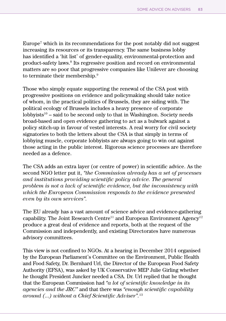Europe7 which in its recommendations for the post notably did not suggest increasing its resources or its transparency. The same business lobby has identified a 'hit list' of gender-equality, environmental-protection and product-safety laws.8 Its regressive position and record on environmental matters are so poor that progressive companies like Unilever are choosing to terminate their membership.<sup>9</sup>

Those who simply equate supporting the renewal of the CSA post with progressive positions on evidence and policymaking should take notice of whom, in the practical politics of Brussels, they are siding with. The political ecology of Brussels includes a heavy presence of corporate lobbyists<sup>10</sup> – said to be second only to that in Washington. Society needs broad-based and open evidence gathering to act as a bulwark against a policy stitch-up in favour of vested interests. A real worry for civil society signatories to both the letters about the CSA is that simply in terms of lobbying muscle, corporate lobbyists are always going to win out against those acting in the public interest. Rigorous science processes are therefore needed as a defence.

The CSA adds an extra layer (or centre of power) in scientific advice. As the second NGO letter put it, *"the Commission already has a set of processes and institutions providing scientific policy advice. The general problem is not a lack of scientific evidence, but the inconsistency with which the European Commission responds to the evidence presented even by its own services".*

The EU already has a vast amount of science advice and evidence-gathering capability. The Joint Research Centre<sup>11</sup> and European Environment Agency<sup>12</sup> produce a great deal of evidence and reports, both at the request of the Commission and independently, and existing Directorates have numerous advisory committees.

This view is not confined to NGOs. At a hearing in December 2014 organised by the European Parliament's Committee on the Environment, Public Health and Food Safety, Dr. Bernhard Url, the Director of the European Food Safety Authority (EFSA), was asked by UK Conservative MEP Julie Girling whether he thought President Juncker needed a CSA. Dr. Url replied that he thought that the European Commission had *"a lot of scientific knowledge in its agencies and the JRC"* and that there was *"enough scientific capability around (...) without a Chief Scientific Adviser".*13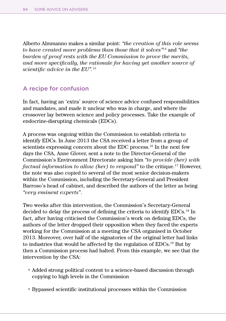Alberto Almmanno makes a similar point: *"the creation of this role seems to have created more problems than those that it solves"*14 and *"the burden of proof rests with the EU Commission to prove the merits, and more specifically, the rationale for having yet another source of scientific advice in the EU".*<sup>15</sup>

## A recipe for confusion

In fact, having an 'extra' source of science advice confused responsibilities and mandates, and made it unclear who was in charge, and where the crossover lay between science and policy processes. Take the example of endocrine-disrupting chemicals (EDCs).

A process was ongoing within the Commission to establish criteria to identify EDCs. In June 2013 the CSA received a letter from a group of scientists expressing concern about the EDC process.<sup>16</sup> In the next few days the CSA, Anne Glover, sent a note to the Director-General of the Commission's Environment Directorate asking him *"to provide (her) with factual information to allow (her) to respond"* to the critique.<sup>17</sup> However, the note was also copied to several of the most senior decision-makers within the Commission, including the Secretary-General and President Barroso's head of cabinet, and described the authors of the letter as being *"very eminent experts"*.

Two weeks after this intervention, the Commission's Secretary-General decided to delay the process of defining the criteria to identify EDCs.18 In fact, after having criticised the Commission's work on defining EDCs, the authors of the letter dropped their opposition when they faced the experts working for the Commission at a meeting the CSA organised in October 2013. Moreover, over half of the signatories of the original letter had links to industries that would be affected by the regulation of EDCs.19 But by then a Commission process had halted. From this example, we see that the intervention by the CSA:

- Added strong political content to a science-based discussion through copying to high levels in the Commission
- Bypassed scientific institutional processes within the Commission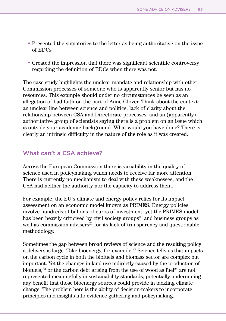- Presented the signatories to the letter as being authoritative on the issue of EDCs
- Created the impression that there was significant scientific controversy regarding the definition of EDCs when there was not.

The case study highlights the unclear mandate and relationship with other Commission processes of someone who is apparently senior but has no resources. This example should under no circumstances be seen as an allegation of bad faith on the part of Anne Glover. Think about the context: an unclear line between science and politics, lack of clarity about the relationship between CSA and Directorate processes, and an (apparently) authoritative group of scientists saying there is a problem on an issue which is outside your academic background. What would you have done? There is clearly an intrinsic difficulty in the nature of the role as it was created.

## What can't a CSA achieve?

Across the European Commission there is variability in the quality of science used in policymaking which needs to receive far more attention. There is currently no mechanism to deal with these weaknesses, and the CSA had neither the authority nor the capacity to address them.

For example, the EU's climate and energy policy relies for its impact assessment on an economic model known as PRIMES. Energy policies involve hundreds of billions of euros of investment, yet the PRIMES model has been heavily criticised by civil society groups<sup>20</sup> and business groups as well as commission advisers $21$  for its lack of transparency and questionable methodology.

Sometimes the gap between broad reviews of science and the resulting policy it delivers is large. Take bioenergy, for example.22 Science tells us that impacts on the carbon cycle in both the biofuels and biomass sector are complex but important. Yet the changes in land use indirectly caused by the production of biofuels,  $23$  or the carbon debt arising from the use of wood as fuel  $24$  are not represented meaningfully in sustainability standards, potentially undermining any benefit that those bioenergy sources could provide in tackling climate change. The problem here is the ability of decision-makers to incorporate principles and insights into evidence gathering and policymaking.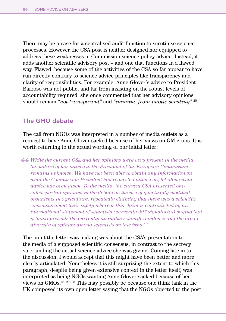There may be a case for a centralised audit function to scrutinise science processes. However the CSA post is neither designed nor equipped to address these weaknesses in Commission science policy advice. Instead, it adds another scientific advisory post – and one that functions in a flawed way. Flawed, because some of the activities of the CSA so far appear to have run directly contrary to science advice principles like transparency and clarity of responsibilities. For example, Anne Glover's advice to President Barroso was not public, and far from insisting on the robust levels of accountability required, she once commented that her advisory opinions should remain *"not transparent"* and *"immune from public scrutiny"*. 25

#### The GMO debate

The call from NGOs was interpreted in a number of media outlets as a request to have Anne Glover sacked because of her views on GM crops. It is worth returning to the actual wording of our initial letter:

*While the current CSA and her opinions were very present in the media, the nature of her advice to the President of the European Commission remains unknown. We have not been able to obtain any information on what the Commission President has requested advice on, let alone what advice has been given. To the media, the current CSA presented onesided, partial opinions in the debate on the use of genetically modified organisms in agriculture, repeatedly claiming that there was a scientific consensus about their safety whereas this claim is contradicted by an international statement of scientists (currently 297 signatories) saying that it 'misrepresents the currently available scientific evidence and the broad diversity of opinion among scientists on this issue'."*

The point the letter was making was about the CSA's presentation to the media of a supposed scientific consensus, in contrast to the secrecy surrounding the actual science advice she was giving. Coming late in to the discussion, I would accept that this might have been better and more clearly articulated. Nonetheless it is still surprising the extent to which this paragraph, despite being given extensive context in the letter itself, was interpreted as being NGOs wanting Anne Glover sacked because of her views on  $GMOs$ .<sup>26, 27, 28</sup> This may possibly be because one think tank in the UK composed its own open letter saying that the NGOs objected to the post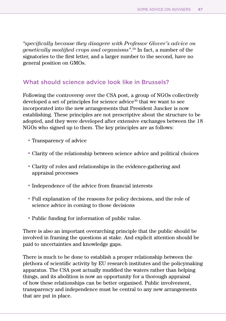*"specifically because they disagree with Professor Glover's advice on genetically modified crops and organisms"*. 29 In fact, a number of the signatories to the first letter, and a larger number to the second, have no general position on GMOs.

## What should science advice look like in Brussels?

Following the controversy over the CSA post, a group of NGOs collectively developed a set of principles for science advice<sup>30</sup> that we want to see incorporated into the new arrangements that President Juncker is now establishing. These principles are not prescriptive about the structure to be adopted, and they were developed after extensive exchanges between the 18 NGOs who signed up to them. The key principles are as follows:

- Transparency of advice
- Clarity of the relationship between science advice and political choices
- Clarity of roles and relationships in the evidence-gathering and appraisal processes
- Independence of the advice from financial interests
- Full explanation of the reasons for policy decisions, and the role of science advice in coming to those decisions
- Public funding for information of public value.

There is also an important overarching principle that the public should be involved in framing the questions at stake. And explicit attention should be paid to uncertainties and knowledge gaps.

There is much to be done to establish a proper relationship between the plethora of scientific activity by EU research institutes and the policymaking apparatus. The CSA post actually muddied the waters rather than helping things, and its abolition is now an opportunity for a thorough appraisal of how these relationships can be better organised. Public involvement, transparency and independence must be central to any new arrangements that are put in place.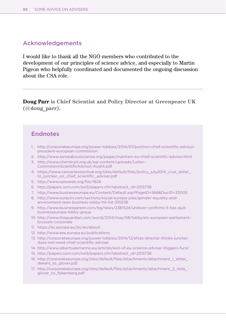## Acknowledgements

I would like to thank all the NGO members who contributed to the development of our principles of science advice, and especially to Martin Pigeon who helpfully coordinated and documented the ongoing discussion about the CSA role.

**Doug Parr is Chief Scientist and Policy Director at Greenpeace UK (@doug\_parr).**

## **Endnotes**

- 1. [http://corporateeurope.org/power-lobbies/2014/07/position-chief-scientific-advisor](http://corporateeurope.org/power-lobbies/2014/07/position-chief-scientific-advisor-president-european-commission)[president-european-commission](http://corporateeurope.org/power-lobbies/2014/07/position-chief-scientific-advisor-president-european-commission)
- 2. http://www.senseaboutscience.org/pages/maintain-eu-chief-scientific-advisor.html
- 3. [http://www.chemtrust.org.uk/wp-content/uploads/Letter-](http://www.chemtrust.org.uk/wp-content/uploads/Letter-CommissionScientificAdvisor-Aug14.pdf)[CommissionScientificAdvisor-Aug14.pdf](http://www.chemtrust.org.uk/wp-content/uploads/Letter-CommissionScientificAdvisor-Aug14.pdf)
- 4. https://www.cancerresearchuk.org/sites/default/files/policy\_july2014\_cruk\_letter to juncker on chief scientific adviser.pdf
- 5. http://www.epsoweb.org/file/1826
- 6. http://papers.ssrn.com/sol3/papers.cfm?abstract\_id=2515738
- 7. http://www.businesseurope.eu/Content/Default.asp?PageID=568&DocID=33005
- 8. [http://www.euractiv.com/sections/social-europe-jobs/gender-equality-and](http://www.euractiv.com/sections/social-europe-jobs/gender-equality-and-environment-laws-business-lobby-hit-list-310236)[environment-laws-business-lobby-hit-list-310236](http://www.euractiv.com/sections/social-europe-jobs/gender-equality-and-environment-laws-business-lobby-hit-list-310236)
- 9. [http://www.businessgreen.com/bg/news/2361524/unilever-confirms-it-has-quit](http://www.businessgreen.com/bg/news/2361524/unilever-confirms-it-has-quit-businesseurope-lobby-group)[businesseurope-lobby-group](http://www.businessgreen.com/bg/news/2361524/unilever-confirms-it-has-quit-businesseurope-lobby-group)
- 10. [http://www.theguardian.com/world/2014/may/08/lobbyists-european-parliament](http://www.theguardian.com/world/2014/may/08/lobbyists-european-parliament-brussels-corporate)[brussels-corporate](http://www.theguardian.com/world/2014/may/08/lobbyists-european-parliament-brussels-corporate)
- 11. https://ec.europa.eu/jrc/en/about
- 12. http://www.eea.europa.eu/publications
- 13. [http://corporateeurope.org/power-lobbies/2014/12/efsas-director-thinks-juncker](http://corporateeurope.org/power-lobbies/2014/12/efsas-director-thinks-juncker-does-not-need-chief-scientific-adviser)[does-not-need-chief-scientific-adviser](http://corporateeurope.org/power-lobbies/2014/12/efsas-director-thinks-juncker-does-not-need-chief-scientific-adviser)
- 14. http://www.albertoalemanno.eu/articles/exit-of-eu-science-adviser-triggers-furor
- 15. http://papers.ssrn.com/sol3/papers.cfm?abstract\_id=2515738
- 16. [http://corporateeurope.org/sites/default/files/attachments/attachment\\_1\\_letter\\_](http://corporateeurope.org/sites/default/files/attachments/attachment_1_letter_dekant_to_glover.pdf) [dekant\\_to\\_glover.pdf](http://corporateeurope.org/sites/default/files/attachments/attachment_1_letter_dekant_to_glover.pdf)
- 17. [http://corporateeurope.org/sites/default/files/attachments/attachment\\_2\\_note\\_](http://corporateeurope.org/sites/default/files/attachments/attachment_2_note_glover_to_falkenberg.pdf) [glover\\_to\\_falkenberg.pdf](http://corporateeurope.org/sites/default/files/attachments/attachment_2_note_glover_to_falkenberg.pdf)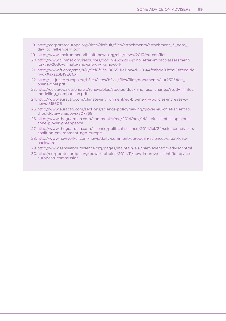- 18. [http://corporateeurope.org/sites/default/files/attachments/attachment\\_3\\_note\\_](http://corporateeurope.org/sites/default/files/attachments/attachment_3_note_day_to_falkenberg.pdf) [day\\_to\\_falkenberg.pdf](http://corporateeurope.org/sites/default/files/attachments/attachment_3_note_day_to_falkenberg.pdf)
- 19. http://www.environmentalhealthnews.org/ehs/news/2013/eu-conflict
- 20.[http://www.climnet.org/resources/doc\\_view/2287-joint-letter-impact-assessment](http://www.climnet.org/resources/doc_view/2287-joint-letter-impact-assessment-for-the-2030-climate-and-energy-framework)[for-the-2030-climate-and-energy-framework](http://www.climnet.org/resources/doc_view/2287-joint-letter-impact-assessment-for-the-2030-climate-and-energy-framework)
- 21. [http://www.ft.com/cms/s/0/9cf8f93e-0865-11e1-bc4d-00144feabdc0.html?siteeditio](http://www.ft.com/cms/s/0/9cf8f93e-0865-11e1-bc4d-00144feabdc0.html?siteedition=uk#axzz3B19EC6xI) [n=uk#axzz3B19EC6xI](http://www.ft.com/cms/s/0/9cf8f93e-0865-11e1-bc4d-00144feabdc0.html?siteedition=uk#axzz3B19EC6xI)
- 22. [http://iet.jrc.ec.europa.eu/bf-ca/sites/bf-ca/files/files/documents/eur25354en\\_](http://iet.jrc.ec.europa.eu/bf-ca/sites/bf-ca/files/files/documents/eur25354en_online-final.pdf) [online-final.pdf](http://iet.jrc.ec.europa.eu/bf-ca/sites/bf-ca/files/files/documents/eur25354en_online-final.pdf)
- 23. [http://ec.europa.eu/energy/renewables/studies/doc/land\\_use\\_change/study\\_4\\_iluc\\_](http://ec.europa.eu/energy/renewables/studies/doc/land_use_change/study_4_iluc_modelling_comparison.pdf) [modelling\\_comparison.pdf](http://ec.europa.eu/energy/renewables/studies/doc/land_use_change/study_4_iluc_modelling_comparison.pdf)
- 24.[http://www.euractiv.com/climate-environment/eu-bioenergy-policies-increase-c](http://www.euractiv.com/climate-environment/eu-bioenergy-policies-increase-c-news-515606)[news-515606](http://www.euractiv.com/climate-environment/eu-bioenergy-policies-increase-c-news-515606)
- 25. [http://www.euractiv.com/sections/science-policymaking/glover-eu-chief-scientist](http://www.euractiv.com/sections/science-policymaking/glover-eu-chief-scientist-should-stay-shadows-307768)[should-stay-shadows-307768](http://www.euractiv.com/sections/science-policymaking/glover-eu-chief-scientist-should-stay-shadows-307768)
- 26.[http://www.theguardian.com/commentisfree/2014/nov/14/sack-scientist-opinions](http://www.theguardian.com/commentisfree/2014/nov/14/sack-scientist-opinions-anne-glover-greenpeace)[anne-glover-greenpeace](http://www.theguardian.com/commentisfree/2014/nov/14/sack-scientist-opinions-anne-glover-greenpeace)
- 27. [http://www.theguardian.com/science/political-science/2014/jul/24/science-advisers](http://www.theguardian.com/science/political-science/2014/jul/24/science-advisers-coalition-environment-ngo-europe)[coalition-environment-ngo-europe](http://www.theguardian.com/science/political-science/2014/jul/24/science-advisers-coalition-environment-ngo-europe)
- 28.[http://www.newyorker.com/news/daily-comment/european-sciences-great-leap](http://www.newyorker.com/news/daily-comment/european-sciences-great-leap-backward)[backward](http://www.newyorker.com/news/daily-comment/european-sciences-great-leap-backward)
- 29.http://www.senseaboutscience.org/pages/maintain-eu-chief-scientific-advisor.html
- 30.[http://corporateeurope.org/power-lobbies/2014/11/how-improve-scientific-advice](http://corporateeurope.org/power-lobbies/2014/11/how-improve-scientific-advice-european-commission)[european-commission](http://corporateeurope.org/power-lobbies/2014/11/how-improve-scientific-advice-european-commission)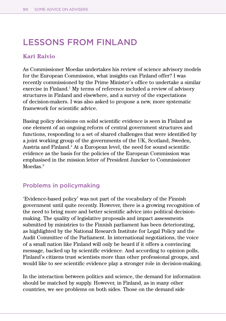## LESSONS FROM FINLAND

## **Kari Raivio**

As Commissioner Moedas undertakes his review of science advisory models for the European Commission, what insights can Finland offer? I was recently commissioned by the Prime Minister's office to undertake a similar exercise in Finland.<sup>1</sup> My terms of reference included a review of advisory structures in Finland and elsewhere, and a survey of the expectations of decision-makers. I was also asked to propose a new, more systematic framework for scientific advice.

Basing policy decisions on solid scientific evidence is seen in Finland as one element of an ongoing reform of central government structures and functions, responding to a set of shared challenges that were identified by a joint working group of the governments of the UK, Scotland, Sweden, Austria and Finland.<sup>2</sup> At a European level, the need for sound scientific evidence as the basis for the policies of the European Commission was emphasised in the mission letter of President Juncker to Commissioner Moedas.<sup>3</sup>

## Problems in policymaking

'Evidence-based policy' was not part of the vocabulary of the Finnish government until quite recently. However, there is a growing recognition of the need to bring more and better scientific advice into political decisionmaking. The quality of legislative proposals and impact assessments submitted by ministries to the Finnish parliament has been deteriorating, as highlighted by the National Research Institute for Legal Policy and the Audit Committee of the Parliament. In international negotiations, the voice of a small nation like Finland will only be heard if it offers a convincing message, backed up by scientific evidence. And according to opinion polls, Finland's citizens trust scientists more than other professional groups, and would like to see scientific evidence play a stronger role in decision-making.

In the interaction between politics and science, the demand for information should be matched by supply. However, in Finland, as in many other countries, we see problems on both sides. Those on the demand side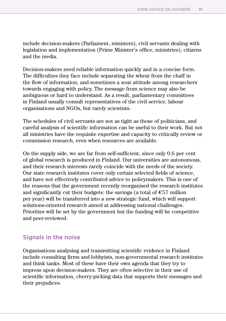include decision-makers (Parliament, ministers), civil servants dealing with legislation and implementation (Prime Minister's office, ministries), citizens and the media.

Decision-makers need reliable information quickly and in a concise form. The difficulties they face include separating the wheat from the chaff in the flow of information, and sometimes a sour attitude among researchers towards engaging with policy. The message from science may also be ambiguous or hard to understand. As a result, parliamentary committees in Finland usually consult representatives of the civil service, labour organisations and NGOs, but rarely scientists.

The schedules of civil servants are not as tight as those of politicians, and careful analysis of scientific information can be useful to their work. But not all ministries have the requisite expertise and capacity to critically review or commission research, even when resources are available.

On the supply side, we are far from self-sufficient, since only 0.6 per cent of global research is produced in Finland. Our universities are autonomous, and their research interests rarely coincide with the needs of the society. Our state research institutes cover only certain selected fields of science, and have not effectively contributed advice to policymakers. This is one of the reasons that the government recently reorganised the research institutes and significantly cut their budgets: the savings (a total of  $\epsilon$ 57 million per year) will be transferred into a new strategic fund, which will support solutions-oriented research aimed at addressing national challenges. Priorities will be set by the government but the funding will be competitive and peer-reviewed.

## Signals in the noise

Organisations analysing and transmitting scientific evidence in Finland include consulting firms and lobbyists, non-governmental research institutes and think tanks. Most of these have their own agenda that they try to impress upon decision-makers. They are often selective in their use of scientific information, cherry-picking data that supports their messages and their prejudices.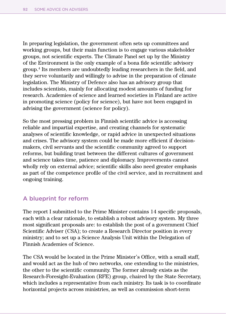In preparing legislation, the government often sets up committees and working groups, but their main function is to engage various stakeholder groups, not scientific experts. The Climate Panel set up by the Ministry of the Environment is the only example of a bona fide scientific advisory group.4 Its members are undoubtedly leading researchers in the field, and they serve voluntarily and willingly to advise in the preparation of climate legislation. The Ministry of Defence also has an advisory group that includes scientists, mainly for allocating modest amounts of funding for research. Academies of science and learned societies in Finland are active in promoting science (policy for science), but have not been engaged in advising the government (science for policy).

So the most pressing problem in Finnish scientific advice is accessing reliable and impartial expertise, and creating channels for systematic analyses of scientific knowledge, or rapid advice in unexpected situations and crises. The advisory system could be made more efficient if decisionmakers, civil servants and the scientific community agreed to support reforms, but building trust between the different cultures of government and science takes time, patience and diplomacy. Improvements cannot wholly rely on external advice; scientific skills also need greater emphasis as part of the competence profile of the civil service, and in recruitment and ongoing training.

## A blueprint for reform

The report I submitted to the Prime Minister contains 14 specific proposals, each with a clear rationale, to establish a robust advisory system. My three most significant proposals are: to establish the post of a government Chief Scientific Adviser (CSA); to create a Research Director position in every ministry; and to set up a Science Analysis Unit within the Delegation of Finnish Academies of Science.

The CSA would be located in the Prime Minister's Office, with a small staff, and would act as the hub of two networks, one extending to the ministries, the other to the scientific community. The former already exists as the Research-Foresight-Evaluation (RFE) group, chaired by the State Secretary, which includes a representative from each ministry. Its task is to coordinate horizontal projects across ministries, as well as commission short-term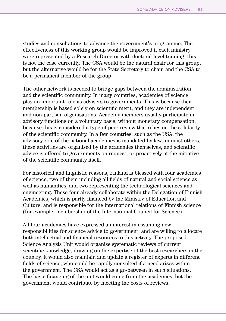studies and consultations to advance the government's programme. The effectiveness of this working group would be improved if each ministry were represented by a Research Director with doctoral-level training; this is not the case currently. The CSA would be the natural chair for this group, but the alternative would be for the State Secretary to chair, and the CSA to be a permanent member of the group.

The other network is needed to bridge gaps between the administration and the scientific community. In many countries, academies of science play an important role as advisers to governments. This is because their membership is based solely on scientific merit, and they are independent and non-partisan organisations. Academy members usually participate in advisory functions on a voluntary basis, without monetary compensation, because this is considered a type of peer review that relies on the solidarity of the scientific community. In a few countries, such as the USA, the advisory role of the national academies is mandated by law; in most others, these activities are organised by the academies themselves, and scientific advice is offered to governments on request, or proactively at the initiative of the scientific community itself.

For historical and linguistic reasons, Finland is blessed with four academies of science, two of them including all fields of natural and social science as well as humanities, and two representing the technological sciences and engineering. These four already collaborate within the Delegation of Finnish Academies, which is partly financed by the Ministry of Education and Culture, and is responsible for the international relations of Finnish science (for example, membership of the International Council for Science).

All four academies have expressed an interest in assuming new responsibilities for science advice to government, and are willing to allocate both intellectual and financial resources to this activity. The proposed Science Analysis Unit would organise systematic reviews of current scientific knowledge, drawing on the expertise of the best researchers in the country. It would also maintain and update a register of experts in different fields of science, who could be rapidly consulted if a need arises within the government. The CSA would act as a go-between in such situations. The basic financing of the unit would come from the academies, but the government would contribute by meeting the costs of reviews.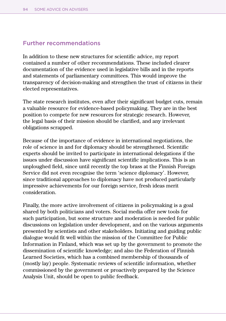## Further recommendations

In addition to these new structures for scientific advice, my report contained a number of other recommendations. These included clearer documentation of the evidence used in legislative bills and in the reports and statements of parliamentary committees. This would improve the transparency of decision-making and strengthen the trust of citizens in their elected representatives.

The state research institutes, even after their significant budget cuts, remain a valuable resource for evidence-based policymaking. They are in the best position to compete for new resources for strategic research. However, the legal basis of their mission should be clarified, and any irrelevant obligations scrapped.

Because of the importance of evidence in international negotiations, the role of science in and for diplomacy should be strengthened. Scientific experts should be invited to participate in international delegations if the issues under discussion have significant scientific implications. This is an unploughed field, since until recently the top brass at the Finnish Foreign Service did not even recognise the term 'science diplomacy'. However, since traditional approaches to diplomacy have not produced particularly impressive achievements for our foreign service, fresh ideas merit consideration.

Finally, the more active involvement of citizens in policymaking is a goal shared by both politicians and voters. Social media offer new tools for such participation, but some structure and moderation is needed for public discussions on legislation under development, and on the various arguments presented by scientists and other stakeholders. Initiating and guiding public dialogue would fit well within the mission of the Committee for Public Information in Finland, which was set up by the government to promote the dissemination of scientific knowledge; and also the Federation of Finnish Learned Societies, which has a combined membership of thousands of (mostly lay) people. Systematic reviews of scientific information, whether commissioned by the government or proactively prepared by the Science Analysis Unit, should be open to public feedback.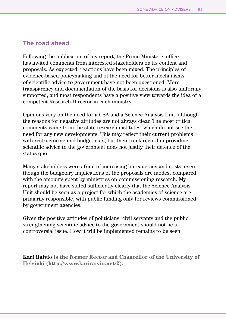## The road ahead

Following the publication of my report, the Prime Minister's office has invited comments from interested stakeholders on its content and proposals. As expected, reactions have been mixed. The principles of evidence-based policymaking and of the need for better mechanisms of scientific advice to government have not been questioned. More transparency and documentation of the basis for decisions is also uniformly supported, and most respondents have a positive view towards the idea of a competent Research Director in each ministry.

Opinions vary on the need for a CSA and a Science Analysis Unit, although the reasons for negative attitudes are not always clear. The most critical comments came from the state research institutes, which do not see the need for any new developments. This may reflect their current problems with restructuring and budget cuts, but their track record in providing scientific advice to the government does not justify their defence of the status quo.

Many stakeholders were afraid of increasing bureaucracy and costs, even though the budgetary implications of the proposals are modest compared with the amounts spent by ministries on commissioning research. My report may not have stated sufficiently clearly that the Science Analysis Unit should be seen as a project for which the academies of science are primarily responsible, with public funding only for reviews commissioned by government agencies.

Given the positive attitudes of politicians, civil servants and the public, strengthening scientific advice to the government should not be a controversial issue. How it will be implemented remains to be seen.

**Kari Raivio is the former Rector and Chancellor of the University of Helsinki (http://www.kariraivio.net/2).**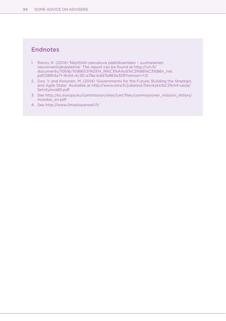## Endnotes

- 1. Raivio, K. (2014) 'Näyttöön perustuva päätöksenteko suomalainen neuvonantojärjestelmä.' The report can be found at [http://vm.fi/](http://vm.fi/documents/10616/1098657/R0314_N%C3%A4ytt%C3%B6%C3%B6n_net.pdf/28914a71-9c64-4c30-a78a-bdd7b863e359?version=1.0) [documents/10616/1098657/R0314\\_N%C3%A4ytt%C3%B6%C3%B6n\\_net.](http://vm.fi/documents/10616/1098657/R0314_N%C3%A4ytt%C3%B6%C3%B6n_net.pdf/28914a71-9c64-4c30-a78a-bdd7b863e359?version=1.0) [pdf/28914a71-9c64-4c30-a78a-bdd7b863e359?version=1.0](http://vm.fi/documents/10616/1098657/R0314_N%C3%A4ytt%C3%B6%C3%B6n_net.pdf/28914a71-9c64-4c30-a78a-bdd7b863e359?version=1.0)
- 2. Doz, Y. and Kosonen, M. (2014) 'Governments for the Future: Building the Strategic and Agile State.' Available at [http://www.sitra.fi/julkaisut/Selvityksi%C3%A4-sarja/](http://www.sitra.fi/julkaisut/Selvityksi%C3%A4-sarja/Selvityksia80.pdf) [Selvityksia80.pdf](http://www.sitra.fi/julkaisut/Selvityksi%C3%A4-sarja/Selvityksia80.pdf)
- 3. See [http://ec.europa.eu/commission/sites/cwt/files/commissioner\\_mission\\_letters/](http://ec.europa.eu/commission/sites/cwt/files/commissioner_mission_letters/moedas_en.pdf) [moedas\\_en.pdf](http://ec.europa.eu/commission/sites/cwt/files/commissioner_mission_letters/moedas_en.pdf)
- 4. See http://www.ilmastopaneeli.fi/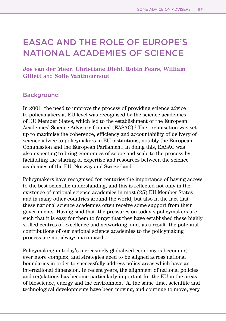# EASAC AND THE ROLE OF EUROPE'S NATIONAL ACADEMIES OF SCIENCE

**Jos van der Meer**, **Christiane Diehl**, **Robin Fears**, **William Gillett** and **Sofie Vanthournout** 

## **Background**

In 2001, the need to improve the process of providing science advice to policymakers at EU level was recognised by the science academies of EU Member States, which led to the establishment of the European Academies' Science Advisory Council (EASAC).<sup>1</sup> The organisation was set up to maximise the coherence, efficiency and accountability of delivery of science advice to policymakers in EU institutions, notably the European Commission and the European Parliament. In doing this, EASAC was also expecting to bring economies of scope and scale to the process by facilitating the sharing of expertise and resources between the science academies of the EU, Norway and Switzerland.

Policymakers have recognised for centuries the importance of having access to the best scientific understanding, and this is reflected not only in the existence of national science academies in most (25) EU Member States and in many other countries around the world, but also in the fact that these national science academies often receive some support from their governments. Having said that, the pressures on today's policymakers are such that it is easy for them to forget that they have established these highly skilled centres of excellence and networking, and, as a result, the potential contributions of our national science academies to the policymaking process are not always maximised.

Policymaking in today's increasingly globalised economy is becoming ever more complex, and strategies need to be aligned across national boundaries in order to successfully address policy areas which have an international dimension. In recent years, the alignment of national policies and regulations has become particularly important for the EU in the areas of bioscience, energy and the environment. At the same time, scientific and technological developments have been moving, and continue to move, very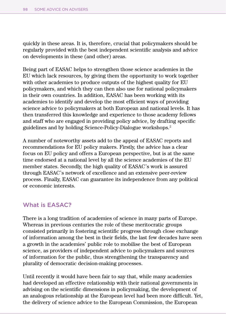quickly in these areas. It is, therefore, crucial that policymakers should be regularly provided with the best independent scientific analysis and advice on developments in these (and other) areas.

Being part of EASAC helps to strengthen those science academies in the EU which lack resources, by giving them the opportunity to work together with other academies to produce outputs of the highest quality for EU policymakers, and which they can then also use for national policymakers in their own countries. In addition, EASAC has been working with its academies to identify and develop the most efficient ways of providing science advice to policymakers at both European and national levels. It has then transferred this knowledge and experience to those academy fellows and staff who are engaged in providing policy advice, by drafting specific guidelines and by holding Science-Policy-Dialogue workshops.2

A number of noteworthy assets add to the appeal of EASAC reports and recommendations for EU policy makers. Firstly, the advice has a clear focus on EU policy and offers a European perspective, but is at the same time endorsed at a national level by all the science academies of the EU member states. Secondly, the high quality of EASAC's work is assured through EASAC's network of excellence and an extensive peer-review process. Finally, EASAC can guarantee its independence from any political or economic interests.

#### What is EASAC?

There is a long tradition of academies of science in many parts of Europe. Whereas in previous centuries the role of these meritocratic groups consisted primarily in fostering scientific progress through close exchange of information among the best in their fields, the last few decades have seen a growth in the academies' public role to mobilise the best of European science, as providers of independent advice to policymakers and sources of information for the public, thus strengthening the transparency and plurality of democratic decision-making processes.

Until recently it would have been fair to say that, while many academies had developed an effective relationship with their national governments in advising on the scientific dimensions in policymaking, the development of an analogous relationship at the European level had been more difficult. Yet, the delivery of science advice to the European Commission, the European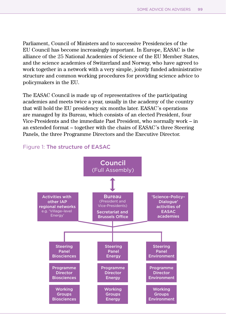Parliament, Council of Ministers and to successive Presidencies of the EU Council has become increasingly important. In Europe, EASAC is the alliance of the 25 National Academies of Science of the EU Member States, and the science academies of Switzerland and Norway, who have agreed to work together in a network with a very simple, jointly funded administrative structure and common working procedures for providing science advice to policymakers in the EU.

The EASAC Council is made up of representatives of the participating academies and meets twice a year, usually in the academy of the country that will hold the EU presidency six months later. EASAC's operations are managed by its Bureau, which consists of an elected President, four Vice-Presidents and the immediate Past President, who normally work – in an extended format – together with the chairs of EASAC's three Steering Panels, the three Programme Directors and the Executive Director.

#### Figure 1: The structure of EASAC

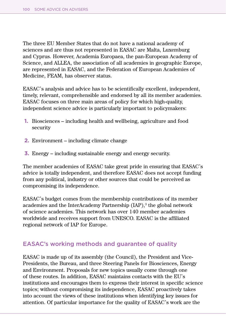The three EU Member States that do not have a national academy of sciences and are thus not represented in EASAC are Malta, Luxemburg and Cyprus. However, Academia Europaea, the pan-European Academy of Science, and ALLEA, the association of all academies in geographic Europe, are represented in EASAC, and the Federation of European Academies of Medicine, FEAM, has observer status.

EASAC's analysis and advice has to be scientifically excellent, independent, timely, relevant, comprehensible and endorsed by all its member academies. EASAC focuses on three main areas of policy for which high-quality, independent science advice is particularly important to policymakers:

- **1.** Biosciences including health and wellbeing, agriculture and food security
- **2.** Environment including climate change
- **3.** Energy including sustainable energy and energy security.

The member academies of EASAC take great pride in ensuring that EASAC's advice is totally independent, and therefore EASAC does not accept funding from any political, industry or other sources that could be perceived as compromising its independence.

EASAC's budget comes from the membership contributions of its member academies and the InterAcademy Partnership (IAP),<sup>3</sup> the global network of science academies. This network has over 140 member academies worldwide and receives support from UNESCO. EASAC is the affiliated regional network of IAP for Europe.

## EASAC's working methods and guarantee of quality

EASAC is made up of its assembly (the Council), the President and Vice-Presidents, the Bureau, and three Steering Panels for Biosciences, Energy and Environment. Proposals for new topics usually come through one of these routes. In addition, EASAC maintains contacts with the EU's institutions and encourages them to express their interest in specific science topics; without compromising its independence, EASAC proactively takes into account the views of these institutions when identifying key issues for attention. Of particular importance for the quality of EASAC's work are the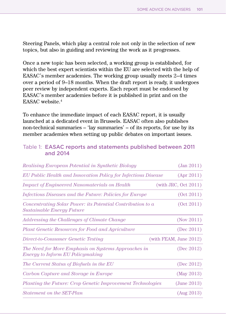Steering Panels, which play a central role not only in the selection of new topics, but also in guiding and reviewing the work as it progresses.

Once a new topic has been selected, a working group is established, for which the best expert scientists within the EU are selected with the help of EASAC's member academies. The working group usually meets 2–4 times over a period of 9–18 months. When the draft report is ready, it undergoes peer review by independent experts. Each report must be endorsed by EASAC's member academies before it is published in print and on the EASAC website.<sup>4</sup>

To enhance the immediate impact of each EASAC report, it is usually launched at a dedicated event in Brussels. EASAC often also publishes non-technical summaries – 'lay summaries' – of its reports, for use by its member academies when setting up public debates on important issues.

#### Table 1: EASAC reports and statements published between 2011 and 2014

| Realising European Potential in Synthetic Biology                                              | $($ Jan 2011)             |
|------------------------------------------------------------------------------------------------|---------------------------|
| EU Public Health and Innovation Policy for Infectious Disease                                  | (Apr 2011)                |
| <i>Impact of Engineered Nanomaterials on Health</i>                                            | (with JRC, Oct $2011$ )   |
| <i>Infectious Diseases and the Future: Policies for Europe</i>                                 | (Oct 2011)                |
| Concentrating Solar Power: its Potential Contribution to a<br>Sustainable Energy Future        | (Oct 2011)                |
| Addressing the Challenges of Climate Change                                                    | (Nov $2011$ )             |
| Plant Genetic Resources for Food and Agriculture                                               | (Dec 2011)                |
| Direct-to-Consumer Genetic Testing                                                             | (with FEAM, June $2012$ ) |
| The Need for More Emphasis on Systems Approaches in<br><i>Energy to Inform EU Policymaking</i> | (Dec 2012)                |
| The Current Status of Biofuels in the EU                                                       | (Dec 2012)                |
| Carbon Capture and Storage in Europe                                                           | (May $2013$ )             |
| Planting the Future: Crop Genetic Improvement Technologies                                     | (June 2013)               |
| Statement on the SET-Plan                                                                      | (Aug 2013)                |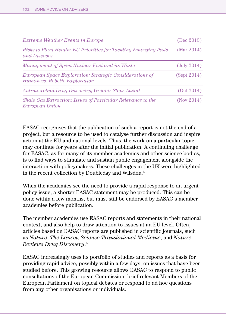| <i>Extreme Weather Events in Europe</i>                                                  | (Dec 2013)              |
|------------------------------------------------------------------------------------------|-------------------------|
| Risks to Plant Health: EU Priorities for Tackling Emerging Pests<br>and Diseases         | (Mar $2014$ )           |
| Management of Spent Nuclear Fuel and its Waste                                           | $\mathrm{(July\ 2014)}$ |
| European Space Exploration: Strategic Considerations of<br>Human vs. Robotic Exploration | (Sept 2014)             |
| Antimicrobial Drug Discovery, Greater Steps Ahead                                        | (Oct 2014)              |
| <b>Shale Gas Extraction: Issues of Particular Relevance to the</b><br>European Union     | (Nov $2014$ )           |

EASAC recognises that the publication of such a report is not the end of a project, but a resource to be used to catalyse further discussion and inspire action at the EU and national levels. Thus, the work on a particular topic may continue for years after the initial publication. A continuing challenge for EASAC, as for many of its member academies and other science bodies, is to find ways to stimulate and sustain public engagement alongside the interaction with policymakers. These challenges in the UK were highlighted in the recent collection by Doubleday and Wilsdon.5

When the academies see the need to provide a rapid response to an urgent policy issue, a shorter EASAC statement may be produced. This can be done within a few months, but must still be endorsed by EASAC's member academies before publication.

The member academies use EASAC reports and statements in their national context, and also help to draw attention to issues at an EU level. Often, articles based on EASAC reports are published in scientific journals, such as *Nature*, *The Lancet*, *Science Translational Medicine*, and *Nature Reviews Drug Discovery*. 6

EASAC increasingly uses its portfolio of studies and reports as a basis for providing rapid advice, possibly within a few days, on issues that have been studied before. This growing resource allows EASAC to respond to public consultations of the European Commission, brief relevant Members of the European Parliament on topical debates or respond to ad hoc questions from any other organisations or individuals.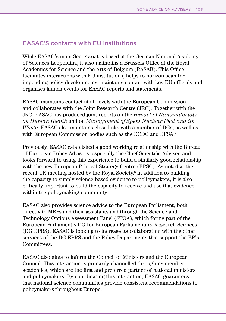## EASAC'S contacts with EU institutions

While EASAC's main Secretariat is based at the German National Academy of Sciences Leopoldina, it also maintains a Brussels Office at the Royal Academies for Science and the Arts of Belgium (RASAB). This Office facilitates interactions with EU institutions, helps to horizon scan for impending policy developments, maintains contact with key EU officials and organises launch events for EASAC reports and statements.

EASAC maintains contact at all levels with the European Commission, and collaborates with the Joint Research Centre (JRC). Together with the JRC, EASAC has produced joint reports on the *Impact of Nanomaterials on Human Health* and on *Management of Spent Nuclear Fuel and its Waste*. EASAC also maintains close links with a number of DGs, as well as with European Commission bodies such as the ECDC and EFSA.7

Previously, EASAC established a good working relationship with the Bureau of European Policy Advisers, especially the Chief Scientific Adviser, and looks forward to using this experience to build a similarly good relationship with the new European Political Strategy Centre (EPSC). As noted at the recent UK meeting hosted by the Royal Society,<sup>8</sup> in addition to building the capacity to supply science-based evidence to policymakers, it is also critically important to build the capacity to receive and use that evidence within the policymaking community.

EASAC also provides science advice to the European Parliament, both directly to MEPs and their assistants and through the Science and Technology Options Assessment Panel (STOA), which forms part of the European Parliament's DG for European Parliamentary Research Services (DG EPRS). EASAC is looking to increase its collaboration with the other services of the DG EPRS and the Policy Departments that support the EP's Committees.

EASAC also aims to inform the Council of Ministers and the European Council. This interaction is primarily channelled through its member academies, which are the first and preferred partner of national ministers and policymakers. By coordinating this interaction, EASAC guarantees that national science communities provide consistent recommendations to policymakers throughout Europe.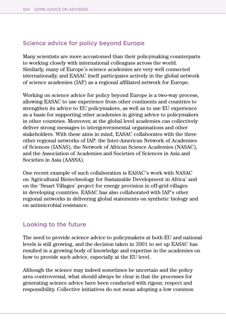## Science advice for policy beyond Europe

Many scientists are more accustomed than their policymaking counterparts to working closely with international colleagues across the world. Similarly, many of Europe's science academies are very well connected internationally, and EASAC itself participates actively in the global network of science academies (IAP) as a regional affiliated network for Europe.

Working on science advice for policy beyond Europe is a two-way process, allowing EASAC to use experience from other continents and countries to strengthen its advice to EU policymakers, as well as to use EU experience as a basis for supporting other academies in giving advice to policymakers in other countries. Moreover, at the global level academies can collectively deliver strong messages to intergovernmental organisations and other stakeholders. With these aims in mind, EASAC collaborates with the three other regional networks of IAP: the Inter-American Network of Academies of Sciences (IANAS), the Network of African Science Academies (NASAC), and the Association of Academies and Societies of Sciences in Asia and Societies in Asia (AASSA).

One recent example of such collaboration is EASAC's work with NASAC on 'Agricultural Biotechnology for Sustainable Development in Africa' and on the 'Smart Villages' project for energy provision in off-grid villages in developing countries. EASAC has also collaborated with IAP's other regional networks in delivering global statements on synthetic biology and on antimicrobial resistance.

#### Looking to the future

The need to provide science advice to policymakers at both EU and national levels is still growing, and the decision taken in 2001 to set up EASAC has resulted in a growing body of knowledge and expertise in the academies on how to provide such advice, especially at the EU level.

Although the science may indeed sometimes be uncertain and the policy area controversial, what should always be clear is that the processes for generating science advice have been conducted with rigour, respect and responsibility. Collective initiatives do not mean adopting a low common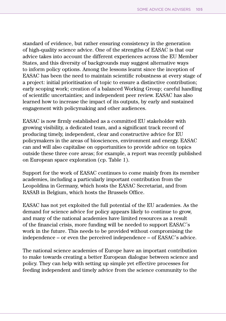standard of evidence, but rather ensuring consistency in the generation of high-quality science advice. One of the strengths of EASAC is that our advice takes into account the different experiences across the EU Member States, and this diversity of backgrounds may suggest alternative ways to inform policy options. Among the lessons learnt since the inception of EASAC has been the need to maintain scientific robustness at every stage of a project: initial prioritisation of topic to ensure a distinctive contribution; early scoping work; creation of a balanced Working Group; careful handling of scientific uncertainties; and independent peer review. EASAC has also learned how to increase the impact of its outputs, by early and sustained engagement with policymaking and other audiences.

EASAC is now firmly established as a committed EU stakeholder with growing visibility, a dedicated team, and a significant track record of producing timely, independent, clear and constructive advice for EU policymakers in the areas of biosciences, environment and energy. EASAC can and will also capitalise on opportunities to provide advice on topics outside these three core areas; for example, a report was recently published on European space exploration (cp. Table 1).

Support for the work of EASAC continues to come mainly from its member academies, including a particularly important contribution from the Leopoldina in Germany, which hosts the EASAC Secretariat, and from RASAB in Belgium, which hosts the Brussels Office.

EASAC has not yet exploited the full potential of the EU academies. As the demand for science advice for policy appears likely to continue to grow, and many of the national academies have limited resources as a result of the financial crisis, more funding will be needed to support EASAC's work in the future. This needs to be provided without compromising the independence – or even the perceived independence – of EASAC's advice.

The national science academies of Europe have an important contribution to make towards creating a better European dialogue between science and policy. They can help with setting up simple yet effective processes for feeding independent and timely advice from the science community to the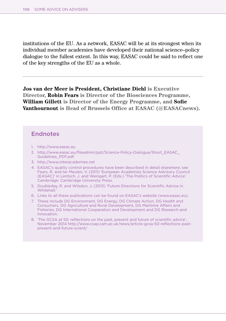institutions of the EU. As a network, EASAC will be at its strongest when its individual member academies have developed their national science–policy dialogue to the fullest extent. In this way, EASAC could be said to reflect one of the key strengths of the EU as a whole.

**Jos van der Meer is President, Christiane Diehl is Executive Director, Robin Fears is Director of the Biosciences Programme, William Gillett is Director of the Energy Programme, and Sofie Vanthournout is Head of Brussels Office at EASAC (@EASACnews).**

## Endnotes

- 1. http://www.easac.eu
- 2. [http://www.easac.eu/fileadmin/ppt/Science-Policy-Dialogue/Short\\_EASAC\\_](http://www.easac.eu/fileadmin/ppt/Science-Policy-Dialogue/Short_EASAC_Guidelines_PDF.pdf) [Guidelines\\_PDF.pdf](http://www.easac.eu/fileadmin/ppt/Science-Policy-Dialogue/Short_EASAC_Guidelines_PDF.pdf)
- 3. http://www.interacademies.net
- 4. EASAC's quality control procedures have been described in detail elsewhere; see Fears, R. and ter Meulen, V. (2011) 'European Academies Science Advisory Council (EASAC)' in Lentsch, J. and Weingart, P. (Eds.) 'The Politics of Scientific Advice'. Cambridge: Cambridge University Press.
- 5. Doubleday, R. and Wilsdon, J. (2013) 'Future Directions for Scientific Advice in Whitehall.'
- 6. Links to all these publications can be found on EASAC's website (www.easac.eu).
- 7. These include DG Environment, DG Energy, DG Climate Action, DG Health and Consumers, DG Agriculture and Rural Development, DG Maritime Affairs and Fisheries, DG International Cooperation and Development and DG Research and Innovation.
- 8. 'The GCSA at 50: reflections on the past, present and future of scientific advice', November 2014 [http://www.csap.cam.ac.uk/news/article-gcsa-50-reflections-past](http://www.csap.cam.ac.uk/news/article-gcsa-50-reflections-past-present-and-future-scient/)[present-and-future-scient/](http://www.csap.cam.ac.uk/news/article-gcsa-50-reflections-past-present-and-future-scient/)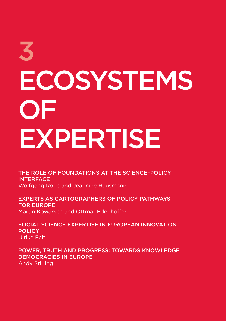# 3 **ECOSYSTEMS** OF EXPERTISE

THE ROLE OF FOUNDATIONS AT THE SCIENCE–POLICY **INTERFACE** Wolfgang Rohe and Jeannine Hausmann

EXPERTS AS CARTOGRAPHERS OF POLICY PATHWAYS FOR EUROPE Martin Kowarsch and Ottmar Edenhoffer

SOCIAL SCIENCE EXPERTISE IN EUROPEAN INNOVATION POLICY Ulrike Felt

POWER, TRUTH AND PROGRESS: TOWARDS KNOWLEDGE DEMOCRACIES IN EUROPE Andy Stirling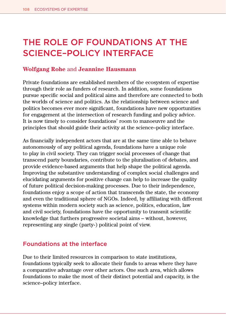# THE ROLE OF FOUNDATIONS AT THE SCIENCE–POLICY INTERFACE

## **Wolfgang Rohe** and **Jeannine Hausmann**

Private foundations are established members of the ecosystem of expertise through their role as funders of research. In addition, some foundations pursue specific social and political aims and therefore are connected to both the worlds of science and politics. As the relationship between science and politics becomes ever more significant, foundations have new opportunities for engagement at the intersection of research funding and policy advice. It is now timely to consider foundations' room to manoeuvre and the principles that should guide their activity at the science–policy interface.

As financially independent actors that are at the same time able to behave autonomously of any political agenda, foundations have a unique role to play in civil society. They can trigger social processes of change that transcend party boundaries, contribute to the pluralisation of debates, and provide evidence-based arguments that help shape the political agenda. Improving the substantive understanding of complex social challenges and elucidating arguments for positive change can help to increase the quality of future political decision-making processes. Due to their independence, foundations enjoy a scope of action that transcends the state, the economy and even the traditional sphere of NGOs. Indeed, by affiliating with different systems within modern society such as science, politics, education, law and civil society, foundations have the opportunity to transmit scientific knowledge that furthers progressive societal aims – without, however, representing any single (party-) political point of view.

## Foundations at the interface

Due to their limited resources in comparison to state institutions, foundations typically seek to allocate their funds to areas where they have a comparative advantage over other actors. One such area, which allows foundations to make the most of their distinct potential and capacity, is the science–policy interface.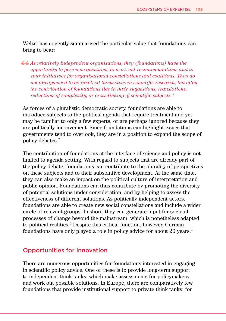Welzel has cogently summarised the particular value that foundations can bring to bear:<sup>1</sup>

*As relatively independent organisations, they (foundations) have the opportunity to pose new questions, to work out recommendations and to spur initiatives for organisational constellations and coalitions. They do not always need to be involved themselves in scientific research, but often the contribution of foundations lies in their suggestions, translations, reductions of complexity, or cross-linking of scientific subjects."*

As forces of a pluralistic democratic society, foundations are able to introduce subjects to the political agenda that require treatment and yet may be familiar to only a few experts, or are perhaps ignored because they are politically inconvenient. Since foundations can highlight issues that governments tend to overlook, they are in a position to expand the scope of policy debates.2

The contribution of foundations at the interface of science and policy is not limited to agenda setting. With regard to subjects that are already part of the policy debate, foundations can contribute to the plurality of perspectives on these subjects and to their substantive development. At the same time, they can also make an impact on the political culture of interpretation and public opinion. Foundations can thus contribute by promoting the diversity of potential solutions under consideration, and by helping to assess the effectiveness of different solutions. As politically independent actors, foundations are able to create new social constellations and include a wider circle of relevant groups. In short, they can generate input for societal processes of change beyond the mainstream, which is nonetheless adapted to political realities.3 Despite this critical function, however, German foundations have only played a role in policy advice for about 20 years.4

## Opportunities for innovation

There are numerous opportunities for foundations interested in engaging in scientific policy advice. One of these is to provide long-term support to independent think tanks, which make assessments for policymakers and work out possible solutions. In Europe, there are comparatively few foundations that provide institutional support to private think tanks; for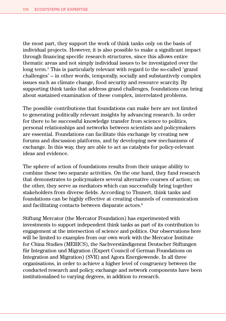the most part, they support the work of think tanks only on the basis of individual projects. However, it is also possible to make a significant impact through financing specific research structures, since this allows entire thematic areas and not simply individual issues to be investigated over the long term.5 This is particularly relevant with regard to the so-called 'grand challenges' – in other words, temporally, socially and substantively complex issues such as climate change, food security and resource scarcity. By supporting think tanks that address grand challenges, foundations can bring about sustained examination of these complex, interrelated problems.

The possible contributions that foundations can make here are not limited to generating politically relevant insights by advancing research. In order for there to be successful knowledge transfer from science to politics, personal relationships and networks between scientists and policymakers are essential. Foundations can facilitate this exchange by creating new forums and discussion platforms, and by developing new mechanisms of exchange. In this way, they are able to act as catalysts for policy-relevant ideas and evidence.

The sphere of action of foundations results from their unique ability to combine these two separate activities. On the one hand, they fund research that demonstrates to policymakers several alternative courses of action; on the other, they serve as mediators which can successfully bring together stakeholders from diverse fields. According to Thunert, think tanks and foundations can be highly effective at creating channels of communication and facilitating contacts between disparate actors.6

Stiftung Mercator (the Mercator Foundation) has experimented with investments to support independent think tanks as part of its contribution to engagement at the intersection of science and politics. Our observations here will be limited to examples from our own work with the Mercator Institute for China Studies (MERICS), the Sachverständigenrat Deutscher Stiftungen für Integration und Migration (Expert Council of German Foundations on Integration and Migration) (SVR) and Agora Energiewende. In all three organisations, in order to achieve a higher level of congruency between the conducted research and policy, exchange and network components have been institutionalised to varying degrees, in addition to research.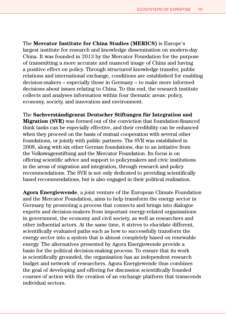The **Mercator Institute for China Studies (MERICS)** is Europe's largest institute for research and knowledge dissemination on modern-day China. It was founded in 2013 by the Mercator Foundation for the purpose of transmitting a more accurate and nuanced image of China and having a positive effect on policy. Through structured knowledge transfer, public relations and international exchange, conditions are established for enabling decision-makers – especially those in Germany – to make more informed decisions about issues relating to China. To this end, the research institute collects and analyses information within four thematic areas: policy, economy, society, and innovation and environment.

The **Sachverständigenrat Deutscher Stiftungen für Integration und Migration (SVR)** was formed out of the conviction that foundation-financed think tanks can be especially effective, and their credibility can be enhanced when they proceed on the basis of mutual cooperation with several other foundations, or jointly with public partners. The SVR was established in 2008, along with six other German foundations, due to an initiative from the Volkswagenstiftung and the Mercator Foundation. Its focus is on offering scientific advice and support to policymakers and civic institutions in the areas of migration and integration, through research and policy recommendations. The SVR is not only dedicated to providing scientifically based recommendations, but is also engaged in their political realisation.

**Agora Energiewende**, a joint venture of the European Climate Foundation and the Mercator Foundation, aims to help transform the energy sector in Germany by promoting a process that connects and brings into dialogue experts and decision-makers from important energy-related organisations in government, the economy and civil society, as well as researchers and other influential actors. At the same time, it strives to elucidate different, scientifically evaluated paths such as how to successfully transform the energy sector into a system that is almost completely based on renewable energy. The alternatives presented by Agora Energiewende provide a basis for the political decision-making process. To ensure that its work is scientifically grounded, the organisation has an independent research budget and network of researchers. Agora Energiewende thus combines the goal of developing and offering for discussion scientifically founded courses of action with the creation of an exchange platform that transcends individual sectors.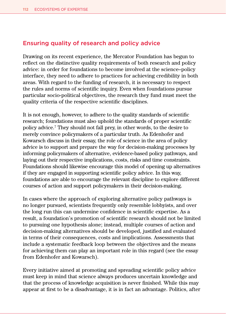## Ensuring quality of research and policy advice

Drawing on its recent experience, the Mercator Foundation has begun to reflect on the distinctive quality requirements of both research and policy advice: in order for foundations to become involved at the science–policy interface, they need to adhere to practices for achieving credibility in both areas. With regard to the funding of research, it is necessary to respect the rules and norms of scientific inquiry. Even when foundations pursue particular socio-political objectives, the research they fund must meet the quality criteria of the respective scientific disciplines.

It is not enough, however, to adhere to the quality standards of scientific research; foundations must also uphold the standards of proper scientific policy advice.7 They should not fall prey, in other words, to the desire to merely convince policymakers of a particular truth. As Edenhofer and Kowarsch discuss in their essay, the role of science in the area of policy advice is to support and prepare the way for decision-making processes by informing policymakers of alternative, evidence-based policy pathways, and laying out their respective implications, costs, risks and time constraints. Foundations should likewise encourage this model of opening up alternatives if they are engaged in supporting scientific policy advice. In this way, foundations are able to encourage the relevant discipline to explore different courses of action and support policymakers in their decision-making.

In cases where the approach of exploring alternative policy pathways is no longer pursued, scientists frequently only resemble lobbyists, and over the long run this can undermine confidence in scientific expertise. As a result, a foundation's promotion of scientific research should not be limited to pursuing one hypothesis alone; instead, multiple courses of action and decision-making alternatives should be developed, justified and evaluated in terms of their consequences, costs and implications. Assessments that include a systematic feedback loop between the objectives and the means for achieving them can play an important role in this regard (see the essay from Edenhofer and Kowarsch).

Every initiative aimed at promoting and spreading scientific policy advice must keep in mind that science always produces uncertain knowledge and that the process of knowledge acquisition is never finished. While this may appear at first to be a disadvantage, it is in fact an advantage. Politics, after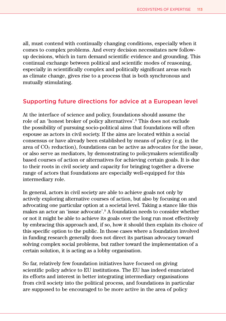all, must contend with continually changing conditions, especially when it comes to complex problems. And every decision necessitates new followup decisions, which in turn demand scientific evidence and grounding. This continual exchange between political and scientific modes of reasoning, especially in scientifically complex and politically significant areas such as climate change, gives rise to a process that is both synchronous and mutually stimulating.

#### Supporting future directions for advice at a European level

At the interface of science and policy, foundations should assume the role of an 'honest broker of policy alternatives'.8 This does not exclude the possibility of pursuing socio-political aims that foundations will often espouse as actors in civil society. If the aims are located within a social consensus or have already been established by means of policy (e.g. in the area of  $CO<sub>2</sub>$  reduction), foundations can be active as advocates for the issue, or also serve as mediators, by demonstrating to policymakers scientifically based courses of action or alternatives for achieving certain goals. It is due to their roots in civil society and capacity for bringing together a diverse range of actors that foundations are especially well-equipped for this intermediary role.

In general, actors in civil society are able to achieve goals not only by actively exploring alternative courses of action, but also by focusing on and advocating one particular option at a societal level. Taking a stance like this makes an actor an 'issue advocate'.9 A foundation needs to consider whether or not it might be able to achieve its goals over the long run most effectively by embracing this approach and, if so, how it should then explain its choice of this specific option to the public. In those cases where a foundation involved in funding research generally does not direct its partisan advocacy toward solving complex social problems, but rather toward the implementation of a certain solution, it is acting as a lobby organisation.

So far, relatively few foundation initiatives have focused on giving scientific policy advice to EU institutions. The EU has indeed enunciated its efforts and interest in better integrating intermediary organisations from civil society into the political process, and foundations in particular are supposed to be encouraged to be more active in the area of policy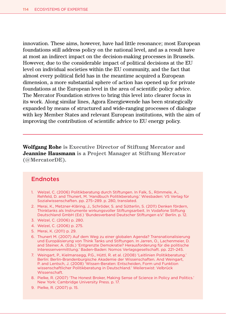innovation. These aims, however, have had little resonance; most European foundations still address policy on the national level, and as a result have at most an indirect impact on the decision-making processes in Brussels. However, due to the considerable impact of political decisions at the EU level on individual societies within the EU community, and the fact that almost every political field has in the meantime acquired a European dimension, a more substantial sphere of action has opened up for private foundations at the European level in the area of scientific policy advice. The Mercator Foundation strives to bring this level into clearer focus in its work. Along similar lines, Agora Energiewende has been strategically expanded by means of structured and wide-ranging processes of dialogue with key Member States and relevant European institutions, with the aim of improving the contribution of scientific advice to EU energy policy.

**Wolfgang Rohe is Executive Director of Stiftung Mercator and Jeannine Hausmann is a Project Manager at Stiftung Mercator (@MercatorDE).**

## Endnotes

- 1. Welzel, C. (2006) Politikberatung durch Stiftungen. In Falk, S., Römmele, A., Rehfeld, D. and Thunert, M. 'Handbuch Politikberatung.' Wiesbaden: VS Verlag für Sozialwissenschaften. pp. 275–289. p. 280, translated.
- 2. Merai, K., Metzner-Kläring, J., Schröder, S. and Sütterlin, S. (2011) Denken fördern, Thinktanks als Instrumente wirkungsvoller Stiftungsarbeit. In Vodafone Stiftung Deutschland GmbH (Ed.) 'Bundesverband Deutscher Stiftungen e.V.' Berlin. p. 12.
- 3. Welzel, C. (2006) p. 280.
- 4. Welzel, C. (2006) p. 275.
- 5. Merai, K. (2011) p. 29.
- 6. Thunert M. (2007) Auf dem Weg zu einer globalen Agenda? Transnationalisierung und Europäisierung von Think Tanks und Stiftungen. In Jarren, O., Lachenmeier, D. and Steiner, A. (Eds.) 'Entgrenzte Demokratie? Herausforderung für die politische Interessenvermittlung.' Baden-Baden: Nomos Verlagsgesellschaft. pp. 221–245.
- 7. Weingart, P., Kielmansegg, P.G., Hüttl, R. et al. (2008) 'Leitlinien Politikberatung.' Berlin: Berlin-Brandenburgische Akademie der Wissenschaften. And Weingart, P. and Lentsch, J. (2008) 'Wissen-Beraten: Entscheiden, Form und Funktion wissenschaftlicher Politikberatung in Deutschland.' Weilerswist: Velbrück Wissenschaft.
- 8. Pielke, R. (2007) 'The Honest Broker, Making Sense of Science in Policy and Politics.' New York: Cambridge University Press. p. 17.
- 9. Pielke, R. (2007) p. 15.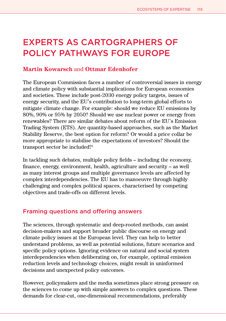# EXPERTS AS CARTOGRAPHERS OF POLICY PATHWAYS FOR EUROPE

#### **Martin Kowarsch** and **Ottmar Edenhofer**

The European Commission faces a number of controversial issues in energy and climate policy with substantial implications for European economies and societies. These include post-2030 energy policy targets, issues of energy security, and the EU's contribution to long-term global efforts to mitigate climate change. For example: should we reduce EU emissions by 80%, 90% or 95% by 2050? Should we use nuclear power or energy from renewables? There are similar debates about reform of the EU's Emission Trading System (ETS). Are quantity-based approaches, such as the Market Stability Reserve, the best option for reform? Or would a price collar be more appropriate to stabilise the expectations of investors? Should the transport sector be included?1

In tackling such debates, multiple policy fields – including the economy, finance, energy, environment, health, agriculture and security – as well as many interest groups and multiple governance levels are affected by complex interdependencies. The EU has to manoeuvre through highly challenging and complex political spaces, characterised by competing objectives and trade-offs on different levels.

## Framing questions and offering answers

The sciences, through systematic and deep-rooted methods, can assist decision-makers and support broader public discourse on energy and climate policy issues at the European level. They can help to better understand problems, as well as potential solutions, future scenarios and specific policy options. Ignoring evidence on natural and social system interdependencies when deliberating on, for example, optimal emission reduction levels and technology choices, might result in uninformed decisions and unexpected policy outcomes.

However, policymakers and the media sometimes place strong pressure on the sciences to come up with simple answers to complex questions. These demands for clear-cut, one-dimensional recommendations, preferably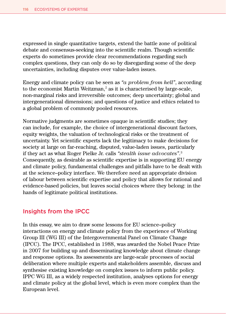expressed in single quantitative targets, extend the battle zone of political debate and consensus-seeking into the scientific realm. Though scientific experts do sometimes provide clear recommendations regarding such complex questions, they can only do so by disregarding some of the deep uncertainties, including disputes over value-laden issues.

Energy and climate policy can be seen as *"a problem from hell"*, according to the economist Martin Weitzman, $^2$  as it is characterised by large-scale, non-marginal risks and irreversible outcomes; deep uncertainty; global and intergenerational dimensions; and questions of justice and ethics related to a global problem of commonly pooled resources.

Normative judgments are sometimes opaque in scientific studies; they can include, for example, the choice of intergenerational discount factors, equity weights, the valuation of technological risks or the treatment of uncertainty. Yet scientific experts lack the legitimacy to make decisions for society at large on far-reaching, disputed, value-laden issues, particularly if they act as what Roger Pielke Jr. calls *"stealth issue advocates"*. 3 Consequently, as desirable as scientific expertise is in supporting EU energy and climate policy, fundamental challenges and pitfalls have to be dealt with at the science–policy interface. We therefore need an appropriate division of labour between scientific expertise and policy that allows for rational and evidence-based policies, but leaves social choices where they belong: in the hands of legitimate political institutions.

#### Insights from the IPCC

In this essay, we aim to draw some lessons for EU science–policy interactions on energy and climate policy from the experience of Working Group III (WG III) of the Intergovernmental Panel on Climate Change (IPCC). The IPCC, established in 1988, was awarded the Nobel Peace Prize in 2007 for building up and disseminating knowledge about climate change and response options. Its assessments are large-scale processes of social deliberation where multiple experts and stakeholders assemble, discuss and synthesise existing knowledge on complex issues to inform public policy. IPPC WG III, as a widely respected institution, analyses options for energy and climate policy at the global level, which is even more complex than the European level.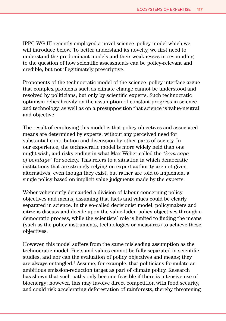IPPC WG III recently employed a novel science–policy model which we will introduce below. To better understand its novelty, we first need to understand the predominant models and their weaknesses in responding to the question of how scientific assessments can be policy-relevant and credible, but not illegitimately prescriptive.

Proponents of the technocratic model of the science–policy interface argue that complex problems such as climate change cannot be understood and resolved by politicians, but only by scientific experts. Such technocratic optimism relies heavily on the assumption of constant progress in science and technology, as well as on a presupposition that science is value-neutral and objective.

The result of employing this model is that policy objectives and associated means are determined by experts, without any perceived need for substantial contribution and discussion by other parts of society. In our experience, the technocratic model is more widely held than one might wish, and risks ending in what Max Weber called the *"iron cage of bondage"* for society. This refers to a situation in which democratic institutions that are strongly relying on expert authority are not given alternatives, even though they exist, but rather are told to implement a single policy based on implicit value judgments made by the experts.

Weber vehemently demanded a division of labour concerning policy objectives and means, assuming that facts and values could be clearly separated in science. In the so-called decisionist model, policymakers and citizens discuss and decide upon the value-laden policy objectives through a democratic process, while the scientists' role is limited to finding the means (such as the policy instruments, technologies or measures) to achieve these objectives.

However, this model suffers from the same misleading assumption as the technocratic model. Facts and values cannot be fully separated in scientific studies, and nor can the evaluation of policy objectives and means; they are always entangled.4 Assume, for example, that politicians formulate an ambitious emission-reduction target as part of climate policy. Research has shown that such paths only become feasible if there is intensive use of bioenergy; however, this may involve direct competition with food security, and could risk accelerating deforestation of rainforests, thereby threatening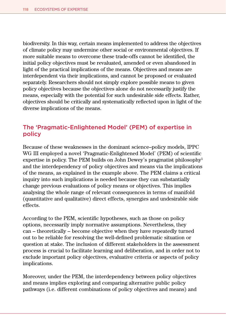biodiversity. In this way, certain means implemented to address the objectives of climate policy may undermine other social or environmental objectives. If more suitable means to overcome these trade-offs cannot be identified, the initial policy objectives must be revaluated, amended or even abandoned in light of the practical implications of the means. Objectives and means are interdependent via their implications, and cannot be proposed or evaluated separately. Researchers should not simply explore possible means to given policy objectives because the objectives alone do not necessarily justify the means, especially with the potential for such undesirable side effects. Rather, objectives should be critically and systematically reflected upon in light of the diverse implications of the means.

## The 'Pragmatic-Enlightened Model' (PEM) of expertise in policy

Because of these weaknesses in the dominant science–policy models, IPPC WG III employed a novel 'Pragmatic-Enlightened Model' (PEM) of scientific expertise in policy. The PEM builds on John Dewey's pragmatist philosophy<sup>5</sup> and the interdependency of policy objectives and means via the implications of the means, as explained in the example above. The PEM claims a critical inquiry into such implications is needed because they can substantially change previous evaluations of policy means or objectives. This implies analysing the whole range of relevant consequences in terms of manifold (quantitative and qualitative) direct effects, synergies and undesirable side effects.

According to the PEM, scientific hypotheses, such as those on policy options, necessarily imply normative assumptions. Nevertheless, they can – theoretically – become objective when they have repeatedly turned out to be reliable for resolving the well-defined problematic situation or question at stake. The inclusion of different stakeholders in the assessment process is crucial to facilitate learning and deliberation, and in order not to exclude important policy objectives, evaluative criteria or aspects of policy implications.

Moreover, under the PEM, the interdependency between policy objectives and means implies exploring and comparing alternative public policy pathways (i.e. different combinations of policy objectives and means) and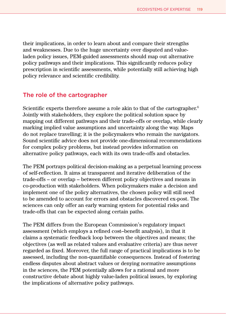their implications, in order to learn about and compare their strengths and weaknesses. Due to the huge uncertainty over disputed and valueladen policy issues, PEM-guided assessments should map out alternative policy pathways and their implications. This significantly reduces policy prescription in scientific assessments, while potentially still achieving high policy relevance and scientific credibility.

## The role of the cartographer

Scientific experts therefore assume a role akin to that of the cartographer.<sup>6</sup> Jointly with stakeholders, they explore the political solution space by mapping out different pathways and their trade-offs or overlap, while clearly marking implied value assumptions and uncertainty along the way. Maps do not replace travelling; it is the policymakers who remain the navigators. Sound scientific advice does not provide one-dimensional recommendations for complex policy problems, but instead provides information on alternative policy pathways, each with its own trade-offs and obstacles.

The PEM portrays political decision-making as a perpetual learning process of self-reflection. It aims at transparent and iterative deliberation of the trade-offs – or overlap – between different policy objectives and means in co-production with stakeholders. When policymakers make a decision and implement one of the policy alternatives, the chosen policy will still need to be amended to account for errors and obstacles discovered ex-post. The sciences can only offer an early warning system for potential risks and trade-offs that can be expected along certain paths.

The PEM differs from the European Commission's regulatory impact assessment (which employs a refined cost–benefit analysis), in that it claims a systematic feedback loop between the objectives and means; the objectives (as well as related values and evaluative criteria) are thus never regarded as fixed. Moreover, the full range of practical implications is to be assessed, including the non-quantifiable consequences. Instead of fostering endless disputes about abstract values or denying normative assumptions in the sciences, the PEM potentially allows for a rational and more constructive debate about highly value-laden political issues, by exploring the implications of alternative policy pathways.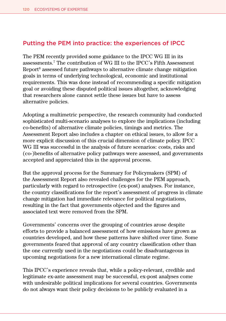# Putting the PEM into practice: the experiences of IPCC

The PEM recently provided some guidance to the IPCC WG III in its assessments.7 The contribution of WG III to the IPCC's Fifth Assessment Report<sup>8</sup> assessed future pathways to alternative climate change mitigation goals in terms of underlying technological, economic and institutional requirements. This was done instead of recommending a specific mitigation goal or avoiding these disputed political issues altogether, acknowledging that researchers alone cannot settle these issues but have to assess alternative policies.

Adopting a multimetric perspective, the research community had conducted sophisticated multi-scenario analyses to explore the implications (including co-benefits) of alternative climate policies, timings and metrics. The Assessment Report also includes a chapter on ethical issues, to allow for a more explicit discussion of this crucial dimension of climate policy. IPCC WG III was successful in the analysis of future scenarios: costs, risks and (co-)benefits of alternative policy pathways were assessed, and governments accepted and appreciated this in the approval process.

But the approval process for the Summary for Policymakers (SPM) of the Assessment Report also revealed challenges for the PEM approach, particularly with regard to retrospective (ex-post) analyses. For instance, the country classifications for the report's assessment of progress in climate change mitigation had immediate relevance for political negotiations, resulting in the fact that governments objected and the figures and associated text were removed from the SPM.

Governments' concerns over the grouping of countries arose despite efforts to provide a balanced assessment of how emissions have grown as countries developed, and how these patterns have shifted over time. Some governments feared that approval of any country classification other than the one currently used in the negotiations could be disadvantageous in upcoming negotiations for a new international climate regime.

This IPCC's experience reveals that, while a policy-relevant, credible and legitimate ex-ante assessment may be successful, ex-post analyses come with undesirable political implications for several countries. Governments do not always want their policy decisions to be publicly evaluated in a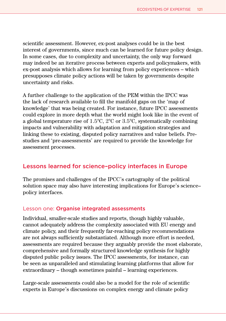scientific assessment. However, ex-post analyses could be in the best interest of governments, since much can be learned for future policy design. In some cases, due to complexity and uncertainty, the only way forward may indeed be an iterative process between experts and policymakers, with ex-post analysis which allows for learning from policy experiences – which presupposes climate policy actions will be taken by governments despite uncertainty and risks.

A further challenge to the application of the PEM within the IPCC was the lack of research available to fill the manifold gaps on the 'map of knowledge' that was being created. For instance, future IPCC assessments could explore in more depth what the world might look like in the event of a global temperature rise of 1.5°C, 2°C or 3.5°C, systematically combining impacts and vulnerability with adaptation and mitigation strategies and linking these to existing, disputed policy narratives and value beliefs. Prestudies and 'pre-assessments' are required to provide the knowledge for assessment processes.

## Lessons learned for science–policy interfaces in Europe

The promises and challenges of the IPCC's cartography of the political solution space may also have interesting implications for Europe's science– policy interfaces.

#### Lesson one: Organise integrated assessments

Individual, smaller-scale studies and reports, though highly valuable, cannot adequately address the complexity associated with EU energy and climate policy, and their frequently far-reaching policy recommendations are not always sufficiently substantiated. Although more effort is needed, assessments are required because they arguably provide the most elaborate, comprehensive and formally structured knowledge synthesis for highly disputed public policy issues. The IPCC assessments, for instance, can be seen as unparalleled and stimulating learning platforms that allow for extraordinary – though sometimes painful – learning experiences.

Large-scale assessments could also be a model for the role of scientific experts in Europe's discussions on complex energy and climate policy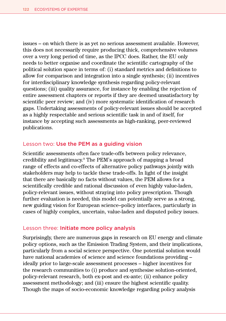issues – on which there is as yet no serious assessment available. However, this does not necessarily require producing thick, comprehensive volumes over a very long period of time, as the IPCC does. Rather, the EU only needs to better organise and coordinate the scientific cartography of the political solution space in terms of: (i) standard metrics and definitions to allow for comparison and integration into a single synthesis; (ii) incentives for interdisciplinary knowledge synthesis regarding policy-relevant questions; (iii) quality assurance, for instance by enabling the rejection of entire assessment chapters or reports if they are deemed unsatisfactory by scientific peer review; and (iv) more systematic identification of research gaps. Undertaking assessments of policy-relevant issues should be accepted as a highly respectable and serious scientific task in and of itself, for instance by accepting such assessments as high-ranking, peer-reviewed publications.

#### Lesson two: Use the PEM as a guiding vision

Scientific assessments often face trade-offs between policy relevance, credibility and legitimacy.9 The PEM's approach of mapping a broad range of effects and co-effects of alternative policy pathways jointly with stakeholders may help to tackle these trade-offs. In light of the insight that there are basically no facts without values, the PEM allows for a scientifically credible and rational discussion of even highly value-laden, policy-relevant issues, without straying into policy prescription. Though further evaluation is needed, this model can potentially serve as a strong, new guiding vision for European science–policy interfaces, particularly in cases of highly complex, uncertain, value-laden and disputed policy issues.

#### Lesson three: Initiate more policy analysis

Surprisingly, there are numerous gaps in research on EU energy and climate policy options, such as the Emission Trading System, and their implications, particularly from a social science perspective. One potential solution would have national academies of science and science foundations providing – ideally prior to large-scale assessment processes – higher incentives for the research communities to (i) produce and synthesise solution-oriented, policy-relevant research, both ex-post and ex-ante; (ii) enhance policy assessment methodology; and (iii) ensure the highest scientific quality. Though the maps of socio-economic knowledge regarding policy analysis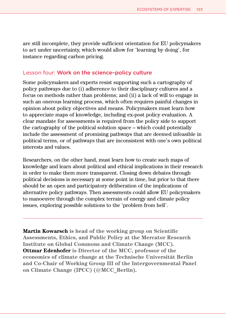are still incomplete, they provide sufficient orientation for EU policymakers to act under uncertainty, which would allow for 'learning by doing', for instance regarding carbon pricing.

#### Lesson four: Work on the science–policy culture

Some policymakers and experts resist supporting such a cartography of policy pathways due to (i) adherence to their disciplinary cultures and a focus on methods rather than problems; and (ii) a lack of will to engage in such an onerous learning process, which often requires painful changes in opinion about policy objectives and means. Policymakers must learn how to appreciate maps of knowledge, including ex-post policy evaluation. A clear mandate for assessments is required from the policy side to support the cartography of the political solution space – which could potentially include the assessment of promising pathways that are deemed infeasible in political terms, or of pathways that are inconsistent with one's own political interests and values.

Researchers, on the other hand, must learn how to create such maps of knowledge and learn about political and ethical implications in their research in order to make them more transparent. Closing down debates through political decisions is necessary at some point in time, but prior to that there should be an open and participatory deliberation of the implications of alternative policy pathways. Then assessments could allow EU policymakers to manoeuvre through the complex terrain of energy and climate policy issues, exploring possible solutions to the 'problem from hell'.

**Martin Kowarsch is head of the working group on Scientific Assessments, Ethics, and Public Policy at the Mercator Research Institute on Global Commons and Climate Change (MCC). Ottmar Edenhofer is Director of the MCC, professor of the economics of climate change at the Technische Universität Berlin and Co-Chair of Working Group III of the Intergovernmental Panel on Climate Change (IPCC) (@MCC\_Berlin).**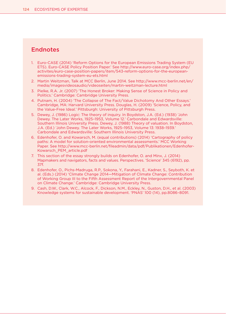#### Endnotes

- 1. Euro-CASE (2014) 'Reform Options for the European Emissions Trading System (EU ETS). Euro-CASE Policy Position Paper.' See [http://www.euro-case.org/index.php/](http://www.euro-case.org/index.php/activites/euro-case-position-papers/item/543-reform-options-for-the-european-emissions-trading-system-eu-ets.html) [activites/euro-case-position-papers/item/543-reform-options-for-the-european](http://www.euro-case.org/index.php/activites/euro-case-position-papers/item/543-reform-options-for-the-european-emissions-trading-system-eu-ets.html)[emissions-trading-system-eu-ets.html](http://www.euro-case.org/index.php/activites/euro-case-position-papers/item/543-reform-options-for-the-european-emissions-trading-system-eu-ets.html)
- 2. Martin Weitzman, Talk at MCC Berlin, June 2014. See [http://www.mcc-berlin.net/en/](http://www.mcc-berlin.net/en/media/imagesvideosaudio/videoseiten/martin-weitzman-lecture.html) [media/imagesvideosaudio/videoseiten/martin-weitzman-lecture.html](http://www.mcc-berlin.net/en/media/imagesvideosaudio/videoseiten/martin-weitzman-lecture.html)
- 3. Pielke, R.A. Jr. (2007) 'The Honest Broker: Making Sense of Science in Policy and Politics.' Cambridge: Cambridge University Press.
- 4. Putnam, H. (2004) 'The Collapse of The Fact/Value Dichotomy And Other Essays.' Cambridge, MA: Harvard University Press. Douglas, H. (2009) 'Science, Policy, and the Value-Free Ideal.' Pittsburgh: University of Pittsburgh Press.
- 5. Dewey, J. (1986) Logic: The theory of inquiry. In Boydston, J.A. (Ed.) (1938) 'John Dewey. The Later Works, 1925–1953, Volume 12.' Carbondale and Edwardsville: Southern Illinois University Press. Dewey, J. (1988) Theory of valuation. In Boydston, J.A. (Ed.) 'John Dewey. The Later Works, 1925–1953, Volume 13: 1938–1939.' Carbondale and Edwardsville: Southern Illinois University Press.
- 6. Edenhofer, O. and Kowarsch, M. (equal contributions) (2014) 'Cartography of policy paths: A model for solution-oriented environmental assessments.' MCC Working Paper. See [http://www.mcc-berlin.net/fileadmin/data/pdf/Publikationen/Edenhofer-](http://www.mcc-berlin.net/fileadmin/data/pdf/Publikationen/Edenhofer-Kowarsch_PEM_article.pdf)[Kowarsch\\_PEM\\_article.pdf](http://www.mcc-berlin.net/fileadmin/data/pdf/Publikationen/Edenhofer-Kowarsch_PEM_article.pdf)
- 7. This section of the essay strongly builds on Edenhofer, O. and Minx, J. (2014) Mapmakers and navigators, facts and values. Perspectives. 'Science' 345 (6192), pp. 37f.
- 8. Edenhofer, O., Pichs-Madruga, R.P., Sokona, Y., Farahani, E., Kadner, S., Seyboth, K. et al. (Eds.) (2014) 'Climate Change 2014—Mitigation of Climate Change: Contribution of Working Group III to the Fifth Assessment Report of the Intergovernmental Panel on Climate Change.' Cambridge: Cambridge University Press.
- 9. Cash, D.W., Clark, W.C., Alcock, F., Dickson, N.M., Eckley, N., Guston, D.H., et al. (2003). Knowledge systems for sustainable development. 'PNAS' 100 (14), pp.8086–8091.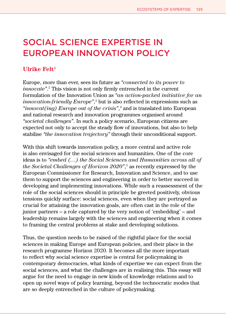# SOCIAL SCIENCE EXPERTISE IN EUROPEAN INNOVATION POLICY

## **Ulrike Felt1**

Europe, more than ever, sees its future as *"connected to its power to innovate"*. 2 This vision is not only firmly entrenched in the current formulation of the Innovation Union as *"an action-packed initiative for an innovation-friendly Europe"*, 3 but is also reflected in expressions such as *"innovat(ing) Europe out of the crisis"*, 4 and is translated into European and national research and innovation programmes organised around *"societal challenges"*. In such a policy scenario, European citizens are expected not only to accept the steady flow of innovations, but also to help stabilise *"the innovation trajectory"* through their unconditional support.

With this shift towards innovation policy, a more central and active role is also envisaged for the social sciences and humanities. One of the core ideas is to *"embed (…) the Social Sciences and Humanities across all of the Societal Challenges of Horizon 2020"*, 5 as recently expressed by the European Commissioner for Research, Innovation and Science, and to use them to support the sciences and engineering in order to better succeed in developing and implementing innovations. While such a reassessment of the role of the social sciences should in principle be greeted positively, obvious tensions quickly surface: social sciences, even when they are portrayed as crucial for attaining the innovation goals, are often cast in the role of the junior partners – a role captured by the very notion of 'embedding' – and leadership remains largely with the sciences and engineering when it comes to framing the central problems at stake and developing solutions.

Thus, the question needs to be raised of the rightful place for the social sciences in making Europe and European policies, and their place in the research programme Horizon 2020. It becomes all the more important to reflect why social science expertise is central for policymaking in contemporary democracies, what kinds of expertise we can expect from the social sciences, and what the challenges are in realising this. This essay will argue for the need to engage in new kinds of knowledge relations and to open up novel ways of policy learning, beyond the technocratic modes that are so deeply entrenched in the culture of policymaking.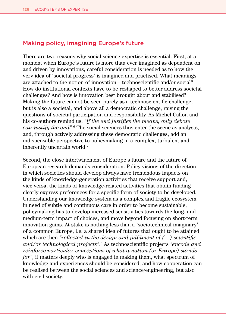#### Making policy, imagining Europe's future

There are two reasons why social science expertise is essential. First, at a moment when Europe's future is more than ever imagined as dependent on and driven by innovations, careful consideration is needed as to how the very idea of 'societal progress' is imagined and practised. What meanings are attached to the notion of innovation – technoscientific and/or social? How do institutional contexts have to be reshaped to better address societal challenges? And how is innovation best brought about and stabilised? Making the future cannot be seen purely as a technoscientific challenge, but is also a societal, and above all a democratic challenge, raising the questions of societal participation and responsibility. As Michel Callon and his co-authors remind us, *"if the end justifies the means, only debate can justify the end*".<sup>6</sup> The social sciences thus enter the scene as analysts, and, through actively addressing these democratic challenges, add an indispensable perspective to policymaking in a complex, turbulent and inherently uncertain world.7

Second, the close intertwinement of Europe's future and the future of European research demands consideration. Policy visions of the direction in which societies should develop always have tremendous impacts on the kinds of knowledge-generation activities that receive support and, vice versa, the kinds of knowledge-related activities that obtain funding clearly express preferences for a specific form of society to be developed. Understanding our knowledge system as a complex and fragile ecosystem in need of subtle and continuous care in order to become sustainable, policymaking has to develop increased sensitivities towards the long- and medium-term impact of choices, and move beyond focusing on short-term innovation gains. At stake is nothing less than a 'sociotechnical imaginary' of a common Europe, i.e. a shared idea of futures that ought to be attained, which are then *"reflected in the design and fulfilment of (...) scientific and/or technological projects"*. 8 As technoscientific projects *"encode and reinforce particular conceptions of what a nation (or Europe) stands for"*, it matters deeply who is engaged in making them, what spectrum of knowledge and experiences should be considered, and how cooperation can be realised between the social sciences and science/engineering, but also with civil society.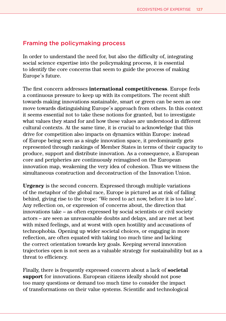## Framing the policymaking process

In order to understand the need for, but also the difficulty of, integrating social science expertise into the policymaking process, it is essential to identify the core concerns that seem to guide the process of making Europe's future.

The first concern addresses **international competitiveness**. Europe feels a continuous pressure to keep up with its competitors. The recent shift towards making innovations sustainable, smart or green can be seen as one move towards distinguishing Europe's approach from others. In this context it seems essential not to take these notions for granted, but to investigate what values they stand for and how these values are understood in different cultural contexts. At the same time, it is crucial to acknowledge that this drive for competition also impacts on dynamics within Europe: instead of Europe being seen as a single innovation space, it predominantly gets represented through rankings of Member States in terms of their capacity to produce, support and distribute innovation. As a consequence, a European core and peripheries are continuously reimagined on the European innovation map, weakening the very idea of cohesion. Thus we witness the simultaneous construction and deconstruction of the Innovation Union.

**Urgency** is the second concern. Expressed through multiple variations of the metaphor of the global race, Europe is pictured as at risk of falling behind, giving rise to the trope: 'We need to act now, before it is too late'. Any reflection on, or expression of concerns about, the direction that innovations take – as often expressed by social scientists or civil society actors – are seen as unreasonable doubts and delays, and are met at best with mixed feelings, and at worst with open hostility and accusations of technophobia. Opening up wider societal choices, or engaging in more reflection, are often equated with taking too much time and lacking the correct orientation towards key goals. Keeping several innovation trajectories open is not seen as a valuable strategy for sustainability but as a threat to efficiency.

Finally, there is frequently expressed concern about a lack of **societal support** for innovations. European citizens ideally should not pose too many questions or demand too much time to consider the impact of transformations on their value systems. Scientific and technological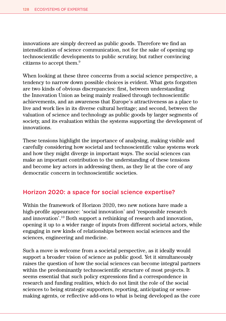innovations are simply decreed as public goods. Therefore we find an intensification of science communication, not for the sake of opening up technoscientific developments to public scrutiny, but rather convincing citizens to accept them.9

When looking at these three concerns from a social science perspective, a tendency to narrow down possible choices is evident. What gets forgotten are two kinds of obvious discrepancies: first, between understanding the Innovation Union as being mainly realised through technoscientific achievements, and an awareness that Europe's attractiveness as a place to live and work lies in its diverse cultural heritage; and second, between the valuation of science and technology as public goods by larger segments of society, and its evaluation within the systems supporting the development of innovations.

These tensions highlight the importance of analysing, making visible and carefully considering how societal and technoscientific value systems work and how they might diverge in important ways. The social sciences can make an important contribution to the understanding of these tensions and become key actors in addressing them, as they lie at the core of any democratic concern in technoscientific societies.

#### Horizon 2020: a space for social science expertise?

Within the framework of Horizon 2020, two new notions have made a high-profile appearance: 'social innovation' and 'responsible research and innovation'.10 Both support a rethinking of research and innovation, opening it up to a wider range of inputs from different societal actors, while engaging in new kinds of relationships between social sciences and the sciences, engineering and medicine.

Such a move is welcome from a societal perspective, as it ideally would support a broader vision of science as public good. Yet it simultaneously raises the question of how the social sciences can become integral partners within the predominantly technoscientific structure of most projects. It seems essential that such policy expressions find a correspondence in research and funding realities, which do not limit the role of the social sciences to being strategic supporters, reporting, anticipating or sensemaking agents, or reflective add-ons to what is being developed as the core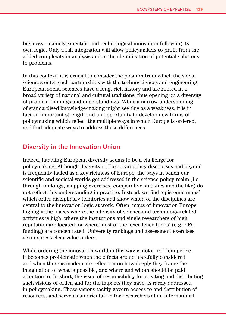business – namely, scientific and technological innovation following its own logic. Only a full integration will allow policymakers to profit from the added complexity in analysis and in the identification of potential solutions to problems.

In this context, it is crucial to consider the position from which the social sciences enter such partnerships with the technosciences and engineering. European social sciences have a long, rich history and are rooted in a broad variety of national and cultural traditions, thus opening up a diversity of problem framings and understandings. While a narrow understanding of standardised knowledge-making might see this as a weakness, it is in fact an important strength and an opportunity to develop new forms of policymaking which reflect the multiple ways in which Europe is ordered, and find adequate ways to address these differences.

#### Diversity in the Innovation Union

Indeed, handling European diversity seems to be a challenge for policymaking. Although diversity in European policy discourses and beyond is frequently hailed as a key richness of Europe, the ways in which our scientific and societal worlds get addressed in the science policy realm (i.e. through rankings, mapping exercises, comparative statistics and the like) do not reflect this understanding in practice. Instead, we find 'epistemic maps' which order disciplinary territories and show which of the disciplines are central to the innovation logic at work. Often, maps of Innovation Europe highlight the places where the intensity of science-and technology-related activities is high, where the institutions and single researchers of high reputation are located, or where most of the 'excellence funds' (e.g. ERC funding) are concentrated. University rankings and assessment exercises also express clear value orders.

While ordering the innovation world in this way is not a problem per se, it becomes problematic when the effects are not carefully considered and when there is inadequate reflection on how deeply they frame the imagination of what is possible, and where and whom should be paid attention to. In short, the issue of responsibility for creating and distributing such visions of order, and for the impacts they have, is rarely addressed in policymaking. These visions tacitly govern access to and distribution of resources, and serve as an orientation for researchers at an international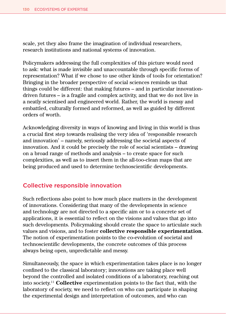scale, yet they also frame the imagination of individual researchers, research institutions and national systems of innovation.

Policymakers addressing the full complexities of this picture would need to ask: what is made invisible and unaccountable through specific forms of representation? What if we chose to use other kinds of tools for orientation? Bringing in the broader perspective of social sciences reminds us that things could be different: that making futures – and in particular innovationdriven futures – is a fragile and complex activity, and that we do not live in a neatly scientised and engineered world. Rather, the world is messy and embattled, culturally formed and reformed, as well as guided by different orders of worth.

Acknowledging diversity in ways of knowing and living in this world is thus a crucial first step towards realising the very idea of 'responsible research and innovation' – namely, seriously addressing the societal aspects of innovation. And it could be precisely the role of social scientists – drawing on a broad range of methods and analysis – to create space for such complexities, as well as to insert them in the all-too-clean maps that are being produced and used to determine technoscientific developments.

## Collective responsible innovation

Such reflections also point to how much place matters in the development of innovations. Considering that many of the developments in science and technology are not directed to a specific aim or to a concrete set of applications, it is essential to reflect on the visions and values that go into such developments. Policymaking should create the space to articulate such values and visions, and to foster **collective responsible experimentation**. The notion of experimentation points to the co-evolution of societal and technoscientific developments, the concrete outcomes of this process always being open, unpredictable and messy.

Simultaneously, the space in which experimentation takes place is no longer confined to the classical laboratory; innovations are taking place well beyond the controlled and isolated conditions of a laboratory, reaching out into society.11 **Collective** experimentation points to the fact that, with the laboratory of society, we need to reflect on who can participate in shaping the experimental design and interpretation of outcomes, and who can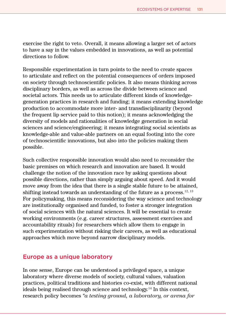exercise the right to veto. Overall, it means allowing a larger set of actors to have a say in the values embedded in innovations, as well as potential directions to follow.

Responsible experimentation in turn points to the need to create spaces to articulate and reflect on the potential consequences of orders imposed on society through technoscientific policies. It also means thinking across disciplinary borders, as well as across the divide between science and societal actors. This needs us to articulate different kinds of knowledgegeneration practices in research and funding; it means extending knowledge production to accommodate more inter- and transdisciplinarity (beyond the frequent lip service paid to this notion); it means acknowledging the diversity of models and rationalities of knowledge generation in social sciences and science/engineering; it means integrating social scientists as knowledge-able and value-able partners on an equal footing into the core of technoscientific innovations, but also into the policies making them possible.

Such collective responsible innovation would also need to reconsider the basic premises on which research and innovation are based. It would challenge the notion of the innovation race by asking questions about possible directions, rather than simply arguing about speed. And it would move away from the idea that there is a single stable future to be attained, shifting instead towards an understanding of the future as a process.<sup>12, 13</sup> For policymaking, this means reconsidering the way science and technology are institutionally organised and funded, to foster a stronger integration of social sciences with the natural sciences. It will be essential to create working environments (e.g. career structures, assessment exercises and accountability rituals) for researchers which allow them to engage in such experimentation without risking their careers, as well as educational approaches which move beyond narrow disciplinary models.

#### Europe as a unique laboratory

In one sense, Europe can be understood a privileged space, a unique laboratory where diverse models of society, cultural values, valuation practices, political traditions and histories co-exist, with different national ideals being realised through science and technology.14 In this context, research policy becomes *"a testing ground, a laboratory, or arena for*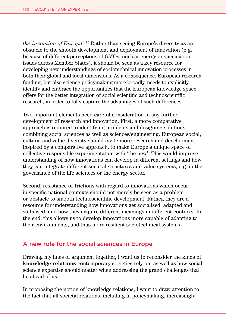*the invention of Europe"*. 15 Rather than seeing Europe's diversity as an obstacle to the smooth development and deployment of innovation (e.g. because of different perceptions of GMOs, nuclear energy or vaccination issues across Member States), it should be seen as a key resource for developing new understandings of sociotechnical innovation processes in both their global and local dimensions. As a consequence, European research funding, but also science policymaking more broadly, needs to explicitly identify and embrace the opportunities that the European knowledge space offers for the better integration of social scientific and technoscientific research, in order to fully capture the advantages of such differences.

Two important elements need careful consideration in any further development of research and innovation. First, a more comparative approach is required to identifying problems and designing solutions, combining social sciences as well as sciences/engineering. European social, cultural and value diversity should invite more research and development inspired by a comparative approach, to make Europe a unique space of collective responsible experimentation with 'the new'. This would improve understanding of how innovations can develop in different settings and how they can integrate different societal structures and value systems, e.g. in the governance of the life sciences or the energy sector.

Second, resistance or frictions with regard to innovations which occur in specific national contexts should not merely be seen as a problem or obstacle to smooth technoscientific development. Rather, they are a resource for understanding how innovations get socialised, adapted and stabilised, and how they acquire different meanings in different contexts. In the end, this allows us to develop innovations more capable of adapting to their environments, and thus more resilient sociotechnical systems.

## A new role for the social sciences in Europe

Drawing my lines of argument together, I want us to reconsider the kinds of **knowledge relations** contemporary societies rely on, as well as how social science expertise should matter when addressing the grand challenges that lie ahead of us.

In proposing the notion of knowledge relations, I want to draw attention to the fact that all societal relations, including in policymaking, increasingly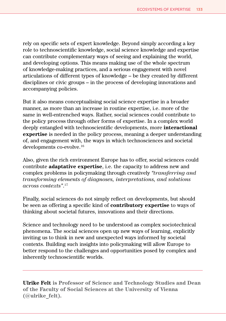rely on specific sets of expert knowledge. Beyond simply according a key role to technoscientific knowledge, social science knowledge and expertise can contribute complementary ways of seeing and explaining the world, and developing options. This means making use of the whole spectrum of knowledge-making practices, and a serious engagement with novel articulations of different types of knowledge – be they created by different disciplines or civic groups – in the process of developing innovations and accompanying policies.

But it also means conceptualising social science expertise in a broader manner, as more than an increase in routine expertise, i.e. more of the same in well-entrenched ways. Rather, social sciences could contribute to the policy process through other forms of expertise. In a complex world deeply entangled with technoscientific developments, more **interactional expertise** is needed in the policy process, meaning a deeper understanding of, and engagement with, the ways in which technosciences and societal developments co-evolve.16

Also, given the rich environment Europe has to offer, social sciences could contribute **adaptative expertise**, i.e. the capacity to address new and complex problems in policymaking through creatively *"transferring and transforming elements of diagnoses, interpretations, and solutions across contexts"*. 17

Finally, social sciences do not simply reflect on developments, but should be seen as offering a specific kind of **contributory expertise** to ways of thinking about societal futures, innovations and their directions.

Science and technology need to be understood as complex sociotechnical phenomena. The social sciences open up new ways of learning, explicitly inviting us to think in new and unexpected ways informed by societal contexts. Building such insights into policymaking will allow Europe to better respond to the challenges and opportunities posed by complex and inherently technoscientific worlds.

**Ulrike Felt is Professor of Science and Technology Studies and Dean of the Faculty of Social Sciences at the University of Vienna (@ulrike\_felt).**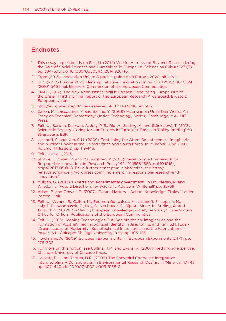## Endnotes

- 1. This essay in part builds on Felt, U. (2014) Within, Across and Beyond: Reconsidering the Role of Social Sciences and Humanities in Europe. In 'Science as Culture' 23 (3) pp. 384–396. doi:10.1080/09505431.2014.926146.
- 2. From (2013) 'Innovation Union: A pocket guide on a Europe 2020 initiative.'
- 3. CEC (2010) Europe 2020 Flagship Initiative: Innovation Union, SEC(2010) 1161 COM (2010) 546 final. Brussels: Commission of the European Communities.
- 4. ERAB (2012) 'The New Renaissance: Will it Happen? Innovating Europe Out of the Crisis.' Third and final report of the European Research Area Board. Brussels: European Union.
- 5. http://europa.eu/rapid/press-release\_SPEECH-13-740\_en.htm
- 6. Callon, M., Lascoumes, P. and Barthe, Y. (2009) 'Acting in an Uncertain World: An Essay on Technical Democracy.' (Inside Technology Series) Cambridge, MA.: MIT Press.
- 7. Felt, U., Barben, D., Irwin, A. Joly, P-B., Rip, A., Stirling, A. and Stöckelová, T. (2013) Science in Society: Caring for our Futures in Turbulent Times. In 'Policy Briefing' 50. Strasbourg: ESF.
- 8. Jasanoff, S. and Kim, S-H. (2009) Containing the Atom: Sociotechnical Imaginaries and Nuclear Power in the United States and South Korea. In 'Minerva' June 2009, Volume 47, Issue 2, pp. 119–146.
- 9. Felt, U. et al. (2013)
- 10. Stilgoe, J., Owen, R. and Macnaghten, P. (2013) Developing a Framework for Responsible Innovation. In 'Research Policy' 42 (9):1568-1580. doi:10.1016/j. respol.2013.05.008. For a further conceptual elaboration, see [http://](http://renevonschomberg.wordpress.com/implementing-responsible-research-and-innovation/) [renevonschomberg.wordpress.com/implementing-responsible-research-and](http://renevonschomberg.wordpress.com/implementing-responsible-research-and-innovation/)[innovation/](http://renevonschomberg.wordpress.com/implementing-responsible-research-and-innovation/)
- 11. Mulgan, G. (2013) 'Experts and experimental government.' in Doubleday, R. and Wilsdon, J. 'Future Directions for Scientific Advice in Whitehall' pp. 32–39
- 12. Adam, B. and Groves, C. (2007) 'Future Matters Action, Knowledge, Ethics.' Leiden, Boston: Brill.
- 13. Felt, U., Wynne, B., Callon, M., Eduarda Gonçalves, M., Jasanoff, S., Jepsen, M., Joly, P-B., Konopasek, Z., May, S., Neubauer, C., Rip, A., Siune, K., Stirling, A. and Tallacchini, M. (2007) 'Taking European Knowledge Society Seriously.' Luxembourg: Office for Official Publications of the European Communities.
- 14. Felt, U. (2015) Keeping Technologies Out: Sociotechnical Imaginaries and the Formation of Austria's Technopolitical Identity. In Jasanoff, S. and Kim, S.H. (Eds.) 'Dreamscapes of Modernity': Sociotechnical Imaginaries and the Fabrication of Power.' S.H. Chicago: Chicago University Press pp. 103–125.
- 15. Nordmann, A. (2009) European Experiments. In 'European Experiments' 24 (1) pp. 278–302.
- 16. For more on this notion, see Collins, H.M. and Evans, R. (2007) 'Rethinking expertise.' Chicago: University of Chicago Press.
- 17. Hackett, E.J. and Rhoten, D.R. (2009) The Snowbird Charrette: Integrative Interdisciplinary Collaboration in Environmental Research Design. In 'Minerva' 47 (4) pp. 407–440. doi:10.1007/s11024-009-9136-0.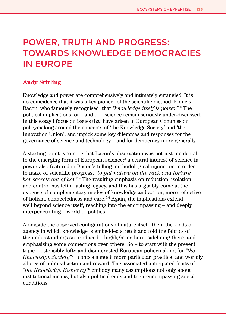# POWER, TRUTH AND PROGRESS: TOWARDS KNOWLEDGE DEMOCRACIES IN EUROPE

## **Andy Stirling**

Knowledge and power are comprehensively and intimately entangled. It is no coincidence that it was a key pioneer of the scientific method, Francis Bacon, who famously recognised<sup>1</sup> that *"knowledge itself is power"*.<sup>2</sup> The political implications for – and of – science remain seriously under-discussed. In this essay I focus on issues that have arisen in European Commission policymaking around the concepts of 'the Knowledge Society' and 'the Innovation Union', and unpick some key dilemmas and responses for the governance of science and technology – and for democracy more generally.

A starting point is to note that Bacon's observation was not just incidental to the emerging form of European science;<sup>3</sup> a central interest of science in power also featured in Bacon's telling methodological injunction in order to make of scientific progress, *"to put nature on the rack and torture her secrets out of her"*. 4 The resulting emphasis on reduction, isolation and control has left a lasting legacy, and this has arguably come at the expense of complementary modes of knowledge and action, more reflective of holism, connectedness and care.5,6 Again, the implications extend well beyond science itself, reaching into the encompassing – and deeply interpenetrating – world of politics.

Alongside the observed configurations of nature itself, then, the kinds of agency in which knowledge is embedded stretch and fold the fabrics of the understandings so produced – highlighting here, sidelining there, and emphasising some connections over others. So – to start with the present topic – ostensibly lofty and disinterested European policymaking for *"the Knowledge Society"*7,8 conceals much more particular, practical and worldly allures of political action and reward. The associated anticipated fruits of *"the Knowledge Economy"*<sup>9</sup> embody many assumptions not only about institutional means, but also political ends and their encompassing social conditions.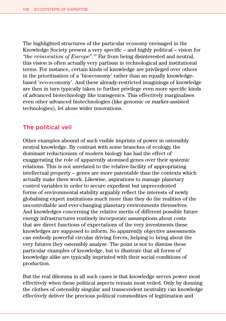The highlighted structures of the particular economy envisaged in the Knowledge Society present a very specific – and highly political – vision for *"the reinvention of Europe"*. 10 Far from being disinterested and neutral, this vision is often actually very partisan in technological and institutional terms. For instance, certain kinds of knowledge are privileged over others in the prioritisation of a 'bioeconomy' rather than an equally knowledgebased 'eco-economy'. And these already-restricted imaginings of knowledge are then in turn typically taken to further privilege even more specific kinds of advanced biotechnology like transgenics. This effectively marginalises even other advanced biotechnologies (like genomic or marker-assisted technologies), let alone wider innovations.

## The political veil

Other examples abound of such visible imprints of power in ostensibly neutral knowledge. By contrast with some branches of ecology, the dominant reductionism of modern biology has had the effect of exaggerating the role of apparently atomised genes over their systemic relations. This is not unrelated to the relative facility of appropriating intellectual property – genes are more patentable than the contexts which actually make them work. Likewise, aspirations to manage planetary control variables in order to secure expedient but unprecedented forms of environmental stability arguably reflect the interests of newly globalising expert institutions much more than they do the realities of the uncontrollable and ever-changing planetary environments themselves. And knowledges concerning the relative merits of different possible future energy infrastructures routinely incorporate assumptions about costs that are direct functions of expectations of the very investments these knowledges are supposed to inform. So apparently objective assessments can embody powerful circular driving forces, helping to bring about the very futures they ostensibly analyse. The point is not to dismiss these particular examples of knowledge, but to illustrate that all forms of knowledge alike are typically imprinted with their social conditions of production.

But the real dilemma in all such cases is that knowledge serves power most effectively when these political aspects remain most veiled. Only by donning the clothes of ostensibly singular and transcendent neutrality can knowledge effectively deliver the precious political commodities of legitimation and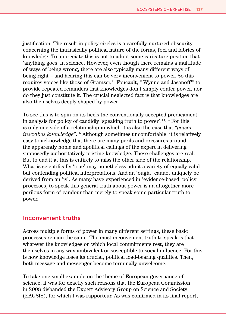justification. The result in policy circles is a carefully-nurtured obscurity concerning the intrinsically political nature of the forms, foci and fabrics of knowledge. To appreciate this is not to adopt some caricature position that 'anything goes' in science. However, even though there remains a multitude of ways of being wrong, there are also typically many different ways of being right – and hearing this can be very inconvenient to power. So this requires voices like those of Gramsci,<sup>11</sup> Foucault,<sup>12</sup> Wynne and Jasanoff<sup>13</sup> to provide repeated reminders that knowledges don't simply confer power, nor do they just constitute it. The crucial neglected fact is that knowledges are also themselves deeply shaped by power.

To see this is to spin on its heels the conventionally accepted predicament in analysis for policy of candidly 'speaking truth to power'.14,15 For this is only one side of a relationship in which it is also the case that *"power inscribes knowledge"*. 16 Although sometimes uncomfortable, it is relatively easy to acknowledge that there are many perils and pressures around the apparently noble and apolitical callings of the expert in delivering supposedly authoritatively pristine knowledge. These challenges are real. But to end it at this is entirely to miss the other side of the relationship. What is scientifically 'true' may nonetheless admit a variety of equally valid but contending political interpretations. And an 'ought' cannot uniquely be derived from an 'is'. As many have experienced in 'evidence-based' policy processes, to speak this general truth about power is an altogether more perilous form of candour than merely to speak some particular truth to power.

#### Inconvenient truths

Across multiple forms of power in many different settings, these basic processes remain the same. The most inconvenient truth to speak is that whatever the knowledges on which local commitments rest, they are themselves in any way ambivalent or susceptible to social influence. For this is how knowledge loses its crucial, political load-bearing qualities. Then, both message and messenger become terminally unwelcome.

To take one small example on the theme of European governance of science, it was for exactly such reasons that the European Commission in 2008 disbanded the Expert Advisory Group on Science and Society (EAGSIS), for which I was rapporteur. As was confirmed in its final report,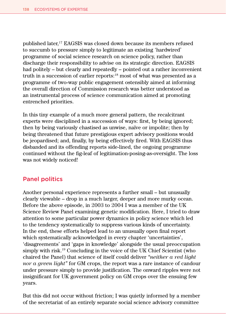published later,17 EAGSIS was closed down because its members refused to succumb to pressure simply to legitimate an existing 'hardwired' programme of social science research on science policy, rather than discharge their responsibility to advise on its strategic direction. EAGSIS had politely – but clearly and repeatedly – pointed out a rather inconvenient truth in a succession of earlier reports: $18 \text{ most of what was presented as a}$ programme of two-way public engagement ostensibly aimed at informing the overall direction of Commission research was better understood as an instrumental process of science communication aimed at promoting entrenched priorities.

In this tiny example of a much more general pattern, the recalcitrant experts were disciplined in a succession of ways: first, by being ignored; then by being variously chastised as unwise, naïve or impolite; then by being threatened that future prestigious expert advisory positions would be jeopardised; and, finally, by being effectively fired. With EAGSIS thus disbanded and its offending reports side-lined, the ongoing programme continued without the fig-leaf of legitimation-posing-as-oversight. The loss was not widely noticed!

## Panel politics

Another personal experience represents a further small – but unusually clearly viewable – drop in a much larger, deeper and more murky ocean. Before the above episode, in 2003 to 2004 I was a member of the UK Science Review Panel examining genetic modification. Here, I tried to draw attention to some particular power dynamics in policy science which led to the tendency systematically to suppress various kinds of uncertainty. In the end, these efforts helped lead to an unusually open final report which systematically acknowledged in every chapter 'uncertainties', 'disagreements' and 'gaps in knowledge' alongside the usual preoccupation simply with risk.19 Concluding in the voice of the UK Chief Scientist (who chaired the Panel) that science of itself could deliver *"neither a red light nor a green light"* for GM crops, the report was a rare instance of candour under pressure simply to provide justification. The onward ripples were not insignificant for UK government policy on GM crops over the ensuing few years.

But this did not occur without friction; I was quietly informed by a member of the secretariat of an entirely separate social science advisory committee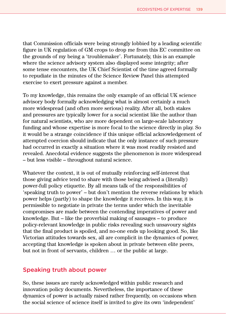that Commission officials were being strongly lobbied by a leading scientific figure in UK regulation of GM crops to drop me from this EC committee on the grounds of my being a 'troublemaker'. Fortunately, this is an example where the science advisory system also displayed some integrity; after some tense encounters, the UK Chief Scientist of the time agreed formally to repudiate in the minutes of the Science Review Panel this attempted exercise to exert pressure against a member.

To my knowledge, this remains the only example of an official UK science advisory body formally acknowledging what is almost certainly a much more widespread (and often more serious) reality. After all, both stakes and pressures are typically lower for a social scientist like the author than for natural scientists, who are more dependent on large-scale laboratory funding and whose expertise is more focal to the science directly in play. So it would be a strange coincidence if this unique official acknowledgement of attempted coercion should indicate that the only instance of such pressure had occurred in exactly a situation where it was most readily resisted and revealed. Anecdotal evidence suggests the phenomenon is more widespread – but less visible – throughout natural science.

Whatever the context, it is out of mutually reinforcing self-interest that those giving advice tend to share with those being advised a (literally) power-full policy etiquette. By all means talk of the responsibilities of 'speaking truth to power' – but don't mention the reverse relations by which power helps (partly) to shape the knowledge it receives. In this way, it is permissible to negotiate in private the terms under which the inevitable compromises are made between the contending imperatives of power and knowledge. But – like the proverbial making of sausages – to produce policy-relevant knowledge in public risks revealing such unsavoury sights that the final product is spoiled, and no-one ends up looking good. So, like Victorian attitudes towards sex, all are complicit in the dynamics of power, accepting that knowledge is spoken about in private between elite peers, but not in front of servants, children … or the public at large.

#### Speaking truth about power

So, these issues are rarely acknowledged within public research and innovation policy documents. Nevertheless, the importance of these dynamics of power is actually raised rather frequently, on occasions when the social science of science itself is invited to give its own 'independent'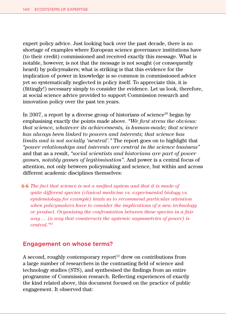expert policy advice. Just looking back over the past decade, there is no shortage of examples where European science governance institutions have (to their credit) commissioned and received exactly this message. What is notable, however, is not that the message is not sought (or consequently heard) by policymakers; what is striking is that this evidence for the implication of power in knowledge is so common in commissioned advice yet so systematically neglected in policy itself. To appreciate this, it is (fittingly!) necessary simply to consider the evidence. Let us look, therefore, at social science advice provided to support Commission research and innovation policy over the past ten years.

In 2007, a report by a diverse group of historians of science<sup>20</sup> began by emphasising exactly the points made above. *"We first stress the obvious: that science, whatever its achievements, is human-made; that science has always been linked to powers and interests; that science has limits and is not socially 'neutral'."* The report goes on to highlight that *"power relationships and interests are central in the science business"* and that as a result, *"social scientists and historians are part of power games, notably games of legitimisation"*. And power is a central focus of attention, not only between policymaking and science, but within and across different academic disciplines themselves:

*The fact that science is not a unified system and that it is made of quite different species (clinical medicine vs. experimental biology vs. epidemiology for example) leads us to recommend particular attention when policymakers have to consider the implications of a new technology or product. Organising the confrontation between these species in a fair way … (a way that counteracts the systemic asymmetries of power) is central."21*

#### Engagement on whose terms?

A second, roughly contemporary report<sup>22</sup> drew on contributions from a large number of researchers in the contrasting field of science and technology studies (STS), and synthesised the findings from an entire programme of Commission research. Reflecting experiences of exactly the kind related above, this document focused on the practice of public engagement. It observed that: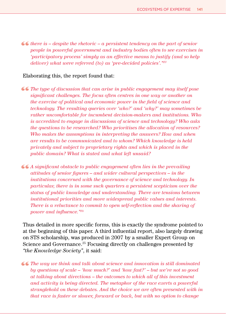*there is – despite the rhetoric – a persistent tendency on the part of senior people in powerful government and industry bodies often to see exercises in 'participatory process' simply as an effective means to justify (and so help deliver) what were referred (to) as 'pre-decided policies'."23*

#### Elaborating this, the report found that:

- *The type of discussion that can arise in public engagement may itself pose significant challenges. The focus often centres in one way or another on the exercise of political and economic power in the field of science and technology. The resulting queries over 'who?' and 'why?' may sometimes be rather uncomfortable for incumbent decision-makers and institutions. Who is accredited to engage in discussions of science and technology? Who asks the questions to be researched? Who prioritises the allocation of resources? Who makes the assumptions in interpreting the answers? How and when are results to be communicated and to whom? Which knowledge is held privately and subject to proprietary rights and which is placed in the public domain? What is stated and what left unsaid?*
- *A significant obstacle to public engagement often lies in the prevailing attitudes of senior figures – and wider cultural perspectives – in the institutions concerned with the governance of science and technology. In particular, there is in some such quarters a persistent scepticism over the status of public knowledge and understanding. There are tensions between institutional priorities and more widespread public values and interests. There is a reluctance to commit to open self-reflection and the sharing of power and influence."24*

Thus detailed in more specific forms, this is exactly the syndrome pointed to at the beginning of this paper. A third influential report, also largely drawing on STS scholarship, was produced in 2007 by a smaller Expert Group on Science and Governance.<sup>25</sup> Focusing directly on challenges presented by *"the Knowledge Society"*, it said:

*The way we think and talk about science and innovation is still dominated by questions of scale – 'how much?' and 'how fast?' – but we're not so good at talking about directions – the outcomes to which all of this investment and activity is being directed. The metaphor of the race exerts a powerful stranglehold on these debates. And the choice we are often presented with in that race is faster or slower, forward or back, but with no option to change*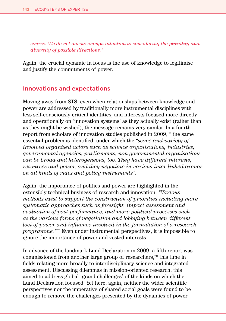*course. We do not devote enough attention to considering the plurality and diversity of possible directions."*

Again, the crucial dynamic in focus is the use of knowledge to legitimise and justify the commitments of power.

#### Innovations and expectations

Moving away from STS, even when relationships between knowledge and power are addressed by traditionally more instrumental disciplines with less self-consciously critical identities, and interests focused more directly and operationally on 'innovation systems' as they actually exist (rather than as they might be wished), the message remains very similar. In a fourth report from scholars of innovation studies published in  $2009$ ,  $26$  the same essential problem is identified, under which the *"scope and variety of involved organised actors such as science organisations, industries, governmental agencies, parliaments, non-governmental organisations can be broad and heterogeneous, too. They have different interests, resources and power, and they negotiate in various inter-linked arenas on all kinds of rules and policy instruments".*

Again, the importance of politics and power are highlighted in the ostensibly technical business of research and innovation. *"Various methods exist to support the construction of priorities including more systematic approaches such as foresight, impact assessment and evaluation of past performance, and more political processes such as the various forms of negotiation and lobbying between different loci of power and influence involved in the formulation of a research programme."*27 Even under instrumental perspectives, it is impossible to ignore the importance of power and vested interests.

In advance of the landmark Lund Declaration in 2009, a fifth report was commissioned from another large group of researchers,28 this time in fields relating more broadly to interdisciplinary science and integrated assessment. Discussing dilemmas in mission-oriented research, this aimed to address global 'grand challenges' of the kinds on which the Lund Declaration focused. Yet here, again, neither the wider scientific perspectives nor the imperative of shared social goals were found to be enough to remove the challenges presented by the dynamics of power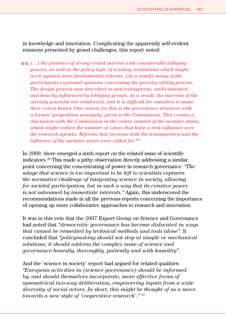in knowledge and innovation. Complicating the apparently self-evident missions presented by grand challenges, this report noted:

*(…) the presence of strong vested interest with considerable lobbying powers, as well as the policy logic of existing institutions which might work against more fundamental reforms. (As a result) many of the participants expressed opinions concerning the priority setting process. The design process was described as non-transparent, undocumented and heavily influenced by lobbying groups. As a result, the interests of the already powerful are reinforced, and it is difficult for outsiders to make their voices heard. One reason for this is the governance structure with a formal 'proposition monopoly' given to the Commission. This creates a discussion with the Commission in the centre instead of the member states, which might reduce the number of voices that have a real influence over the research agenda. Reforms that increase both the transparency and the influence of the member states were called for."29*

In 2009, there emerged a sixth report on the related issue of scientific indicators.30 This made a pithy observation directly addressing a similar point concerning the concentrating of power in research governance. *"The adage that science is too important to be left to scientists captures the normative challenge of integrating science in society, allowing for societal participation, but in such a way that its creative power is not subsumed by immediate interests."* Again, this underscored the recommendations made in all the previous reports concerning the importance of opening up more collaborative approaches to research and innovation.

It was in this vein that the 2007 Expert Group on Science and Governance had noted that *"democratic governance has become dislocated in ways that cannot be remedied by technical methods and tools alone".* It concluded that *"policymaking should not stop at simple or mechanical solutions; it should address the complex issue of science and governance honestly, thoroughly, patiently and with humility".*

And the 'science in society' report had argued for related qualities: *"European activities in (science governance) should be informed by, and should themselves incorporate, more effective forms of symmetrical two-way deliberation, empowering inputs from a wide diversity of social actors. In short, this might be thought of as a move towards a new style of 'cooperative research'."* <sup>31</sup>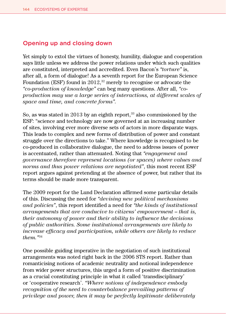## Opening up and closing down

Yet simply to extol the virtues of honesty, humility, dialogue and cooperation says little unless we address the power relations under which such qualities are constituted, interpreted and accredited. Even Bacon's *"torture"* is, after all, a form of dialogue! As a seventh report for the European Science Foundation (ESF) found in  $2012<sup>32</sup>$  merely to recognise or advocate the *"co-production of knowledge"* can beg many questions. After all, *"coproduction may use a large series of interactions, at different scales of space and time, and concrete forms".*

So, as was stated in 2013 by an eighth report,33 also commissioned by the ESF: "science and technology are now governed at an increasing number of sites, involving ever more diverse sets of actors in more disparate ways. This leads to complex and new forms of distribution of power and constant struggle over the directions to take." Where knowledge is recognised to be co-produced in collaborative dialogue, the need to address issues of power is accentuated, rather than attenuated. Noting that *"engagement and governance therefore represent locations (or spaces) where values and norms and thus power relations are negotiated"*, this most recent ESF report argues against pretending at the absence of power, but rather that its terms should be made more transparent.

The 2009 report for the Lund Declaration affirmed some particular details of this. Discussing the need for *"devising new political mechanisms and policies"*, this report identified a need for *"the kinds of institutional arrangements that are conducive to citizens' empowerment – that is, their autonomy of power and their ability to influence the decisions of public authorities. Some institutional arrangements are likely to increase efficacy and participation, while others are likely to reduce them."*<sup>34</sup>

One possible guiding imperative in the negotiation of such institutional arrangements was noted right back in the 2006 STS report. Rather than romanticising notions of academic neutrality and notional independence from wider power structures, this urged a form of positive discrimination as a crucial constituting principle in what it called 'transdisciplinary' or 'cooperative research'. *"Where notions of independence embody recognition of the need to counterbalance prevailing patterns of privilege and power, then it may be perfectly legitimate deliberately*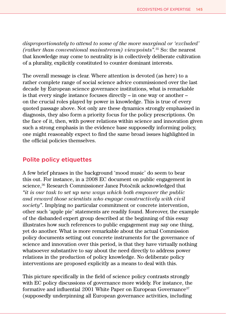*disproportionately to attend to some of the more marginal or 'excluded' (rather than conventional mainstream) viewpoints".*35 So: the nearest that knowledge may come to neutrality is in collectively deliberate cultivation of a plurality, explicitly constituted to counter dominant interests.

The overall message is clear. Where attention is devoted (as here) to a rather complete range of social science advice commissioned over the last decade by European science governance institutions, what is remarkable is that every single instance focuses directly – in one way or another – on the crucial roles played by power in knowledge. This is true of every quoted passage above. Not only are these dynamics strongly emphasised in diagnosis, they also form a priority focus for the policy prescriptions. On the face of it, then, with power relations within science and innovation given such a strong emphasis in the evidence base supposedly informing policy, one might reasonably expect to find the same broad issues highlighted in the official policies themselves.

#### Polite policy etiquettes

A few brief phrases in the background 'mood music' do seem to bear this out. For instance, in a 2008 EC document on public engagement in science,<sup>36</sup> Research Commissioner Janez Potočnik acknowledged that *"it is our task to set up new ways which both empower the public and reward those scientists who engage constructively with civil society"*. Implying no particular commitment or concrete intervention, other such 'apple pie' statements are readily found. Moreover, the example of the disbanded expert group described at the beginning of this essay illustrates how such references to public engagement may say one thing, yet do another. What is more remarkable about the actual Commission policy documents setting out concrete instruments for the governance of science and innovation over this period, is that they have virtually nothing whatsoever substantive to say about the need directly to address power relations in the production of policy knowledge. No deliberate policy interventions are proposed explicitly as a means to deal with this.

This picture specifically in the field of science policy contrasts strongly with EC policy discussions of governance more widely. For instance, the formative and influential 2001 White Paper on European Governance<sup>37</sup> (supposedly underpinning all European governance activities, including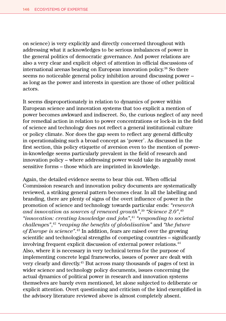on science) is very explicitly and directly concerned throughout with addressing what it acknowledges to be serious imbalances of power in the general politics of democratic governance. And power relations are also a very clear and explicit object of attention in official discussions of international arenas bearing on European innovation policy.38 So there seems no noticeable general policy inhibition around discussing power – as long as the power and interests in question are those of other political actors.

It seems disproportionately in relation to dynamics of power within European science and innovation systems that too explicit a mention of power becomes awkward and indiscreet. So, the curious neglect of any need for remedial action in relation to power concentrations or lock-in in the field of science and technology does not reflect a general institutional culture or policy climate. Nor does the gap seem to reflect any general difficulty in operationalising such a broad concept as 'power'. As discussed in the first section, this policy etiquette of aversion even to the mention of powerin-knowledge seems particularly prevalent in the field of research and innovation policy – where addressing power would take its arguably most sensitive forms – those which are imprinted in knowledge.

Again, the detailed evidence seems to bear this out. When official Commission research and innovation policy documents are systematically reviewed, a striking general pattern becomes clear. In all the labelling and branding, there are plenty of signs of the overt influence of power in the promotion of science and technology towards particular ends: *"research and innovation as sources of renewed growth"*, <sup>39</sup> *"Science 2.0"*, 40 *"innovation: creating knowledge and jobs"*, <sup>41</sup> *"responding to societal challenges"*, <sup>42</sup> *"reaping the benefits of globalisation"* and *"the future of Europe is science"*. 43 In addition, fears are raised over the growing scientific and technological strengths of competing countries – significantly involving frequent explicit discussion of external power relations.44 Also, where it is necessary in very technical terms for the purpose of implementing concrete legal frameworks, issues of power are dealt with very clearly and directly.45 But across many thousands of pages of text in wider science and technology policy documents, issues concerning the actual dynamics of political power in research and innovation systems themselves are barely even mentioned, let alone subjected to deliberate or explicit attention. Overt questioning and criticism of the kind exemplified in the advisory literature reviewed above is almost completely absent.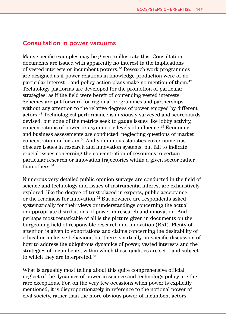#### Consultation in power vacuums

Many specific examples may be given to illustrate this. Consultation documents are issued with apparently no interest in the implications of vested interests or incumbent powers.46 Research work programmes are designed as if power relations in knowledge production were of no particular interest – and policy action plans make no mention of them. $47$ Technology platforms are developed for the promotion of particular strategies, as if the field were bereft of contending vested interests. Schemes are put forward for regional programmes and partnerships, without any attention to the relative degrees of power enjoyed by different actors.48 Technological performance is anxiously surveyed and scoreboards devised, but none of the metrics seek to gauge issues like lobby activity, concentrations of power or asymmetric levels of influence.49 Economic and business assessments are conducted, neglecting questions of market concentration or lock-in.50 And voluminous statistics cover numerous obscure issues in research and innovation systems, but fail to indicate crucial issues concerning the concentration of resources to certain particular research or innovation trajectories within a given sector rather than others. $51$ 

Numerous very detailed public opinion surveys are conducted in the field of science and technology and issues of instrumental interest are exhaustively explored, like the degree of trust placed in experts, public acceptance, or the readiness for innovation.52 But nowhere are respondents asked systematically for their views or understandings concerning the actual or appropriate distributions of power in research and innovation. And perhaps most remarkable of all is the picture given in documents on the burgeoning field of responsible research and innovation (RRI). Plenty of attention is given to exhortations and claims concerning the desirability of ethical or inclusive behaviour, but there is virtually no specific discussion of how to address the ubiquitous dynamics of power, vested interests and the strategies of incumbents, within which these qualities are set – and subject to which they are interpreted.53

What is arguably most telling about this quite comprehensive official neglect of the dynamics of power in science and technology policy are the rare exceptions. For, on the very few occasions when power is explicitly mentioned, it is disproportionately in reference to the notional power of civil society, rather than the more obvious power of incumbent actors.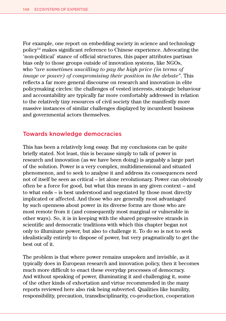For example, one report on embedding society in science and technology policy54 makes significant reference to Chinese experience. Advocating the 'non-political' stance of official structures, this paper attributes partisan bias only to those groups outside of innovation systems, like NGOs, who *"are sometimes unwilling to pay the high price (in terms of image or power) of compromising their position in the debate"*. This reflects a far more general discourse on research and innovation in elite policymaking circles: the challenges of vested interests, strategic behaviour and accountability are typically far more comfortably addressed in relation to the relatively tiny resources of civil society than the manifestly more massive instances of similar challenges displayed by incumbent business and governmental actors themselves.

#### Towards knowledge democracies

This has been a relatively long essay. But my conclusions can be quite briefly stated. Not least, this is because simply to talk of power in research and innovation (as we have been doing) is arguably a large part of the solution. Power is a very complex, multidimensional and situated phenomenon, and to seek to analyse it and address its consequences need not of itself be seen as critical – let alone revolutionary. Power can obviously often be a force for good, but what this means in any given context – and to what ends – is best understood and negotiated by those most directly implicated or affected. And those who are generally most advantaged by such openness about power in its diverse forms are those who are most remote from it (and consequently most marginal or vulnerable in other ways). So, it is in keeping with the shared progressive strands in scientific and democratic traditions with which this chapter began not only to illuminate power, but also to challenge it. To do so is not to seek idealistically entirely to dispose of power, but very pragmatically to get the best out of it.

The problem is that where power remains unspoken and invisible, as it typically does in European research and innovation policy, then it becomes much more difficult to enact these everyday processes of democracy. And without speaking of power, illuminating it and challenging it, some of the other kinds of exhortation and virtue recommended in the many reports reviewed here also risk being subverted. Qualities like humility, responsibility, precaution, transdisciplinarity, co-production, cooperation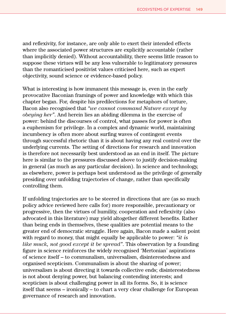and reflexivity, for instance, are only able to exert their intended effects where the associated power structures are explicitly accountable (rather than implicitly denied). Without accountability, there seems little reason to suppose these virtues will be any less vulnerable to legitimatory pressures than the romanticised positivist values criticised here, such as expert objectivity, sound science or evidence-based policy.

What is interesting is how immanent this message is, even in the early provocative Baconian framings of power and knowledge with which this chapter began. For, despite his predilections for metaphors of torture, Bacon also recognised that *"we cannot command Nature except by obeying her"*. And herein lies an abiding dilemma in the exercise of power: behind the discourses of control, what passes for power is often a euphemism for privilege. In a complex and dynamic world, maintaining incumbency is often more about surfing waves of contingent events through successful rhetoric than it is about having any real control over the underlying currents. The setting of directions for research and innovation is therefore not necessarily best understood as an end in itself. The picture here is similar to the pressures discussed above to justify decision-making in general (as much as any particular decision). In science and technology, as elsewhere, power is perhaps best understood as the privilege of generally presiding over unfolding trajectories of change, rather than specifically controlling them.

If unfolding trajectories are to be steered in directions that are (as so much policy advice reviewed here calls for) more responsible, precautionary or progressive, then the virtues of humility, cooperation and reflexivity (also advocated in this literature) may yield altogether different benefits. Rather than being ends in themselves, these qualities are potential means to the greater end of democratic struggle. Here again, Bacon made a salient point with regard to money, that might equally be applicable to power: *"it is like muck, not good except it be spread"*. This observation by a founding figure in science reinforces the widely recognised 'Mertonian' aspirations of science itself – to communalism, universalism, disinterestedness and organised scepticism. Communalism is about the sharing of power; universalism is about directing it towards collective ends; disinterestedness is not about denying power, but balancing contending interests; and scepticism is about challenging power in all its forms. So, it is science itself that seems – ironically – to chart a very clear challenge for European governance of research and innovation.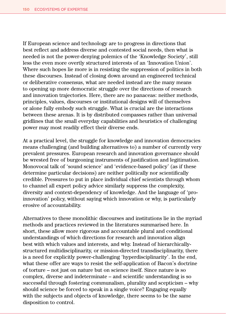If European science and technology are to progress in directions that best reflect and address diverse and contested social needs, then what is needed is not the power-denying polemics of the 'Knowledge Society', still less the even more overtly structured interests of an 'Innovation Union'. Where such hopes lie more is in resisting the suppression of politics in both these discourses. Instead of closing down around an engineered technical or deliberative consensus, what are needed instead are the many means to opening up more democratic struggle over the directions of research and innovation trajectories. Here, there are no panaceas: neither methods, principles, values, discourses or institutional designs will of themselves or alone fully embody such struggle. What is crucial are the interactions between these arenas. It is by distributed compasses rather than universal gridlines that the small everyday capabilities and heuristics of challenging power may most readily effect their diverse ends.

At a practical level, the struggle for knowledge and innovation democracies means challenging (and building alternatives to) a number of currently very prevalent pressures. European research and innovation governance should be wrested free of burgeoning instruments of justification and legitimation. Monovocal talk of 'sound science' and 'evidence-based policy' (as if these determine particular decisions) are neither politically nor scientifically credible. Pressures to put in place individual chief scientists through whom to channel all expert policy advice similarly suppress the complexity, diversity and context-dependency of knowledge. And the language of 'proinnovation' policy, without saying which innovation or why, is particularly erosive of accountability.

Alternatives to these monolithic discourses and institutions lie in the myriad methods and practices reviewed in the literatures summarised here. In short, these allow more rigorous and accountable plural and conditional understandings of which directions for research and innovation align best with which values and interests, and why. Instead of hierarchicallystructured multidisciplinarity, or mission-directed transdisciplinarity, there is a need for explicitly power-challenging 'hyperdisciplinarity'. In the end, what these offer are ways to resist the self-application of Bacon's doctrine of torture – not just on nature but on science itself. Since nature is so complex, diverse and indeterminate – and scientific understanding is so successful through fostering communalism, plurality and scepticism – why should science be forced to speak in a single voice? Engaging equally with the subjects and objects of knowledge, there seems to be the same disposition to control.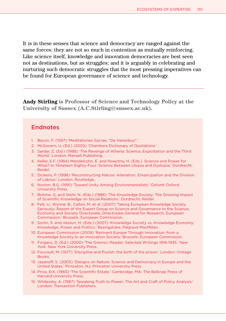It is in these senses that science and democracy are ranged against the same forces: they are not so much in contention as mutually reinforcing. Like science itself, knowledge and innovation democracies are best seen not as destinations, but as struggles; and it is arguably in celebrating and nurturing such democratic struggles that the most pressing imperatives can be found for European governance of science and technology.

**Andy Stirling is Professor of Science and Technology Policy at the University of Sussex (A.C.Stirling@sussex.ac.uk).** 

## Endnotes

- 1. Bacon, F. (1597) 'Meditationes Sacrae, "De Haresibus".'
- 2. McGovern, U. (Ed.) (2005) 'Chambers Dictionary of Quotations.'
- 3. Sardar, Z. (Ed.) (1988) 'The Revenge of Athena: Science, Exploitation and the Third World.' London: Mansell Publishing.
- 4. Keller, E.F. (1984) Mendelsohn, E. and Nowotny, H. (Eds.). Science and Power for What? In 'Nineteen Eighty-Four: Science Between Utopia and Dystopia.' Dordrecht: Reidel.
- 5. Dickens, P. (1996) 'Reconstructing Nature: Alienation, Emancipation and the Division of Labour.' London: Routledge.
- 6. Norton, B.G. (1991) 'Toward Unity Among Environmentalists.' Oxford: Oxford University Press.
- 7. Bohme, G. and Stehr, N. (Eds.) (1986) 'The Knowledge Society: The Growing Impact of Scientific Knowledge on Social Relations.' Dordrecht: Reidel.
- 8. Felt, U., Wynne, B., Callon, M. et al. (2007) 'Taking European Knowledge Society Seriously: Report of the Expert Group on Science and Governance to the Science, Economy and Society Directorate, Directorate-General for Research, European Commission.' Brussels: European Commission.
- 9. Sorlin, S. and Vessuri, H. (Eds.) (2007) 'Knowledge Society vs. Knowledge Economy: Knowledge, Power and Politics.' Basingstoke: Palgrave MacMillan.
- 10. European Commission (2009) 'Reinvent Europe Through Innovation: from a Knowledge Society to an Innovation Society.' Brussels: European Commission.
- 11. Forgacs, D. (Ed.) (2000) 'The Gramsci Reader: Selected Writings 1916-1935.' New York: New York University Press.
- 12. Foucault, M. (1977) 'Discipline and Punish: the birth of the prison.' London: Vintage Books.
- 13. Jasanoff, S. (2005) 'Designs on Nature: Science and Democracy in Europe and the United States.' Princeton, NJ: Princeton University Press.
- 14. Price, D.K. (1965) 'The Scientific Estate.' Cambridge, MA: The Belknap Press of Harvard University Press.
- 15. Wildavsky, A. (1987) 'Speaking Truth to Power: The Art and Craft of Policy Analysis.' London: Transaction Publishers.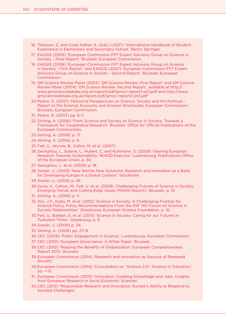- 16. Thiessen, D. and Cook-Sather, A. (Eds.) (2007) 'International Handbook of Student Experience in Elementary and Secondary School.' Berlin: Springer.
- 17. EAGSIS (2009) 'European Commission FP7 Expert Advisory Group on Science in Society – Final Report.' Brussels: European Commission.
- 18. EAGSIS (2006) 'European Commission FP7 Expert Advisory Group on Science in Society - First Report.' and EAGSIS (2007) 'European Commission FP7 Expert Advisory Group on Science in Society - Second Report.' Brussels: European Commission.
- 19. GM Science Review Panel (2003) 'GM Science Review: First Report' and GM Science Review Panel (2004) 'GM Science Review: Second Report', available at [http://](http://www.gmsciencedebate.org.uk/report/pdf/gmsci-report1-pt3.pdf) [www.gmsciencedebate.org.uk/report/pdf/gmsci-report1-pt3.pdf](http://www.gmsciencedebate.org.uk/report/pdf/gmsci-report1-pt3.pdf) and [http://www.](http://www.gmsciencedebate.org.uk/report/pdf/gmsci-report2-pt3.pdf) [gmsciencedebate.org.uk/report/pdf/gmsci-report2-pt3.pdf](http://www.gmsciencedebate.org.uk/report/pdf/gmsci-report2-pt3.pdf)
- 20.Pestre, D. (2007) 'Historical Perspectives on Science, Society and the Political Report to the Science, Economy and Science Directorate, European Commission.' Brussels: European Commission.
- 21. Pestre, D. (2007) pp. 6–7.
- 22. Stirling, A. (2006) 'From Science and Society to Science in Society: Towards a Framework for Cooperative Research.' Brussels: Office for Official Publications of the European Communities.
- 23. Stirling, A. (2006) p. 17.
- 24.Stirling, A. (2006) p. 6.
- 25. Felt, U., Wynne, B., Callon, M. et al. (2007).
- 26.Georghiou, L., Esterle, L., Hubert, C. and Kuhlmann, S. (2009) 'Gearing European Research Towards Sustainability: RD4SD Exercise.' Luxembourg: Publications Office of the European Union. p. 30.
- 27. Georghiou, L. et al. (2009) p. 18.
- 28.Svedin, U. (2009) 'New Worlds New Solutions: Research and Innovation as a Basis for Developing Europe in a Global Context.' Stockholm.
- 29.Svedin, U. (2009) p. 24.
- 30.Siune, K., Calloni, M., Felt, U. et al. (2009) 'Challenging Futures of Science in Society: Emerging Trends and Cutting Edge Issues (MASIS Report).' Brussels. p. 10.
- 31. Stirling, A. (2006) p. 5.
- 32. Alix, J.P., Arata, M. et al. (2012) 'Science in Society: A Challenging Frontier for Science Policy. Policy Recommendations From the ESF MO Forum on Science in Society Relationships.' Strasbourg: European Science Foundation. p. 10.
- 33.Felt, U., Barben, D. et al. (2013) 'Science in Society: Caring for our Futures in Turbulent Times.' Strasbourg. p. 6.
- 34.Svedin, U. (2009) p. 34.
- 35.Stirling, A. (2006) pp. 27–8.
- 36.CEC (2008) 'Public Engagement in Science.' Luxembourg: European Commission.
- 37. CEC (2001) 'European Governance: A White Paper.' Brussels.
- 38.CEC (2012) 'Reaping the Benefits of Globalization: European Competitiveness Report 2012.' Brussels.
- 39.European Commission (2014) 'Research and Innovation as Sources of Renewed Growth.'
- 40.European Commission (2014) 'Consultation on "Science 2.0": Science in Transition.' pp. 1–12.
- 41. European Commission (2010) 'Innovation: Creating Knowledge and Jobs. Insights from European Research in Socio-Economic Sciences.'
- 42.CEC (2012) 'Responsible Research and Innovation: Europe's Ability to Respond to Societal Challenges.'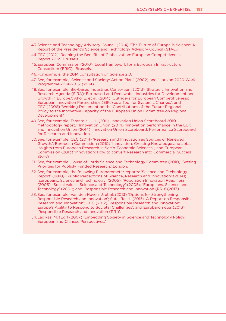- 43.Science and Technology Advisory Council (2014) 'The Future of Europe is Science: A Report of the President's Science and Technology Advisory Council (STAC).'
- 44.CEC (2012) 'Reaping the Benefits of Globalization: European Competitiveness Report 2012.' Brussels.
- 45.European Commission (2010) 'Legal framework for a European Infrastructure Consortium (ERIC).' Brussels.
- 46.For example, the 2014 consultation on Science 2.0.
- 47. See, for example, 'Science and Society: Action Plan.' (2002) and 'Horizon 2020 Work Programme 2014–2015' (2014).
- 48.See, for example: Bio-based Industries Consortium (2013) 'Strategic Innovation and Research Agenda (SIRA): Bio-based and Renewable Industries for Development and Growth in Europe.'; Aho, E. et al. (2014) 'Outriders for European Competitiveness: European Innovation Partnerships (EIPs) as a Tool for Systemic Change.'; and CEC (2006) 'Working Document on the Contributions of the Future Regional Policy to the Innovative Capacity of the European Union Committee on Regional Development.'
- 49.See, for example: Tarantola, H.H. (2011) 'Innovation Union Scoreboard 2010 Methodology report.'; Innovation Union (2014) 'Innovation performance in the EU.'; and Innovation Union (2014) 'Innovation Union Scoreboard: Performance Scoreboard for Research and Innovation.'
- 50.See, for example: CEC (2014) 'Research and Innovation as Sources of Renewed Growth.'; European Commission (2010) 'Innovation: Creating Knowledge and Jobs. Insights from European Research in Socio-Economic Sciences.'; and European Commission (2013) 'Innovation: How to convert Research into Commercial Success Story?'
- 51. See, for example: House of Lords Science and Technology Committee (2010) 'Setting Priorities for Publicly Funded Research.' London.
- 52. See, for example, the following Eurobarometer reports: 'Science and Technology Report' (2010); 'Public Perceptions of Science, Research and Innovation' (2014); 'Europeans, Science and Technology' (2005); 'Population Innovation Readiness' (2005), 'Social values, Science and Technology' (2005); 'Europeans, Science and Technology' (2001); and 'Responsible Research and Innovation (RRI)' (2013).
- 53.See, for example: Van den Hoven, J. et al. (2013) 'Options for Strengthening Responsible Research and Innovation'; Sutcliffe, H. (2013) 'A Report on Responsible Research and Innovation'; CEC (2012) 'Responsible Research and Innovation: Europe's Ability to Respond to Societal Challenges'; and Eurobarometer (2013) 'Responsible Research and Innovation (RRI)'.
- 54.Ladikas, M. (Ed.) (2007) 'Embedding Society in Science and Technology Policy: European and Chinese Perspectives.'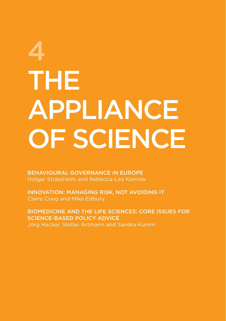# 4 THE APPLIANCE OF SCIENCE

BEHAVIOURAL GOVERNANCE IN EUROPE Holger Strassheim and Rebecca-Lea Korinek

INNOVATION: MANAGING RISK, NOT AVOIDING IT Claire Craig and Mike Edbury

BIOMEDICINE AND THE LIFE SCIENCES: CORE ISSUES FOR SCIENCE-BASED POLICY ADVICE Jörg Hacker, Stefan Artmann and Sandra Kumm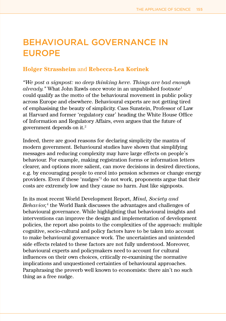# BEHAVIOURAL GOVERNANCE IN EUROPE

#### **Holger Strassheim** and **Rebecca-Lea Korinek**

*"We post a signpost: no deep thinking here. Things are bad enough already."* What John Rawls once wrote in an unpublished footnote<sup>1</sup> could qualify as the motto of the behavioural movement in public policy across Europe and elsewhere. Behavioural experts are not getting tired of emphasising the beauty of simplicity. Cass Sunstein, Professor of Law at Harvard and former 'regulatory czar' heading the White House Office of Information and Regulatory Affairs, even argues that the future of government depends on it.2

Indeed, there are good reasons for declaring simplicity the mantra of modern government. Behavioural studies have shown that simplifying messages and reducing complexity may have large effects on people's behaviour. For example, making registration forms or information letters clearer, and options more salient, can move decisions in desired directions, e.g. by encouraging people to enrol into pension schemes or change energy providers. Even if these 'nudges'3 do not work, proponents argue that their costs are extremely low and they cause no harm. Just like signposts.

In its most recent World Development Report, *Mind, Society and Behavior,*<sup>4</sup> the World Bank discusses the advantages and challenges of behavioural governance. While highlighting that behavioural insights and interventions can improve the design and implementation of development policies, the report also points to the complexities of the approach: multiple cognitive, socio-cultural and policy factors have to be taken into account to make behavioural governance work. The uncertainties and unintended side effects related to these factors are not fully understood. Moreover, behavioural experts and policymakers need to account for cultural influences on their own choices, critically re-examining the normative implications and unquestioned certainties of behavioural approaches. Paraphrasing the proverb well known to economists: there ain't no such thing as a free nudge.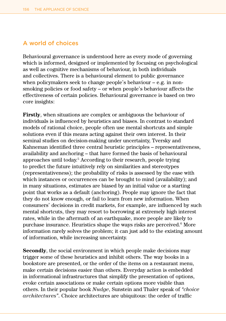# A world of choices

Behavioural governance is understood here as every mode of governing which is informed, designed or implemented by focusing on psychological as well as cognitive mechanisms of behaviour, in both individuals and collectives. There is a behavioural element to public governance when policymakers seek to change people's behaviour – e.g. in nonsmoking policies or food safety – or when people's behaviour affects the effectiveness of certain policies. Behavioural governance is based on two core insights:

**Firstly**, when situations are complex or ambiguous the behaviour of individuals is influenced by heuristics and biases. In contrast to standard models of rational choice, people often use mental shortcuts and simple solutions even if this means acting against their own interest. In their seminal studies on decision-making under uncertainty, Tversky and Kahneman identified three central heuristic principles – representativeness, availability and anchoring – that have formed the basis of behavioural approaches until today.5 According to their research, people trying to predict the future intuitively rely on similarities and stereotypes (representativeness); the probability of risks is assessed by the ease with which instances or occurrences can be brought to mind (availability); and in many situations, estimates are biased by an initial value or a starting point that works as a default (anchoring). People may ignore the fact that they do not know enough, or fail to learn from new information. When consumers' decisions in credit markets, for example, are influenced by such mental shortcuts, they may resort to borrowing at extremely high interest rates, while in the aftermath of an earthquake, more people are likely to purchase insurance. Heuristics shape the ways risks are perceived.6 More information rarely solves the problem; it can just add to the existing amount of information, while increasing uncertainty.

**Secondly**, the social environment in which people make decisions may trigger some of these heuristics and inhibit others. The way books in a bookstore are presented, or the order of the items on a restaurant menu, make certain decisions easier than others. Everyday action is embedded in informational infrastructures that simplify the presentation of options, evoke certain associations or make certain options more visible than others. In their popular book *Nudge*, Sunstein and Thaler speak of *"choice architectures"*. Choice architectures are ubiquitous: the order of traffic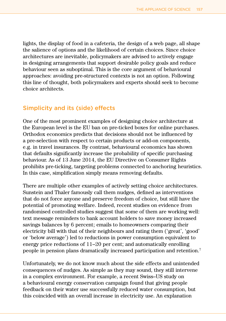lights, the display of food in a cafeteria, the design of a web page, all shape the salience of options and the likelihood of certain choices. Since choice architectures are inevitable, policymakers are advised to actively engage in designing arrangements that support desirable policy goals and reduce behaviour seen as suboptimal. This is the core argument of behavioural approaches: avoiding pre-structured contexts is not an option. Following this line of thought, both policymakers and experts should seek to become choice architects.

# Simplicity and its (side) effects

One of the most prominent examples of designing choice architecture at the European level is the EU ban on pre-ticked boxes for online purchases. Orthodox economics predicts that decisions should not be influenced by a pre-selection with respect to certain products or add-on components, e.g. in travel insurances. By contrast, behavioural economics has shown that defaults significantly increase the probability of specific purchasing behaviour. As of 13 June 2014, the EU Directive on Consumer Rights prohibits pre-ticking, targeting problems connected to anchoring heuristics. In this case, simplification simply means removing defaults.

There are multiple other examples of actively setting choice architectures. Sunstein and Thaler famously call them nudges, defined as interventions that do not force anyone and preserve freedom of choice, but still have the potential of promoting welfare. Indeed, recent studies on evidence from randomised controlled studies suggest that some of them are working well: text message reminders to bank account holders to save money increased savings balances by 6 percent; emails to homeowners comparing their electricity bill with that of their neighbours and rating them ('great', 'good' or 'below average') led to reductions in power consumption equivalent to energy price reductions of 11–20 per cent; and automatically enrolling people in pension plans dramatically increased participation and retention.7

Unfortunately, we do not know much about the side effects and unintended consequences of nudges. As simple as they may sound, they still intervene in a complex environment. For example, a recent Swiss–US study on a behavioural energy conservation campaign found that giving people feedback on their water use successfully reduced water consumption, but this coincided with an overall increase in electricity use. An explanation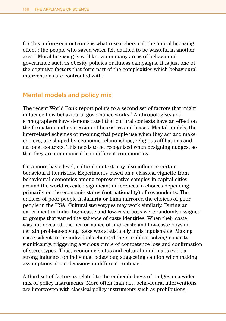for this unforeseen outcome is what researchers call the 'moral licensing effect': the people who saved water felt entitled to be wasteful in another area.8 Moral licensing is well known in many areas of behavioural governance such as obesity policies or fitness campaigns. It is just one of the cognitive factors that form part of the complexities which behavioural interventions are confronted with.

#### Mental models and policy mix

The recent World Bank report points to a second set of factors that might influence how behavioural governance works.<sup>9</sup> Anthropologists and ethnographers have demonstrated that cultural contexts have an effect on the formation and expression of heuristics and biases. Mental models, the interrelated schemes of meaning that people use when they act and make choices, are shaped by economic relationships, religious affiliations and national contexts. This needs to be recognised when designing nudges, so that they are communicable in different communities.

On a more basic level, cultural context may also influence certain behavioural heuristics. Experiments based on a classical vignette from behavioural economics among representative samples in capital cities around the world revealed significant differences in choices depending primarily on the economic status (not nationality) of respondents. The choices of poor people in Jakarta or Lima mirrored the choices of poor people in the USA. Cultural stereotypes may work similarly. During an experiment in India, high-caste and low-caste boys were randomly assigned to groups that varied the salience of caste identities. When their caste was not revealed, the performance of high-caste and low-caste boys in certain problem-solving tasks was statistically indistinguishable. Making caste salient to the individuals changed their problem-solving capacity significantly, triggering a vicious circle of competence loss and confirmation of stereotypes. Thus, economic status and cultural mind maps exert a strong influence on individual behaviour, suggesting caution when making assumptions about decisions in different contexts.

A third set of factors is related to the embeddedness of nudges in a wider mix of policy instruments. More often than not, behavioural interventions are interwoven with classical policy instruments such as prohibitions,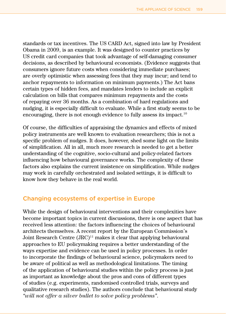standards or tax incentives. The US CARD Act, signed into law by President Obama in 2009, is an example. It was designed to counter practices by US credit card companies that took advantage of self-damaging consumer decisions, as described by behavioural economists. (Evidence suggests that consumers ignore future costs when considering immediate purchases; are overly optimistic when assessing fees that they may incur; and tend to anchor repayments to information on minimum payments.) The Act bans certain types of hidden fees, and mandates lenders to include an explicit calculation on bills that compares minimum repayments and the costs of repaying over 36 months. As a combination of hard regulations and nudging, it is especially difficult to evaluate. While a first study seems to be encouraging, there is not enough evidence to fully assess its impact.<sup>10</sup>

Of course, the difficulties of appraising the dynamics and effects of mixed policy instruments are well known to evaluation researchers; this is not a specific problem of nudges. It does, however, shed some light on the limits of simplification. All in all, much more research is needed to get a better understanding of the cognitive, socio-cultural and policy-related factors influencing how behavioural governance works. The complexity of these factors also explains the current insistence on simplification. While nudges may work in carefully orchestrated and isolated settings, it is difficult to know how they behave in the real world.

#### Changing ecosystems of expertise in Europe

While the design of behavioural interventions and their complexities have become important topics in current discussions, there is one aspect that has received less attention: the factors influencing the choices of behavioural architects themselves. A recent report by the European Commission's Joint Research Centre (JRC)<sup>11</sup> makes it clear that applying behavioural approaches to EU policymaking requires a better understanding of the ways expertise and evidence can be used in policy processes. In order to incorporate the findings of behavioural science, policymakers need to be aware of political as well as methodological limitations. The timing of the application of behavioural studies within the policy process is just as important as knowledge about the pros and cons of different types of studies (e.g. experiments, randomised controlled trials, surveys and qualitative research studies). The authors conclude that behavioural study *"will not offer a silver bullet to solve policy problems"*.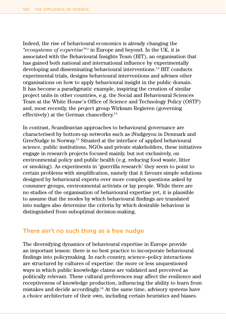Indeed, the rise of behavioural economics is already changing the *"ecosystems of expertise"*12 in Europe and beyond. In the UK, it is associated with the Behavioural Insights Team (BIT), an organisation that has gained both national and international influence by experimentally developing and disseminating behavioural interventions.13 BIT conducts experimental trials, designs behavioural interventions and advises other organisations on how to apply behavioural insight in the public domain. It has become a paradigmatic example, inspiring the creation of similar project units in other countries, e.g. the Social and Behavioural Sciences Team at the White House's Office of Science and Technology Policy (OSTP) and, most recently, the project group Wirksam Regieren (governing effectively) at the German chancellery.<sup>14</sup>

In contrast, Scandinavian approaches to behavioural governance are characterised by bottom-up networks such as iNudgeyou in Denmark and GreeNudge in Norway.15 Situated at the interface of applied behavioural science, public institutions, NGOs and private stakeholders, these initiatives engage in research projects focused mainly, but not exclusively, on environmental policy and public health (e.g. reducing food waste, litter or smoking). As experiments in 'guerrilla research' they seem to point to certain problems with simplification, namely that it favours simple solutions designed by behavioural experts over more complex questions asked by consumer groups, environmental activists or lay people. While there are no studies of the organisation of behavioural expertise yet, it is plausible to assume that the modes by which behavioural findings are translated into nudges also determine the criteria by which desirable behaviour is distinguished from suboptimal decision-making.

#### There ain't no such thing as a free nudge

The diversifying dynamics of behavioural expertise in Europe provide an important lesson: there is no best practice to incorporate behavioural findings into policymaking. In each country, science–policy interactions are structured by cultures of expertise: the more or less unquestioned ways in which public knowledge claims are validated and perceived as politically relevant. These cultural preferences may affect the resilience and receptiveness of knowledge production, influencing the ability to learn from mistakes and decide accordingly.16 At the same time, advisory systems have a choice architecture of their own, including certain heuristics and biases.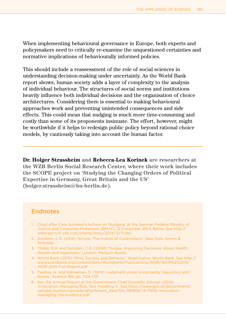When implementing behavioural governance in Europe, both experts and policymakers need to critically re-examine the unquestioned certainties and normative implications of behaviourally informed policies.

This should include a reassessment of the role of social sciences in understanding decision-making under uncertainty. As the World Bank report shows, human society adds a layer of complexity to the analysis of individual behaviour. The structures of social norms and institutions heavily influence both individual decisions and the organisation of choice architectures. Considering them is essential to making behavioural approaches work and preventing unintended consequences and side effects. This could mean that nudging is much more time-consuming and costly than some of its proponents insinuate. The effort, however, might be worthwhile if it helps to redesign public policy beyond rational choice models, by cautiously taking into account the human factor.

**Dr. Holger Strassheim and Rebecca-Lea Korinek are researchers at the WZB Berlin Social Research Center, where their work includes the SCOPE project on 'Studying the Changing Orders of Political Expertise in Germany, Great Britain and the US' (holger.strassheim@hu-berlin.de).**

### Endnotes

- 1. Cited after Cass Sunstein's lecture on 'Nudging' at the German Federal Ministry of Justice and Consumer Protection (BMJV), 12 December 2014, Berlin. See [http://](http://webcast.nc3-cdn.com/clients/bmjv/2014/12/11/de/) [webcast.nc3-cdn.com/clients/bmjv/2014/12/11/de/](http://webcast.nc3-cdn.com/clients/bmjv/2014/12/11/de/)
- 2. Sunstein, C.R. (2014) 'Simple. The Future of Government.' New York: Simon & Schuster.
- 3. Thaler, R.H. and Sunstein, C.R. (2008) 'Nudge. Improving Decisions About Health, Wealth and Happiness.' London: Penguin Books.
- 4. World Bank (2015) 'Mind, Society and Behavior.' Washington: World Bank. See [http://](http://www.worldbank.org/content/dam/Worldbank/Publications/WDR/WDR%202015/WDR-2015-Full-Report.pdf) [www.worldbank.org/content/dam/Worldbank/Publications/WDR/WDR%202015/](http://www.worldbank.org/content/dam/Worldbank/Publications/WDR/WDR%202015/WDR-2015-Full-Report.pdf) [WDR-2015-Full-Report.pdf](http://www.worldbank.org/content/dam/Worldbank/Publications/WDR/WDR%202015/WDR-2015-Full-Report.pdf)
- 5. Tverksy, A. and Kahneman, D. (1974) 'Judgment under Uncertainty: Heuristics and Biases.' Science 185, pp. 1124–1131
- 6. See the Annual Report of the Government Chief Scientific Adviser (2014) 'Innovation: Managing Risk, Not Avoiding It.' See [https://www.gov.uk/government/](https://www.gov.uk/government/uploads/system/uploads/attachment_data/file/381906/14-1190b-innovation-managing-risk-evidence.pdf) [uploads/system/uploads/attachment\\_data/file/381906/14-1190b-innovation](https://www.gov.uk/government/uploads/system/uploads/attachment_data/file/381906/14-1190b-innovation-managing-risk-evidence.pdf)[managing-risk-evidence.pdf](https://www.gov.uk/government/uploads/system/uploads/attachment_data/file/381906/14-1190b-innovation-managing-risk-evidence.pdf)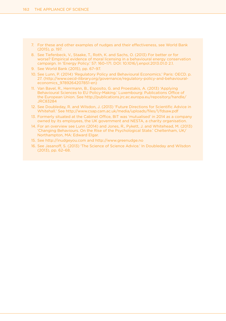- 7. For these and other examples of nudges and their effectiveness, see World Bank (2015), p. 197.
- 8. See Tiefenbeck, V., Staake, T., Roth, K. and Sachs, O. (2013) For better or for worse? Empirical evidence of moral licensing in a behavioural energy conservation campaign. In 'Energy Policy.' 57: 160–171. DOI: 10.1016/j.enpol.2013.01.0 2.1.
- 9. See World Bank (2015), pp. 67–97.
- 10. See Lunn, P. (2014) 'Regulatory Policy and Behavioural Economics.' Paris: OECD. p. 27. ([http://www.oecd-ilibrary.org/governance/regulatory-policy-and-behavioural](http://www.oecd-ilibrary.org/governance/regulatory-policy-and-behavioural-economics_9789264207851-en)[economics\\_9789264207851-en](http://www.oecd-ilibrary.org/governance/regulatory-policy-and-behavioural-economics_9789264207851-en))
- 11. Van Bavel, R., Herrmann, B., Esposito, G. and Proestakis, A. (2013) 'Applying Behavioural Sciences to EU Policy-Making.' Luxembourg: Publications Office of the European Union. See [http://publications.jrc.ec.europa.eu/repository/handle/](http://publications.jrc.ec.europa.eu/repository/handle/JRC83284) [JRC83284](http://publications.jrc.ec.europa.eu/repository/handle/JRC83284)
- 12. See Doubleday, R. and Wilsdon, J. (2013) 'Future Directions for Scientific Advice in Whitehall.' See http://www.csap.cam.ac.uk/media/uploads/files/1/fdsaw.pdf
- 13. Formerly situated at the Cabinet Office, BIT was 'mutualised' in 2014 as a company owned by its employees, the UK government and NESTA, a charity organisation.
- 14. For an overview see Lunn (2014) and Jones, R., Pykett, J. and Whitehead, M. (2013) 'Changing Behaviours. On the Rise of the Psychological State.' Cheltenham, UK/ Northampton, MA: Edward Elgar.
- 15. See http://inudgeyou.com and http://www.greenudge.no
- 16. See Jasanoff, S. (2013) 'The Science of Science Advice.' In Doubleday and Wilsdon (2013), pp. 62–68.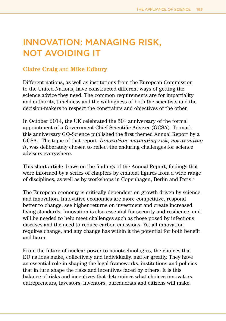# INNOVATION: MANAGING RISK, NOT AVOIDING IT

# **Claire Craig** and **Mike Edbury**

Different nations, as well as institutions from the European Commission to the United Nations, have constructed different ways of getting the science advice they need. The common requirements are for impartiality and authority, timeliness and the willingness of both the scientists and the decision-makers to respect the constraints and objectives of the other.

In October 2014, the UK celebrated the  $50<sup>th</sup>$  anniversary of the formal appointment of a Government Chief Scientific Adviser (GCSA). To mark this anniversary GO-Science published the first themed Annual Report by a GCSA.1 The topic of that report, *Innovation: managing risk, not avoiding it*, was deliberately chosen to reflect the enduring challenges for science advisers everywhere.

This short article draws on the findings of the Annual Report, findings that were informed by a series of chapters by eminent figures from a wide range of disciplines, as well as by workshops in Copenhagen, Berlin and Paris.2

The European economy is critically dependent on growth driven by science and innovation. Innovative economies are more competitive, respond better to change, see higher returns on investment and create increased living standards. Innovation is also essential for security and resilience, and will be needed to help meet challenges such as those posed by infectious diseases and the need to reduce carbon emissions. Yet all innovation requires change, and any change has within it the potential for both benefit and harm.

From the future of nuclear power to nanotechnologies, the choices that EU nations make, collectively and individually, matter greatly. They have an essential role in shaping the legal frameworks, institutions and policies that in turn shape the risks and incentives faced by others. It is this balance of risks and incentives that determines what choices innovators, entrepreneurs, investors, inventors, bureaucrats and citizens will make.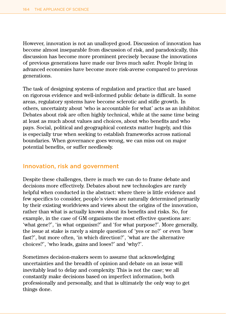However, innovation is not an unalloyed good. Discussion of innovation has become almost inseparable from discussion of risk, and paradoxically, this discussion has become more prominent precisely because the innovations of previous generations have made our lives much safer. People living in advanced economies have become more risk-averse compared to previous generations.

The task of designing systems of regulation and practice that are based on rigorous evidence and well-informed public debate is difficult. In some areas, regulatory systems have become sclerotic and stifle growth. In others, uncertainty about 'who is accountable for what' acts as an inhibitor. Debates about risk are often highly technical, while at the same time being at least as much about values and choices, about who benefits and who pays. Social, political and geographical contexts matter hugely, and this is especially true when seeking to establish frameworks across national boundaries. When governance goes wrong, we can miss out on major potential benefits, or suffer needlessly.

#### Innovation, risk and government

Despite these challenges, there is much we can do to frame debate and decisions more effectively. Debates about new technologies are rarely helpful when conducted in the abstract: where there is little evidence and few specifics to consider, people's views are naturally determined primarily by their existing worldviews and views about the origins of the innovation, rather than what is actually known about its benefits and risks. So, for example, in the case of GM organisms the most effective questions are: 'what gene?', 'in what organism?' and 'for what purpose?'. More generally, the issue at stake is rarely a simple question of 'yes or no?' or even 'how fast?', but more often, 'in which direction?', 'what are the alternative choices?', 'who leads, gains and loses?' and 'why?'.

Sometimes decision-makers seem to assume that acknowledging uncertainties and the breadth of opinion and debate on an issue will inevitably lead to delay and complexity. This is not the case; we all constantly make decisions based on imperfect information, both professionally and personally, and that is ultimately the only way to get things done.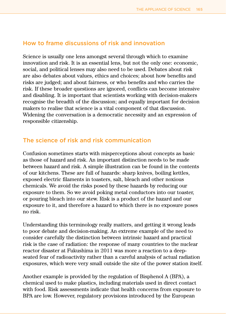## How to frame discussions of risk and innovation

Science is usually one lens amongst several through which to examine innovation and risk. It is an essential lens, but not the only one: economic, social, and political lenses may also need to be used. Debates about risk are also debates about values, ethics and choices; about how benefits and risks are judged; and about fairness, or who benefits and who carries the risk. If these broader questions are ignored, conflicts can become intensive and disabling. It is important that scientists working with decision-makers recognise the breadth of the discussion; and equally important for decision makers to realise that science is a vital component of that discussion. Widening the conversation is a democratic necessity and an expression of responsible citizenship.

## The science of risk and risk communication

Confusion sometimes starts with misperceptions about concepts as basic as those of hazard and risk. An important distinction needs to be made between hazard and risk. A simple illustration can be found in the contents of our kitchens. These are full of hazards: sharp knives, boiling kettles, exposed electric filaments in toasters, salt, bleach and other noxious chemicals. We avoid the risks posed by these hazards by reducing our exposure to them. So we avoid poking metal conductors into our toaster, or pouring bleach into our stew. Risk is a product of the hazard and our exposure to it, and therefore a hazard to which there is no exposure poses no risk.

Understanding this terminology really matters, and getting it wrong leads to poor debate and decision-making. An extreme example of the need to consider carefully the distinction between intrinsic hazard and practical risk is the case of radiation: the response of many countries to the nuclear reactor disaster at Fukushima in 2011 was more a reaction to a deepseated fear of radioactivity rather than a careful analysis of actual radiation exposures, which were very small outside the site of the power station itself.

Another example is provided by the regulation of Bisphenol A (BPA), a chemical used to make plastics, including materials used in direct contact with food. Risk assessments indicate that health concerns from exposure to BPA are low. However, regulatory provisions introduced by the European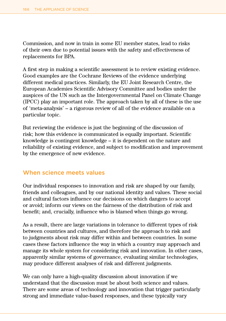Commission, and now in train in some EU member states, lead to risks of their own due to potential issues with the safety and effectiveness of replacements for BPA.

A first step in making a scientific assessment is to review existing evidence. Good examples are the Cochrane Reviews of the evidence underlying different medical practices. Similarly, the EU Joint Research Centre, the European Academies Scientific Advisory Committee and bodies under the auspices of the UN such as the Intergovernmental Panel on Climate Change (IPCC) play an important role. The approach taken by all of these is the use of 'meta-analysis' – a rigorous review of all of the evidence available on a particular topic.

But reviewing the evidence is just the beginning of the discussion of risk; how this evidence is communicated is equally important. Scientific knowledge is contingent knowledge – it is dependent on the nature and reliability of existing evidence, and subject to modification and improvement by the emergence of new evidence.

#### When science meets values

Our individual responses to innovation and risk are shaped by our family, friends and colleagues, and by our national identity and values. These social and cultural factors influence our decisions on which dangers to accept or avoid; inform our views on the fairness of the distribution of risk and benefit; and, crucially, influence who is blamed when things go wrong.

As a result, there are large variations in tolerance to different types of risk between countries and cultures, and therefore the approach to risk and to judgments about risk may differ within and between countries. In some cases these factors influence the way in which a country may approach and manage its whole system for considering risk and innovation. In other cases, apparently similar systems of governance, evaluating similar technologies, may produce different analyses of risk and different judgments.

We can only have a high-quality discussion about innovation if we understand that the discussion must be about both science and values. There are some areas of technology and innovation that trigger particularly strong and immediate value-based responses, and these typically vary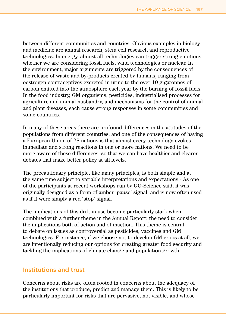between different communities and countries. Obvious examples in biology and medicine are animal research, stem cell research and reproductive technologies. In energy, almost all technologies can trigger strong emotions, whether we are considering fossil fuels, wind technologies or nuclear. In the environment, major arguments are triggered by the consequences of the release of waste and by-products created by humans, ranging from oestrogen contraceptives excreted in urine to the over 10 gigatonnes of carbon emitted into the atmosphere each year by the burning of fossil fuels. In the food industry, GM organisms, pesticides, industrialised processes for agriculture and animal husbandry, and mechanisms for the control of animal and plant diseases, each cause strong responses in some communities and some countries.

In many of these areas there are profound differences in the attitudes of the populations from different countries, and one of the consequences of having a European Union of 28 nations is that almost every technology evokes immediate and strong reactions in one or more nations. We need to be more aware of these differences, so that we can have healthier and clearer debates that make better policy at all levels.

The precautionary principle, like many principles, is both simple and at the same time subject to variable interpretations and expectations.3 As one of the participants at recent workshops run by GO-Science said, it was originally designed as a form of amber 'pause' signal, and is now often used as if it were simply a red 'stop' signal.

The implications of this drift in use become particularly stark when combined with a further theme in the Annual Report: the need to consider the implications both of action and of inaction. This theme is central to debate on issues as controversial as pesticides, vaccines and GM technologies. For instance, if we choose not to develop GM crops at all, we are intentionally reducing our options for creating greater food security and tackling the implications of climate change and population growth.

#### Institutions and trust

Concerns about risks are often rooted in concerns about the adequacy of the institutions that produce, predict and manage them. This is likely to be particularly important for risks that are pervasive, not visible, and whose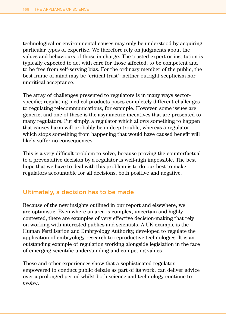technological or environmental causes may only be understood by acquiring particular types of expertise. We therefore rely on judgments about the values and behaviours of those in charge. The trusted expert or institution is typically expected to act with care for those affected, to be competent and to be free from self-serving bias. For the ordinary member of the public, the best frame of mind may be 'critical trust': neither outright scepticism nor uncritical acceptance.

The array of challenges presented to regulators is in many ways sectorspecific; regulating medical products poses completely different challenges to regulating telecommunications, for example. However, some issues are generic, and one of these is the asymmetric incentives that are presented to many regulators. Put simply, a regulator which allows something to happen that causes harm will probably be in deep trouble, whereas a regulator which stops something from happening that would have caused benefit will likely suffer no consequences.

This is a very difficult problem to solve, because proving the counterfactual to a preventative decision by a regulator is well-nigh impossible. The best hope that we have to deal with this problem is to do our best to make regulators accountable for all decisions, both positive and negative.

#### Ultimately, a decision has to be made

Because of the new insights outlined in our report and elsewhere, we are optimistic. Even where an area is complex, uncertain and highly contested, there are examples of very effective decision-making that rely on working with interested publics and scientists. A UK example is the Human Fertilisation and Embryology Authority, developed to regulate the application of embryology research to reproductive technologies. It is an outstanding example of regulation working alongside legislation in the face of emerging scientific understanding and competing values.

These and other experiences show that a sophisticated regulator, empowered to conduct public debate as part of its work, can deliver advice over a prolonged period whilst both science and technology continue to evolve.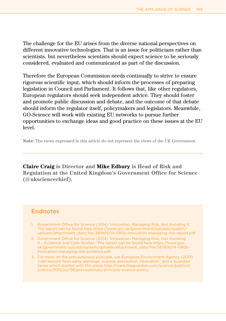The challenge for the EU arises from the diverse national perspectives on different innovative technologies. That is an issue for politicians rather than scientists, but nevertheless scientists should expect science to be seriously considered, evaluated and communicated as part of the discussion.

Therefore the European Commission needs continually to strive to ensure rigorous scientific input, which should inform the processes of preparing legislation in Council and Parliament. It follows that, like other regulators, European regulators should seek independent advice. They should foster and promote public discussion and debate, and the outcome of that debate should inform the regulator itself, policymakers and legislators. Meanwhile, GO-Science will work with existing EU networks to pursue further opportunities to exchange ideas and good practice on these issues at the EU level.

**Note:** The views expressed in this article do not represent the views of the UK Government.

**Claire Craig is Director and Mike Edbury is Head of Risk and Regulation at the United Kingdom's Government Office for Science (@uksciencechief).**

#### Endnotes

- 1. Government Office for Science (2014) 'Innovation: Managing Risk, Not Avoiding It.' The report can be found here [https://www.gov.uk/government/uploads/system/](https://www.gov.uk/government/uploads/system/uploads/attachment_data/file/381905/14-1190a-innovation-managing-risk-report.pdf) [uploads/attachment\\_data/file/381905/14-1190a-innovation-managing-risk-report.pdf](https://www.gov.uk/government/uploads/system/uploads/attachment_data/file/381905/14-1190a-innovation-managing-risk-report.pdf)
- 2. Government Office for Science (2014) 'Innovation: Managing Risk, Not Avoiding It – Evidence and Case Studies.' The report can be found here [https://www.gov.](https://www.gov.uk/government/uploads/system/uploads/attachment_data/file/381906/14-1190b-innovation-managing-risk-evidence.pdf) [uk/government/uploads/system/uploads/attachment\\_data/file/381906/14-1190b](https://www.gov.uk/government/uploads/system/uploads/attachment_data/file/381906/14-1190b-innovation-managing-risk-evidence.pdf)[innovation-managing-risk-evidence.pdf](https://www.gov.uk/government/uploads/system/uploads/attachment_data/file/381906/14-1190b-innovation-managing-risk-evidence.pdf)
- 3. For more on the precautionary principle, see European Environment Agency (2013) 'Late lessons from early warnings: science, precaution, innovation.' and a Guardian series which started with this piece [http://www.theguardian.com/science/political](http://www.theguardian.com/science/political-science/2013/jul/08/precautionary-principle-science-policy)[science/2013/jul/08/precautionary-principle-science-policy](http://www.theguardian.com/science/political-science/2013/jul/08/precautionary-principle-science-policy)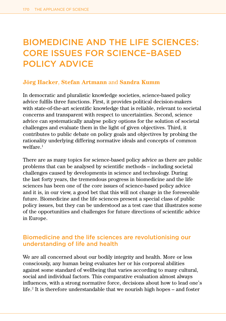# BIOMEDICINE AND THE LIFE SCIENCES: CORE ISSUES FOR SCIENCE–BASED POLICY ADVICE

#### **Jörg Hacker**, **Stefan Artmann** and **Sandra Kumm**

In democratic and pluralistic knowledge societies, science-based policy advice fulfils three functions. First, it provides political decision-makers with state-of-the-art scientific knowledge that is reliable, relevant to societal concerns and transparent with respect to uncertainties. Second, science advice can systematically analyse policy options for the solution of societal challenges and evaluate them in the light of given objectives. Third, it contributes to public debate on policy goals and objectives by probing the rationality underlying differing normative ideals and concepts of common welfare.1

There are as many topics for science-based policy advice as there are public problems that can be analysed by scientific methods – including societal challenges caused by developments in science and technology. During the last forty years, the tremendous progress in biomedicine and the life sciences has been one of the core issues of science-based policy advice and it is, in our view, a good bet that this will not change in the foreseeable future. Biomedicine and the life sciences present a special class of public policy issues, but they can be understood as a test case that illustrates some of the opportunities and challenges for future directions of scientific advice in Europe.

# Biomedicine and the life sciences are revolutionising our understanding of life and health

We are all concerned about our bodily integrity and health. More or less consciously, any human being evaluates her or his corporeal abilities against some standard of wellbeing that varies according to many cultural, social and individual factors. This comparative evaluation almost always influences, with a strong normative force, decisions about how to lead one's life.2 It is therefore understandable that we nourish high hopes – and foster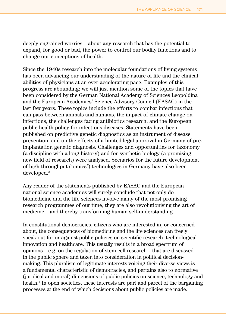deeply engrained worries – about any research that has the potential to expand, for good or bad, the power to control our bodily functions and to change our conceptions of health.

Since the 1940s research into the molecular foundations of living systems has been advancing our understanding of the nature of life and the clinical abilities of physicians at an ever-accelerating pace. Examples of this progress are abounding; we will just mention some of the topics that have been considered by the German National Academy of Sciences Leopoldina and the European Academies' Science Advisory Council (EASAC) in the last few years. These topics include the efforts to combat infections that can pass between animals and humans, the impact of climate change on infections, the challenges facing antibiotics research, and the European public health policy for infectious diseases. Statements have been published on predictive genetic diagnostics as an instrument of disease prevention, and on the effects of a limited legal approval in Germany of preimplantation genetic diagnosis. Challenges and opportunities for taxonomy (a discipline with a long history) and for synthetic biology (a promising new field of research) were analysed. Scenarios for the future development of high-throughput ('omics') technologies in Germany have also been developed.3

Any reader of the statements published by EASAC and the European national science academies will surely conclude that not only do biomedicine and the life sciences involve many of the most promising research programmes of our time, they are also revolutionising the art of medicine – and thereby transforming human self-understanding.

In constitutional democracies, citizens who are interested in, or concerned about, the consequences of biomedicine and the life sciences can freely speak out for or against public policies on scientific research, technological innovation and healthcare. This usually results in a broad spectrum of opinions – e.g. on the regulation of stem cell research – that are discussed in the public sphere and taken into consideration in political decisionmaking. This pluralism of legitimate interests voicing their diverse views is a fundamental characteristic of democracies, and pertains also to normative (juridical and moral) dimensions of public policies on science, technology and health.<sup>4</sup> In open societies, these interests are part and parcel of the bargaining processes at the end of which decisions about public policies are made.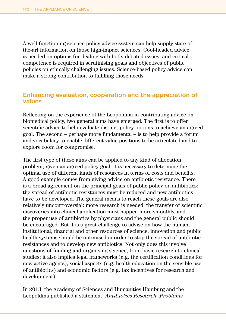A well-functioning science policy advice system can help supply state-ofthe-art information on those high-impact sciences. Cool-headed advice is needed on options for dealing with hotly debated issues, and critical competence is required in scrutinising goals and objectives of public policies on ethically challenging issues. Science-based policy advice can make a strong contribution to fulfilling those needs.

#### Enhancing evaluation, cooperation and the appreciation of values

Reflecting on the experience of the Leopoldina in contributing advice on biomedical policy, two general aims have emerged. The first is to offer scientific advice to help evaluate distinct policy options to achieve an agreed goal. The second – perhaps more fundamental – is to help provide a forum and vocabulary to enable different value positions to be articulated and to explore room for compromise.

The first type of these aims can be applied to any kind of allocation problem; given an agreed policy goal, it is necessary to determine the optimal use of different kinds of resources in terms of costs and benefits. A good example comes from giving advice on antibiotic resistance. There is a broad agreement on the principal goals of public policy on antibiotics: the spread of antibiotic resistances must be reduced and new antibiotics have to be developed. The general means to reach these goals are also relatively uncontroversial: more research is needed, the transfer of scientific discoveries into clinical application must happen more smoothly, and the proper use of antibiotics by physicians and the general public should be encouraged. But it is a great challenge to advise on how the human, institutional, financial and other resources of science, innovation and public health systems should be optimised in order to stop the spread of antibiotic resistances and to develop new antibiotics. Not only does this involve questions of funding and organising science, from basic research to clinical studies; it also implies legal frameworks (e.g. the certification conditions for new active agents), social aspects (e.g. health education on the sensible use of antibiotics) and economic factors (e.g. tax incentives for research and development).

In 2013, the Academy of Sciences and Humanities Hamburg and the Leopoldina published a statement, *Antibiotics Research. Problems*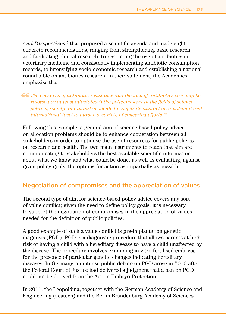*and Perspectives*, 5 that proposed a scientific agenda and made eight concrete recommendations, ranging from strengthening basic research and facilitating clinical research, to restricting the use of antibiotics in veterinary medicine and consistently implementing antibiotic consumption records, to intensifying socio-economic research and establishing a national round table on antibiotics research. In their statement, the Academies emphasise that:

*The concerns of antibiotic resistance and the lack of antibiotics can only be resolved or at least alleviated if the policymakers in the fields of science, politics, society and industry decide to cooperate and act on a national and international level to pursue a variety of concerted efforts."6*

Following this example, a general aim of science-based policy advice on allocation problems should be to enhance cooperation between all stakeholders in order to optimise the use of resources for public policies on research and health. The two main instruments to reach that aim are communicating to stakeholders the best available scientific information about what we know and what could be done, as well as evaluating, against given policy goals, the options for action as impartially as possible.

# Negotiation of compromises and the appreciation of values

The second type of aim for science-based policy advice covers any sort of value conflict; given the need to define policy goals, it is necessary to support the negotiation of compromises in the appreciation of values needed for the definition of public policies.

A good example of such a value conflict is pre-implantation genetic diagnosis (PGD). PGD is a diagnostic procedure that allows parents at high risk of having a child with a hereditary disease to have a child unaffected by the disease. The procedure involves examining in vitro fertilised embryos for the presence of particular genetic changes indicating hereditary diseases. In Germany, an intense public debate on PGD arose in 2010 after the Federal Court of Justice had delivered a judgment that a ban on PGD could not be derived from the Act on Embryo Protection.

In 2011, the Leopoldina, together with the German Academy of Science and Engineering (acatech) and the Berlin Brandenburg Academy of Sciences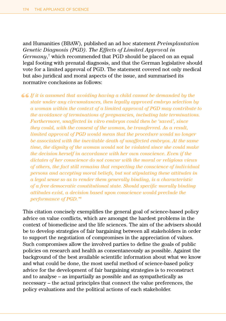and Humanities (BBAW), published an ad hoc statement *Preimplantation Genetic Diagnosis (PGD). The Effects of Limited Approval in Germany*, 7 which recommended that PGD should be placed on an equal legal footing with prenatal diagnosis, and that the German legislative should vote for a limited approval of PGD. The statement covered not only medical but also juridical and moral aspects of the issue, and summarised its normative conclusions as follows:

*If it is assumed that avoiding having a child cannot be demanded by the state under any circumstances, then legally approved embryo selection by a woman within the context of a limited approval of PGD may contribute to the avoidance of terminations of pregnancies, including late terminations. Furthermore, unaffected in vitro embryos could then be 'saved', since they could, with the consent of the woman, be transferred. As a result, limited approval of PGD would mean that the procedure would no longer be associated with the inevitable death of unaffected embryos. At the same time, the dignity of the woman would not be violated since she could make the decision herself in accordance with her own conscience. Even if the dictates of her conscience do not concur with the moral or religious views of others, the fact still remains that respecting the conscience of individual persons and accepting moral beliefs, but not stipulating these attitudes in a legal sense so as to render them generally binding, is a characteristic of a free democratic constitutional state. Should specific morally binding attitudes exist, a decision based upon conscience would preclude the performance of PGD."8*

This citation concisely exemplifies the general goal of science-based policy advice on value conflicts, which are amongst the hardest problems in the context of biomedicine and the life sciences. The aim of the advisers should be to develop strategies of fair bargaining between all stakeholders in order to support the negotiation of compromises in the appreciation of values. Such compromises allow the involved parties to define the goals of public policies on research and health as consentaneously as possible. Against the background of the best available scientific information about what we know and what could be done, the most useful method of science-based policy advice for the development of fair bargaining strategies is to reconstruct and to analyse – as impartially as possible and as sympathetically as necessary – the actual principles that connect the value preferences, the policy evaluations and the political actions of each stakeholder.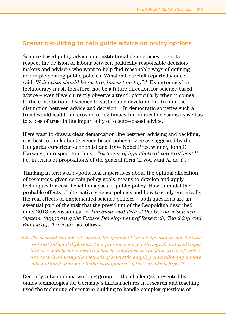# Scenario-building to help guide advice on policy options

Science-based policy advice in constitutional democracies ought to respect the division of labour between politically responsible decisionmakers and advisers who want to help find reasonable ways of defining and implementing public policies. Winston Churchill reportedly once said, *"Scientists should be on tap, but not on top"*. 9 'Expertocracy' or technocracy must, therefore, not be a future direction for science-based advice – even if we currently observe a trend, particularly when it comes to the contribution of science to sustainable development, to blur the distinction between advice and decision.10 In democratic societies such a trend would lead to an erosion of legitimacy for political decisions as well as to a loss of trust in the impartiality of science-based advice.

If we want to draw a clear demarcation line between advising and deciding, it is best to think about science-based policy advice as suggested by the Hungarian-American economist and 1994 Nobel Prize winner, John C. Harsanyi, in respect to ethics – *"in terms of hypothetical imperatives"*, 11 i.e. in terms of propositions of the general form 'If you want X, do Y'.

Thinking in terms of hypothetical imperatives about the optimal allocation of resources, given certain policy goals, means to develop and apply techniques for cost–benefit analyses of public policy. How to model the probable effects of alternative science policies and how to study empirically the real effects of implemented science policies – both questions are an essential part of the task that the presidium of the Leopoldina described in its 2013 discussion paper *The Sustainability of the German Science System. Supporting the Future Development of Research, Teaching and Knowledge Transfer*, as follows:

*The societal impacts of science, the growth of knowledge and its substantive and institutional differentiation present science with significant challenges that can only be surmounted when its relationships to other areas of society are examined using the methods of scientific enquiry, thus allowing a more substantiated approach to the management of these relationships."12*

Recently, a Leopoldina working group on the challenges presented by omics technologies for Germany's infrastructures in research and teaching used the technique of scenario-building to handle complex questions of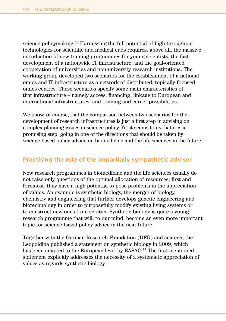science policymaking.13 Harnessing the full potential of high-throughput technologies for scientific and medical ends requires, above all, the massive introduction of new training programmes for young scientists, the fast development of a nationwide IT infrastructure, and the goal-oriented cooperation of universities and non-university research institutions. The working group developed two scenarios for the establishment of a national omics and IT infrastructure as a network of distributed, topically-focused omics centres. These scenarios specify some main characteristics of that infrastructure – namely access, financing, linkage to European and international infrastructures, and training and career possibilities.

We know, of course, that the comparison between two scenarios for the development of research infrastructures is just a first step in advising on complex planning issues in science policy. Yet it seems to us that it is a promising step, going in one of the directions that should be taken by science-based policy advice on biomedicine and the life sciences in the future.

#### Practising the role of the impartially sympathetic adviser

New research programmes in biomedicine and the life sciences usually do not raise only questions of the optimal allocation of resources; first and foremost, they have a high potential to pose problems in the appreciation of values. An example is synthetic biology, the merger of biology, chemistry and engineering that further develops genetic engineering and biotechnology in order to purposefully modify existing living systems or to construct new ones from scratch. Synthetic biology is quite a young research programme that will, to our mind, become an even more important topic for science-based policy advice in the near future.

Together with the German Research Foundation (DFG) and acatech, the Leopoldina published a statement on synthetic biology in 2009, which has been adapted to the European level by EASAC.<sup>14</sup> The first-mentioned statement explicitly addresses the necessity of a systematic appreciation of values as regards synthetic biology: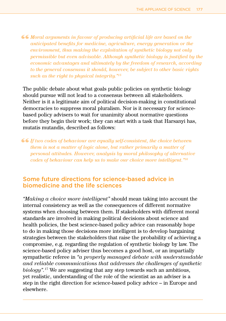*Moral arguments in favour of producing artificial life are based on the anticipated benefits for medicine, agriculture, energy generation or the environment, thus making the exploitation of synthetic biology not only permissible but even advisable. Although synthetic biology is justified by the economic advantages and ultimately by the freedom of research, according to the general consensus it should, however, be subject to other basic rights such as the right to physical integrity."15*

The public debate about what goals public policies on synthetic biology should pursue will not lead to a consensus between all stakeholders. Neither is it a legitimate aim of political decision-making in constitutional democracies to suppress moral pluralism. Nor is it necessary for sciencebased policy advisers to wait for unanimity about normative questions before they begin their work; they can start with a task that Harsanyi has, mutatis mutandis, described as follows:

*If two codes of behaviour are equally self-consistent, the choice between them is not a matter of logic alone, but rather primarily a matter of personal attitudes. However, analysis by moral philosophy of alternative codes of behaviour can help us to make our choice more intelligent."16*

#### Some future directions for science-based advice in biomedicine and the life sciences

*"Making a choice more intelligent"* should mean taking into account the internal consistency as well as the consequences of different normative systems when choosing between them. If stakeholders with different moral standards are involved in making political decisions about science and health policies, the best science-based policy advice can reasonably hope to do in making those decisions more intelligent is to develop bargaining strategies between the stakeholders that raise the probability of achieving a compromise, e.g. regarding the regulation of synthetic biology by law. The science-based policy adviser thus becomes a good host, or an impartially sympathetic referee in *"a properly managed debate with understandable and reliable communications that addresses the challenges of synthetic biology".*17 We are suggesting that any step towards such an ambitious, yet realistic, understanding of the role of the scientist as an adviser is a step in the right direction for science-based policy advice – in Europe and elsewhere.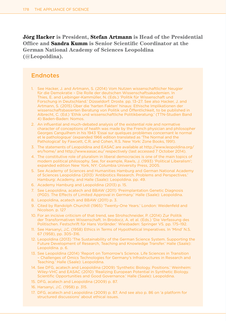**Jörg Hacker is President, Stefan Artmann is Head of the Presidential Office and Sandra Kumm is Senior Scientific Coordinator at the German National Academy of Sciences Leopoldina (@Leopoldina).**

#### Endnotes

- 1. See Hacker, J. and Artmann, S. (2014) Vom Nutzen wissenschaftlicher Neugier für die Demokratie – Die Rolle der deutschen Wissenschaftsakademien. In Thies, E. and Leibinger-Kammüller, N. (Eds.) 'Politik für Wissenschaft und Forschung in Deutschland.' Düsseldorf: Droste. pp. 13–27. See also Hacker, J. and Artmann, S. (2015) Über die 'harten Fakten' hinaus: Ethische Implikationen der wissenschaftsbasierten Beratung von Politik und Öffentlichkeit, to be published in Albrecht, C. (Ed.) 'Ethik und wissenschaftliche Politikberatung.' (TTN-Studien Band 4) Baden-Baden: Nomos.
- 2. An influential and much-debated analysis of the existential role and normative character of conceptions of health was made by the French physician and philosopher Georges Canguilhem in his 1943 'Essai sur quelques problèmes concernant le normal et le pathologique' (expanded 1966 edition translated as 'The Normal and the Pathological' by Fawcett, C.R. and Cohen, R.S. New York: Zone Books, 1991).
- 3. The statements of Leopoldina and EASAC are available at http://www.leopoldina.org/ en/home/ and http://www.easac.eu/ respectively (last accessed 7 October 2014).
- 4. The constitutive role of pluralism in liberal democracies is one of the main topics of modern political philosophy. See, for example, Rawls, J. (1993) 'Political Liberalism'; expanded edition New York, NY: Columbia University Press, 2005.
- 5. See Academy of Sciences and Humanities Hamburg and German National Academy of Sciences Leopoldina (2013) 'Antibiotics Research. Problems and Perspectives.' Hamburg: Academy, and Halle (Saale): Leopoldina. pp. 49.
- 6. Academy Hamburg and Leopoldina (2013) p. 15.
- 7. See Leopoldina, acatech and BBAW (2011) 'Preimplantation Genetic Diagnosis (PGD). The Effects of Limited Approval in Germany.' Halle (Saale): Leopoldina.
- 8. Leopoldina, acatech and BBAW (2011) p. 3.
- 9. Cited by Randolph Churchill (1965) 'Twenty-One Years.' London: Weidenfeld and Nicolson. p. 127
- 10. For an incisive criticism of that trend, see Strohschneider, P. (2014) Zur Politik der Transformativen Wissenschaft. In Brodocz, A. et al. (Eds.) 'Die Verfassung des Politischen. Festschrift für Hans Vorländer.' Wiesbaden: Springer VS. pp. 175–192.
- 11. See Harsanyi, J.C. (1958) Ethics in Terms of Hypothetical Imperatives. In 'Mind' N.S. 67 (1958), pp. 305–316.
- 12. Leopoldina (2013) 'The Sustainability of the German Science System. Supporting the Future Development of Research, Teaching and Knowledge Transfer.' Halle (Saale): Leopoldina. p. 6.
- 13. See Leopoldina (2014) 'Report on Tomorrow's Science. Life Sciences in Transition – Challenges of Omics Technologies for Germany's Infrastructures in Research and Teaching.' Halle (Saale): Leopoldina.
- 14. See DFG, acatech and Leopoldina (2009) 'Synthetic Biology. Positions.' Weinheim: Wiley-VHC and EASAC (2010) 'Realizing European Potential in Synthetic Biology. Scientific Opportunities and Good Governance.' Halle (Saale): Leopoldina.
- 15. DFG, acatech and Leopoldina (2009) p. 87.
- 16. Harsanyi, J.C. (1958) p. 315.
- 17. DFG, acatech and Leopoldina (2009) p. 87. And see also p. 86 on 'a platform for structured discussions' about ethical issues.